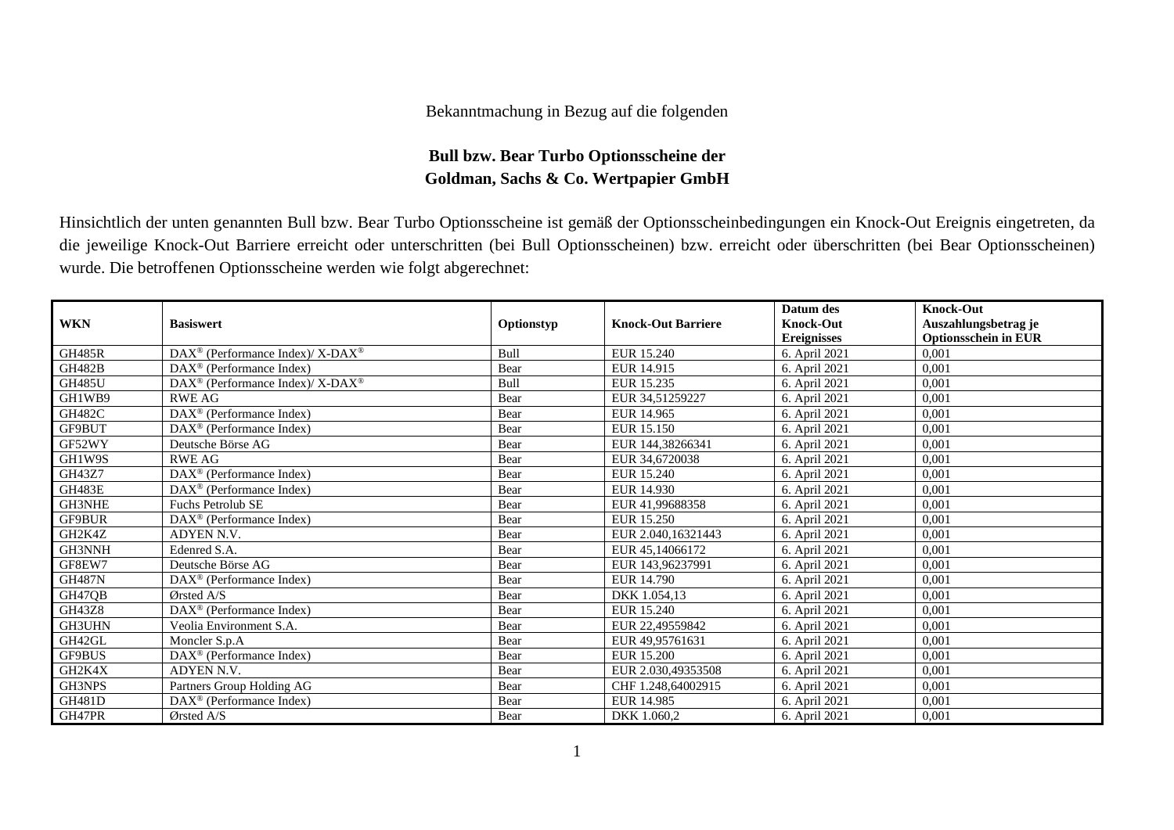## Bekanntmachung in Bezug auf die folgenden

## **Bull bzw. Bear Turbo Optionsscheine der Goldman, Sachs & Co. Wertpapier GmbH**

Hinsichtlich der unten genannten Bull bzw. Bear Turbo Optionsscheine ist gemäß der Optionsscheinbedingungen ein Knock-Out Ereignis eingetreten, da die jeweilige Knock-Out Barriere erreicht oder unterschritten (bei Bull Optionsscheinen) bzw. erreicht oder überschritten (bei Bear Optionsscheinen) wurde. Die betroffenen Optionsscheine werden wie folgt abgerechnet:

|               |                                                                  |             |                           | Datum des          | <b>Knock-Out</b>            |
|---------------|------------------------------------------------------------------|-------------|---------------------------|--------------------|-----------------------------|
| <b>WKN</b>    | <b>Basiswert</b>                                                 | Optionstyp  | <b>Knock-Out Barriere</b> | <b>Knock-Out</b>   | Auszahlungsbetrag je        |
|               |                                                                  |             |                           | <b>Ereignisses</b> | <b>Optionsschein in EUR</b> |
| <b>GH485R</b> | $DAX^{\circledast}$ (Performance Index)/ X-DAX <sup>®</sup>      | <b>Bull</b> | EUR 15.240                | 6. April 2021      | 0,001                       |
| <b>GH482B</b> | DAX <sup>®</sup> (Performance Index)                             | Bear        | EUR 14.915                | 6. April 2021      | 0,001                       |
| <b>GH485U</b> | $\text{DAX}^{\circledR}$ (Performance Index)/ X-DAX <sup>®</sup> | Bull        | EUR 15.235                | 6. April 2021      | 0,001                       |
| GH1WB9        | <b>RWE AG</b>                                                    | Bear        | EUR 34,51259227           | 6. April 2021      | 0,001                       |
| <b>GH482C</b> | DAX <sup>®</sup> (Performance Index)                             | Bear        | EUR 14.965                | 6. April 2021      | 0,001                       |
| GF9BUT        | DAX <sup>®</sup> (Performance Index)                             | Bear        | EUR 15.150                | 6. April 2021      | 0,001                       |
| GF52WY        | Deutsche Börse AG                                                | Bear        | EUR 144,38266341          | 6. April 2021      | 0,001                       |
| GH1W9S        | <b>RWE AG</b>                                                    | Bear        | EUR 34,6720038            | 6. April 2021      | 0,001                       |
| GH43Z7        | DAX <sup>®</sup> (Performance Index)                             | Bear        | EUR 15.240                | 6. April 2021      | 0,001                       |
| GH483E        | $DAX^{\circledast}$ (Performance Index)                          | Bear        | EUR 14.930                | 6. April 2021      | 0,001                       |
| GH3NHE        | <b>Fuchs Petrolub SE</b>                                         | Bear        | EUR 41,99688358           | 6. April 2021      | 0,001                       |
| GF9BUR        | $DAX^{\circledcirc}$ (Performance Index)                         | Bear        | EUR 15.250                | 6. April 2021      | 0,001                       |
| GH2K4Z        | ADYEN N.V.                                                       | Bear        | EUR 2.040,16321443        | 6. April 2021      | 0,001                       |
| GH3NNH        | Edenred S.A.                                                     | Bear        | EUR 45,14066172           | 6. April 2021      | 0.001                       |
| GF8EW7        | Deutsche Börse AG                                                | Bear        | EUR 143,96237991          | 6. April 2021      | 0,001                       |
| <b>GH487N</b> | $\text{DAX}^{\textcircled{}}$ (Performance Index)                | Bear        | EUR 14.790                | 6. April 2021      | 0,001                       |
| GH47QB        | $Q$ rsted A/S                                                    | Bear        | DKK 1.054,13              | 6. April 2021      | 0,001                       |
| <b>GH43Z8</b> | DAX <sup>®</sup> (Performance Index)                             | Bear        | EUR 15.240                | 6. April 2021      | 0,001                       |
| GH3UHN        | Veolia Environment S.A.                                          | Bear        | EUR 22,49559842           | 6. April 2021      | 0,001                       |
| GH42GL        | Moncler S.p.A                                                    | Bear        | EUR 49,95761631           | 6. April 2021      | 0,001                       |
| GF9BUS        | DAX <sup>®</sup> (Performance Index)                             | Bear        | EUR 15.200                | 6. April 2021      | 0,001                       |
| GH2K4X        | ADYEN N.V.                                                       | Bear        | EUR 2.030,49353508        | 6. April 2021      | 0,001                       |
| GH3NPS        | Partners Group Holding AG                                        | Bear        | CHF 1.248,64002915        | 6. April 2021      | 0,001                       |
| GH481D        | DAX <sup>®</sup> (Performance Index)                             | Bear        | EUR 14.985                | 6. April 2021      | 0,001                       |
| GH47PR        | Ørsted A/S                                                       | Bear        | DKK 1.060,2               | 6. April 2021      | 0,001                       |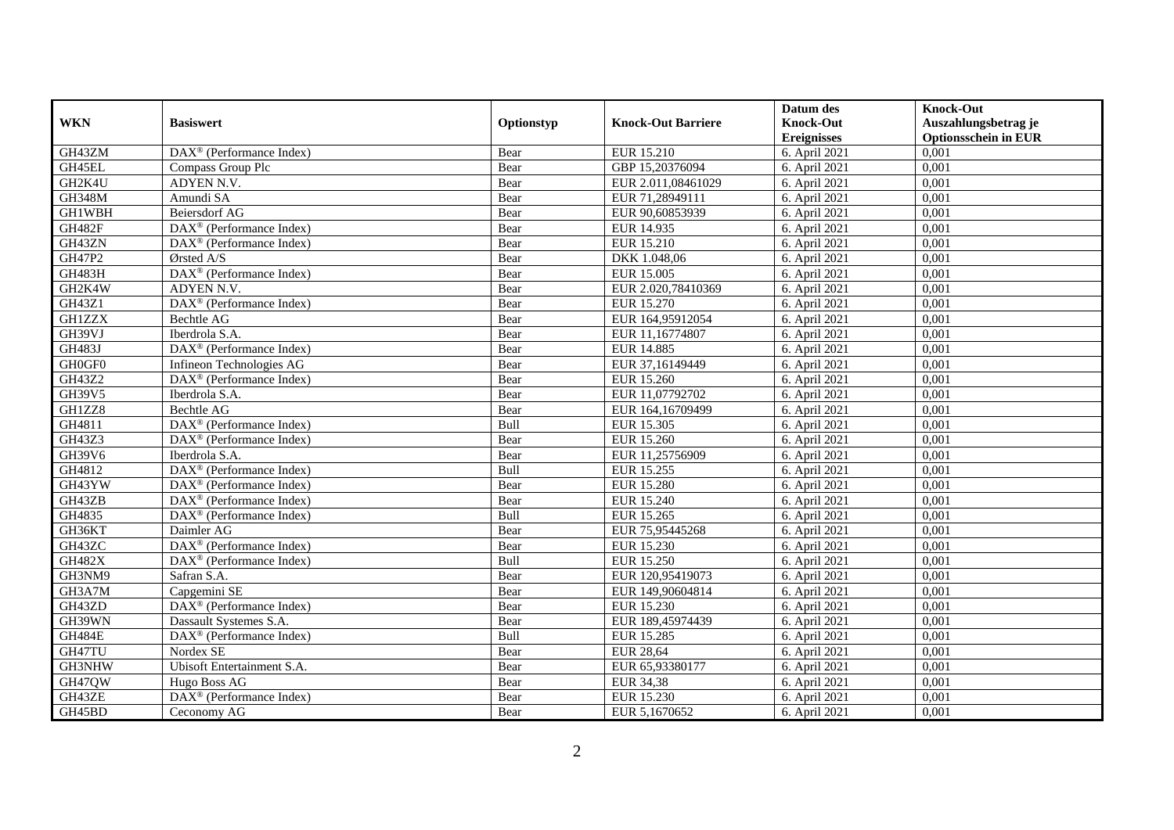|                                                  |                                                         |            |                           | Datum des          | <b>Knock-Out</b>            |
|--------------------------------------------------|---------------------------------------------------------|------------|---------------------------|--------------------|-----------------------------|
| <b>WKN</b>                                       | <b>Basiswert</b>                                        | Optionstyp | <b>Knock-Out Barriere</b> | <b>Knock-Out</b>   | Auszahlungsbetrag je        |
|                                                  |                                                         |            |                           | <b>Ereignisses</b> | <b>Optionsschein in EUR</b> |
| GH43ZM                                           | $\text{DAX}^{\textcircled{p}}$ (Performance Index)      | Bear       | EUR 15.210                | 6. April 2021      | 0,001                       |
| GH45EL                                           | Compass Group Plc                                       | Bear       | GBP 15,20376094           | 6. April 2021      | 0,001                       |
| GH2K4U                                           | ADYEN N.V.                                              | Bear       | EUR 2.011,08461029        | 6. April 2021      | 0,001                       |
| <b>GH348M</b>                                    | Amundi SA                                               | Bear       | EUR 71,28949111           | 6. April 2021      | 0,001                       |
| GH1WBH                                           | <b>Beiersdorf AG</b>                                    | Bear       | EUR 90,60853939           | 6. April 2021      | 0,001                       |
| <b>GH482F</b>                                    | DAX <sup>®</sup> (Performance Index)                    | Bear       | EUR 14.935                | 6. April 2021      | 0,001                       |
| GH43ZN                                           | $\text{DAX}^{\textcircled{n}}$ (Performance Index)      | Bear       | EUR 15.210                | 6. April 2021      | 0,001                       |
| GH47P2                                           | Ørsted A/S                                              | Bear       | DKK 1.048,06              | 6. April 2021      | 0,001                       |
| GH483H                                           | DAX <sup>®</sup> (Performance Index)                    | Bear       | EUR 15.005                | 6. April 2021      | 0,001                       |
| GH2K4W                                           | ADYEN N.V.                                              | Bear       | EUR 2.020,78410369        | 6. April 2021      | 0,001                       |
| GH43Z1                                           | DAX <sup>®</sup> (Performance Index)                    | Bear       | EUR 15.270                | 6. April 2021      | 0,001                       |
| <b>GH1ZZX</b>                                    | Bechtle AG                                              | Bear       | EUR 164,95912054          | 6. April 2021      | 0,001                       |
| GH39VJ                                           | Iberdrola S.A.                                          | Bear       | EUR 11,16774807           | 6. April 2021      | 0,001                       |
| <b>GH483J</b>                                    | DAX <sup>®</sup> (Performance Index)                    | Bear       | <b>EUR 14.885</b>         | 6. April 2021      | 0,001                       |
| $\mathcal{G}\mathcal{H}0\mathcal{G}\mathcal{F}0$ | Infineon Technologies AG                                | Bear       | EUR 37,16149449           | 6. April 2021      | 0,001                       |
| GH43Z2                                           | DAX <sup>®</sup> (Performance Index)                    | Bear       | EUR 15.260                | 6. April 2021      | 0,001                       |
| GH39V5                                           | Iberdrola S.A.                                          | Bear       | EUR 11,07792702           | 6. April 2021      | 0,001                       |
| GH1ZZ8                                           | Bechtle AG                                              | Bear       | EUR 164,16709499          | 6. April 2021      | 0,001                       |
| GH4811                                           | DAX <sup>®</sup> (Performance Index)                    | Bull       | EUR 15.305                | 6. April 2021      | 0,001                       |
| GH43Z3                                           | DAX <sup>®</sup> (Performance Index)                    | Bear       | EUR 15.260                | 6. April 2021      | 0,001                       |
| GH39V6                                           | Iberdrola S.A.                                          | Bear       | EUR 11,25756909           | 6. April 2021      | 0,001                       |
| GH4812                                           | $\overline{\text{DAX}^{\otimes}}$ (Performance Index)   | Bull       | EUR 15.255                | 6. April 2021      | 0,001                       |
| GH43YW                                           | $\text{DAX}^{\textcircled{p}}$ (Performance Index)      | Bear       | <b>EUR 15.280</b>         | 6. April 2021      | 0,001                       |
| GH43ZB                                           | DAX <sup>®</sup> (Performance Index)                    | Bear       | EUR 15.240                | 6. April 2021      | 0,001                       |
| GH4835                                           | $\overline{\text{DAX}^{\otimes}}$ (Performance Index)   | Bull       | EUR 15.265                | 6. April 2021      | 0,001                       |
| GH36KT                                           | Daimler AG                                              | Bear       | EUR 75,95445268           | 6. April 2021      | 0,001                       |
| GH43ZC                                           | DAX <sup>®</sup> (Performance Index)                    | Bear       | EUR 15.230                | 6. April 2021      | 0,001                       |
| <b>GH482X</b>                                    | $\text{DAX}^{\textcircled{p}}$ (Performance Index)      | Bull       | EUR 15.250                | 6. April 2021      | 0,001                       |
| GH3NM9                                           | Safran S.A.                                             | Bear       | EUR 120,95419073          | 6. April 2021      | 0,001                       |
| GH3A7M                                           | Capgemini SE                                            | Bear       | EUR 149,90604814          | 6. April 2021      | 0,001                       |
| GH43ZD                                           | $\overline{\text{DAX}}^{\textcirc}$ (Performance Index) | Bear       | EUR 15.230                | 6. April 2021      | 0,001                       |
| GH39WN                                           | Dassault Systemes S.A.                                  | Bear       | EUR 189,45974439          | 6. April 2021      | 0,001                       |
| <b>GH484E</b>                                    | DAX <sup>®</sup> (Performance Index)                    | Bull       | <b>EUR 15.285</b>         | 6. April 2021      | 0,001                       |
| GH47TU                                           | Nordex SE                                               | Bear       | <b>EUR 28,64</b>          | 6. April 2021      | 0,001                       |
| GH3NHW                                           | Ubisoft Entertainment S.A.                              | Bear       | EUR 65,93380177           | 6. April 2021      | 0,001                       |
| GH47QW                                           | Hugo Boss AG                                            | Bear       | <b>EUR 34,38</b>          | 6. April 2021      | 0,001                       |
| GH43ZE                                           | DAX <sup>®</sup> (Performance Index)                    | Bear       | EUR 15.230                | 6. April 2021      | 0,001                       |
| GH45BD                                           | Ceconomy AG                                             | Bear       | EUR 5,1670652             | 6. April 2021      | 0,001                       |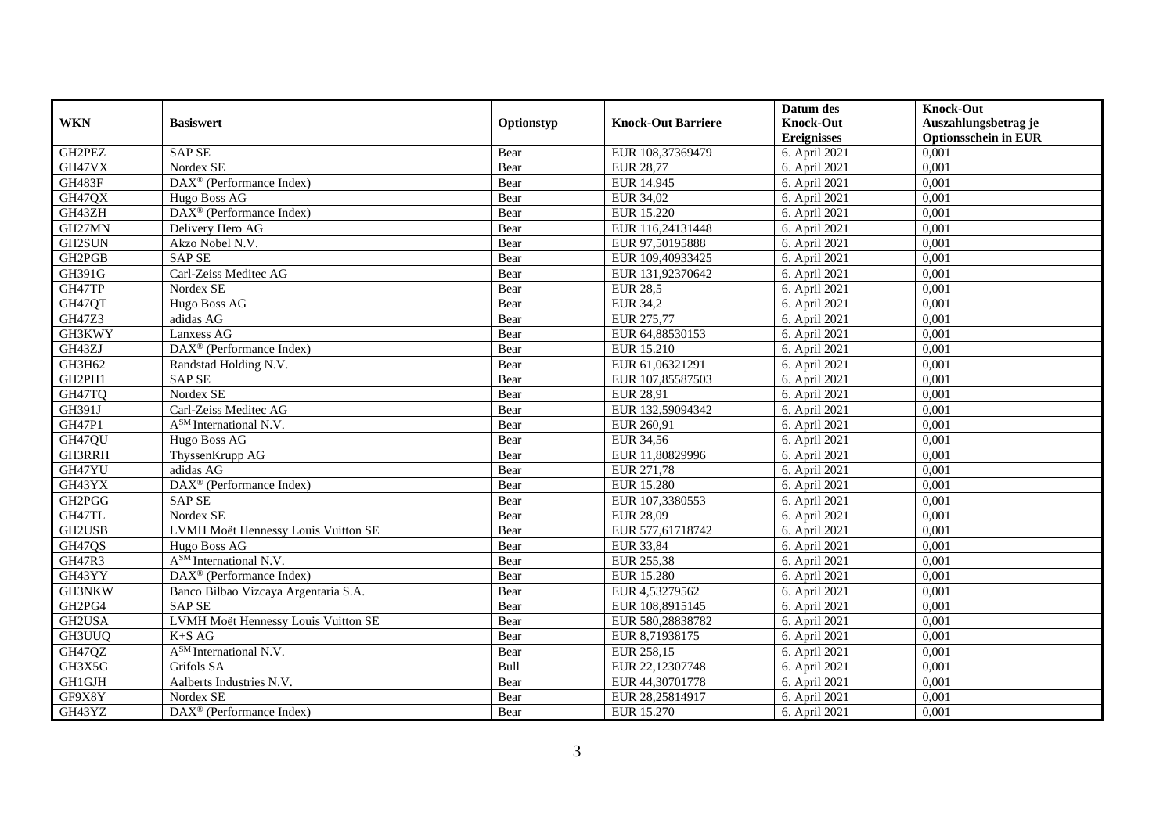|               |                                         |            |                           | Datum des          | <b>Knock-Out</b>            |
|---------------|-----------------------------------------|------------|---------------------------|--------------------|-----------------------------|
| <b>WKN</b>    | <b>Basiswert</b>                        | Optionstyp | <b>Knock-Out Barriere</b> | <b>Knock-Out</b>   | Auszahlungsbetrag je        |
|               |                                         |            |                           | <b>Ereignisses</b> | <b>Optionsschein in EUR</b> |
| GH2PEZ        | <b>SAP SE</b>                           | Bear       | EUR 108,37369479          | 6. April 2021      | 0,001                       |
| GH47VX        | Nordex SE                               | Bear       | <b>EUR 28,77</b>          | 6. April 2021      | 0,001                       |
| GH483F        | $DAX^{\circledR}$ (Performance Index)   | Bear       | EUR 14.945                | 6. April 2021      | 0,001                       |
| GH47QX        | Hugo Boss AG                            | Bear       | EUR 34,02                 | 6. April 2021      | 0,001                       |
| GH43ZH        | DAX <sup>®</sup> (Performance Index)    | Bear       | EUR 15.220                | 6. April 2021      | 0,001                       |
| GH27MN        | Delivery Hero AG                        | Bear       | EUR 116,24131448          | 6. April 2021      | 0,001                       |
| <b>GH2SUN</b> | Akzo Nobel N.V.                         | Bear       | EUR 97,50195888           | 6. April 2021      | 0,001                       |
| GH2PGB        | <b>SAP SE</b>                           | Bear       | EUR 109,40933425          | 6. April 2021      | 0,001                       |
| GH391G        | Carl-Zeiss Meditec AG                   | Bear       | EUR 131,92370642          | 6. April 2021      | 0,001                       |
| GH47TP        | Nordex SE                               | Bear       | <b>EUR 28,5</b>           | 6. April 2021      | 0,001                       |
| GH47QT        | Hugo Boss AG                            | Bear       | <b>EUR 34,2</b>           | 6. April 2021      | 0,001                       |
| GH47Z3        | adidas AG                               | Bear       | EUR 275,77                | 6. April 2021      | 0,001                       |
| GH3KWY        | Lanxess AG                              | Bear       | EUR 64,88530153           | 6. April 2021      | 0,001                       |
| GH43ZJ        | DAX <sup>®</sup> (Performance Index)    | Bear       | EUR 15.210                | 6. April 2021      | 0,001                       |
| GH3H62        | Randstad Holding N.V.                   | Bear       | EUR 61,06321291           | 6. April 2021      | 0,001                       |
| GH2PH1        | <b>SAP SE</b>                           | Bear       | EUR 107,85587503          | 6. April 2021      | 0,001                       |
| GH47TQ        | Nordex SE                               | Bear       | <b>EUR 28,91</b>          | 6. April 2021      | 0,001                       |
| GH391J        | Carl-Zeiss Meditec AG                   | Bear       | EUR 132,59094342          | 6. April 2021      | 0,001                       |
| GH47P1        | $\overline{A^{SM}}$ International N.V.  | Bear       | EUR 260,91                | 6. April 2021      | 0,001                       |
| GH47QU        | Hugo Boss AG                            | Bear       | <b>EUR 34,56</b>          | 6. April 2021      | 0,001                       |
| GH3RRH        | ThyssenKrupp AG                         | Bear       | EUR 11,80829996           | 6. April 2021      | 0,001                       |
| GH47YU        | adidas AG                               | Bear       | EUR 271,78                | 6. April 2021      | 0,001                       |
| GH43YX        | DAX <sup>®</sup> (Performance Index)    | Bear       | <b>EUR 15.280</b>         | 6. April 2021      | 0,001                       |
| GH2PGG        | <b>SAP SE</b>                           | Bear       | EUR 107,3380553           | 6. April 2021      | 0,001                       |
| GH47TL        | Nordex SE                               | Bear       | EUR 28,09                 | 6. April 2021      | 0.001                       |
| GH2USB        | LVMH Moët Hennessy Louis Vuitton SE     | Bear       | EUR 577,61718742          | 6. April 2021      | 0,001                       |
| GH47QS        | Hugo Boss AG                            | Bear       | <b>EUR 33,84</b>          | 6. April 2021      | 0,001                       |
| <b>GH47R3</b> | A <sup>SM</sup> International N.V.      | Bear       | EUR 255,38                | 6. April 2021      | 0,001                       |
| GH43YY        | DAX <sup>®</sup> (Performance Index)    | Bear       | <b>EUR 15.280</b>         | 6. April 2021      | 0,001                       |
| GH3NKW        | Banco Bilbao Vizcaya Argentaria S.A.    | Bear       | EUR 4,53279562            | 6. April 2021      | 0,001                       |
| GH2PG4        | <b>SAP SE</b>                           | Bear       | EUR 108,8915145           | 6. April 2021      | 0,001                       |
| GH2USA        | LVMH Moët Hennessy Louis Vuitton SE     | Bear       | EUR 580,28838782          | 6. April 2021      | 0,001                       |
| GH3UUQ        | $K+SAG$                                 | Bear       | EUR 8,71938175            | 6. April 2021      | 0,001                       |
| GH47QZ        | A <sup>SM</sup> International N.V.      | Bear       | EUR 258,15                | 6. April 2021      | 0,001                       |
| GH3X5G        | Grifols SA                              | Bull       | EUR 22,12307748           | 6. April 2021      | 0,001                       |
| GH1GJH        | Aalberts Industries N.V.                | Bear       | EUR 44,30701778           | 6. April 2021      | 0,001                       |
| GF9X8Y        | Nordex SE                               | Bear       | EUR 28,25814917           | 6. April 2021      | 0,001                       |
| GH43YZ        | $DAX^{\circledast}$ (Performance Index) | Bear       | EUR 15.270                | 6. April 2021      | 0,001                       |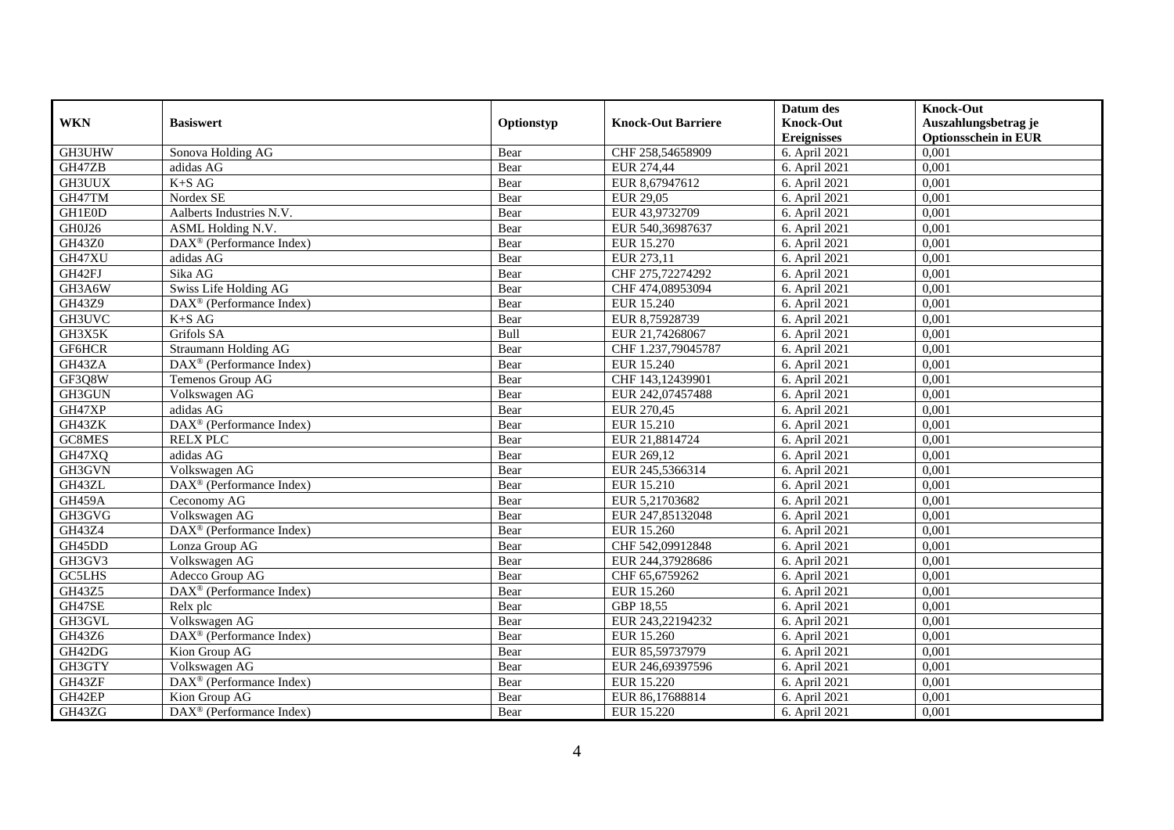|               |                                                       |            |                           | Datum des          | <b>Knock-Out</b>            |
|---------------|-------------------------------------------------------|------------|---------------------------|--------------------|-----------------------------|
| <b>WKN</b>    | <b>Basiswert</b>                                      | Optionstyp | <b>Knock-Out Barriere</b> | <b>Knock-Out</b>   | Auszahlungsbetrag je        |
|               |                                                       |            |                           | <b>Ereignisses</b> | <b>Optionsschein in EUR</b> |
| GH3UHW        | Sonova Holding AG                                     | Bear       | CHF 258,54658909          | 6. April 2021      | 0,001                       |
| GH47ZB        | adidas AG                                             | Bear       | EUR 274,44                | 6. April 2021      | 0,001                       |
| GH3UUX        | $K+SAG$                                               | Bear       | EUR 8,67947612            | 6. April 2021      | 0,001                       |
| GH47TM        | Nordex SE                                             | Bear       | EUR 29,05                 | 6. April 2021      | 0,001                       |
| GH1E0D        | Aalberts Industries N.V.                              | Bear       | EUR 43,9732709            | 6. April 2021      | 0,001                       |
| GH0J26        | ASML Holding N.V.                                     | Bear       | EUR 540,36987637          | 6. April 2021      | 0,001                       |
| GH43Z0        | DAX <sup>®</sup> (Performance Index)                  | Bear       | EUR 15.270                | 6. April 2021      | 0,001                       |
| GH47XU        | adidas AG                                             | Bear       | EUR 273,11                | 6. April 2021      | 0,001                       |
| GH42FJ        | Sika AG                                               | Bear       | CHF 275,72274292          | 6. April 2021      | 0,001                       |
| GH3A6W        | Swiss Life Holding AG                                 | Bear       | CHF 474,08953094          | 6. April 2021      | 0,001                       |
| GH43Z9        | DAX <sup>®</sup> (Performance Index)                  | Bear       | EUR 15.240                | 6. April 2021      | 0,001                       |
| GH3UVC        | $K+SAG$                                               | Bear       | EUR 8,75928739            | 6. April 2021      | 0,001                       |
| GH3X5K        | Grifols SA                                            | Bull       | EUR 21,74268067           | 6. April 2021      | 0,001                       |
| GF6HCR        | <b>Straumann Holding AG</b>                           | Bear       | CHF 1.237,79045787        | 6. April 2021      | 0,001                       |
| GH43ZA        | DAX <sup>®</sup> (Performance Index)                  | Bear       | EUR 15.240                | 6. April 2021      | 0,001                       |
| GF3Q8W        | Temenos Group AG                                      | Bear       | CHF 143,12439901          | 6. April 2021      | 0,001                       |
| GH3GUN        | Volkswagen AG                                         | Bear       | EUR 242,07457488          | 6. April 2021      | 0,001                       |
| GH47XP        | adidas AG                                             | Bear       | EUR 270.45                | 6. April 2021      | 0,001                       |
| GH43ZK        | DAX <sup>®</sup> (Performance Index)                  | Bear       | EUR 15.210                | 6. April 2021      | 0,001                       |
| GC8MES        | <b>RELX PLC</b>                                       | Bear       | EUR 21,8814724            | 6. April 2021      | 0,001                       |
| GH47XQ        | adidas AG                                             | Bear       | EUR 269,12                | 6. April 2021      | 0,001                       |
| GH3GVN        | Volkswagen AG                                         | Bear       | EUR 245,5366314           | 6. April 2021      | 0,001                       |
| GH43ZL        | DAX <sup>®</sup> (Performance Index)                  | Bear       | EUR 15.210                | 6. April 2021      | 0,001                       |
| GH459A        | Ceconomy AG                                           | Bear       | EUR 5,21703682            | 6. April 2021      | 0,001                       |
| GH3GVG        | Volkswagen AG                                         | Bear       | EUR 247,85132048          | 6. April 2021      | 0,001                       |
| GH43Z4        | DAX <sup>®</sup> (Performance Index)                  | Bear       | EUR 15.260                | 6. April 2021      | 0,001                       |
| GH45DD        | Lonza Group AG                                        | Bear       | CHF 542,09912848          | 6. April 2021      | 0,001                       |
| GH3GV3        | Volkswagen AG                                         | Bear       | EUR 244,37928686          | 6. April 2021      | 0,001                       |
| <b>GC5LHS</b> | Adecco Group AG                                       | Bear       | CHF 65,6759262            | 6. April 2021      | 0,001                       |
| GH43Z5        | DAX <sup>®</sup> (Performance Index)                  | Bear       | EUR 15.260                | 6. April 2021      | 0,001                       |
| GH47SE        | Relx plc                                              | Bear       | GBP 18,55                 | 6. April 2021      | 0,001                       |
| GH3GVL        | Volkswagen AG                                         | Bear       | EUR 243,22194232          | 6. April 2021      | 0,001                       |
| GH43Z6        | DAX <sup>®</sup> (Performance Index)                  | Bear       | EUR 15.260                | 6. April 2021      | 0,001                       |
| GH42DG        | Kion Group AG                                         | Bear       | EUR 85,59737979           | 6. April 2021      | 0,001                       |
| GH3GTY        | Volkswagen AG                                         | Bear       | EUR 246,69397596          | 6. April 2021      | 0,001                       |
| GH43ZF        | DAX <sup>®</sup> (Performance Index)                  | Bear       | EUR 15.220                | 6. April 2021      | 0,001                       |
| GH42EP        | Kion Group AG                                         | Bear       | EUR 86,17688814           | 6. April 2021      | 0,001                       |
| GH43ZG        | $\overline{\text{DAX}^{\otimes}}$ (Performance Index) | Bear       | EUR 15.220                | 6. April 2021      | 0,001                       |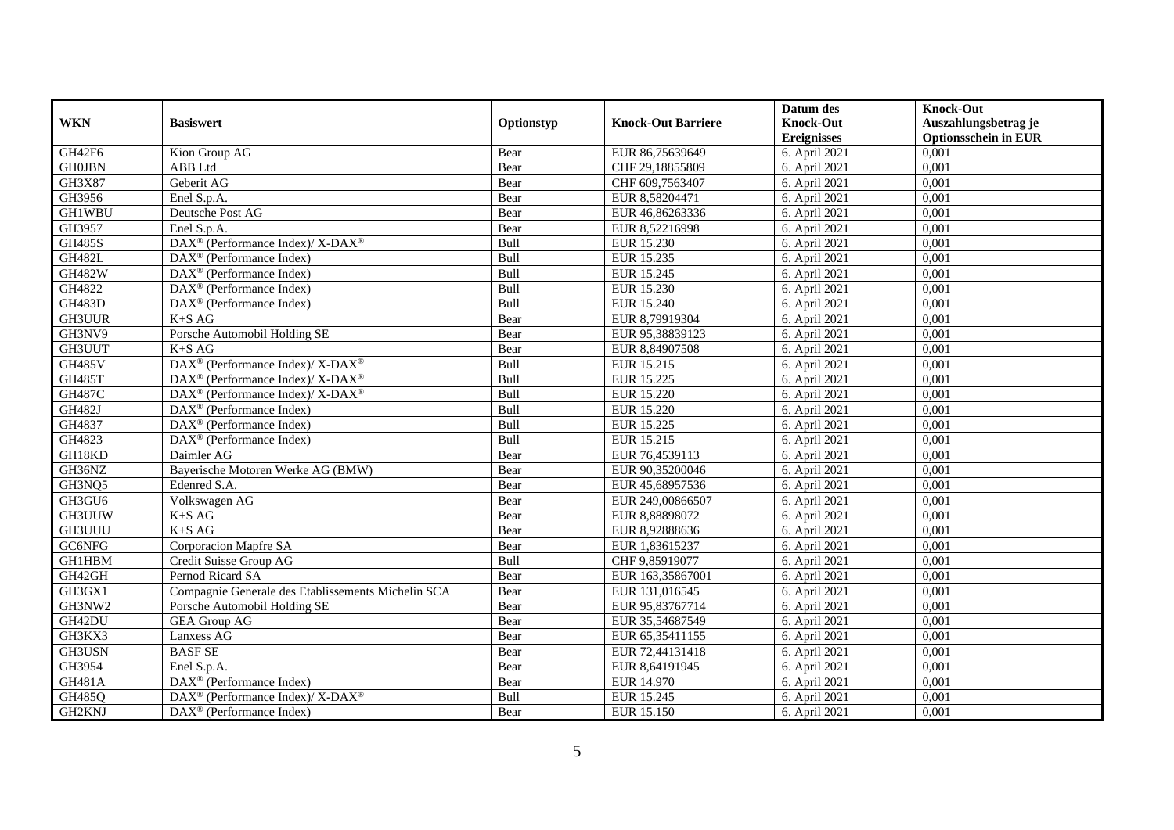|               |                                                                          |            |                           | Datum des                              | <b>Knock-Out</b>                                    |
|---------------|--------------------------------------------------------------------------|------------|---------------------------|----------------------------------------|-----------------------------------------------------|
| <b>WKN</b>    | <b>Basiswert</b>                                                         | Optionstyp | <b>Knock-Out Barriere</b> | <b>Knock-Out</b><br><b>Ereignisses</b> | Auszahlungsbetrag je<br><b>Optionsschein in EUR</b> |
| GH42F6        | Kion Group AG                                                            | Bear       | EUR 86,75639649           | 6. April 2021                          | 0,001                                               |
| <b>GH0JBN</b> | ABB Ltd                                                                  | Bear       | CHF 29,18855809           | 6. April 2021                          | 0,001                                               |
| GH3X87        | Geberit AG                                                               | Bear       | CHF 609,7563407           | 6. April 2021                          | 0,001                                               |
| GH3956        | Enel S.p.A.                                                              | Bear       | EUR 8,58204471            | 6. April 2021                          | 0,001                                               |
| <b>GH1WBU</b> | Deutsche Post AG                                                         | Bear       | EUR 46,86263336           | 6. April 2021                          | 0,001                                               |
| GH3957        | Enel S.p.A.                                                              | Bear       | EUR 8,52216998            | 6. April 2021                          | 0,001                                               |
| <b>GH485S</b> | $\overline{\text{DAX}^{\otimes}}$ (Performance Index)/X-DAX <sup>®</sup> | Bull       | EUR 15.230                | 6. April 2021                          | 0,001                                               |
| <b>GH482L</b> | $DAX^{\circledR}$ (Performance Index)                                    | Bull       | EUR 15.235                | 6. April 2021                          | 0,001                                               |
| <b>GH482W</b> | $DAX^{\circledR}$ (Performance Index)                                    | Bull       | EUR 15.245                | 6. April 2021                          | 0,001                                               |
| GH4822        | $DAX^{\circledR}$ (Performance Index)                                    | Bull       | EUR 15.230                | 6. April 2021                          | 0,001                                               |
| <b>GH483D</b> | DAX <sup>®</sup> (Performance Index)                                     | Bull       | EUR 15.240                | 6. April 2021                          | 0,001                                               |
| <b>GH3UUR</b> | $K+SAG$                                                                  | Bear       | EUR 8,79919304            | 6. April 2021                          | 0,001                                               |
| GH3NV9        | Porsche Automobil Holding SE                                             | Bear       | EUR 95,38839123           | 6. April 2021                          | 0,001                                               |
| GH3UUT        | $K+SAG$                                                                  | Bear       | EUR 8,84907508            | 6. April 2021                          | 0,001                                               |
| <b>GH485V</b> | DAX <sup>®</sup> (Performance Index)/ X-DAX <sup>®</sup>                 | Bull       | EUR 15.215                | 6. April 2021                          | 0,001                                               |
| <b>GH485T</b> | $\text{DAX}^{\circledast}$ (Performance Index)/ X-DAX <sup>®</sup>       | Bull       | EUR 15.225                | 6. April 2021                          | 0,001                                               |
| <b>GH487C</b> | DAX <sup>®</sup> (Performance Index)/X-DAX <sup>®</sup>                  | Bull       | EUR 15.220                | 6. April 2021                          | 0,001                                               |
| <b>GH482J</b> | $DAX^{\circledcirc}$ (Performance Index)                                 | Bull       | EUR 15.220                | 6. April 2021                          | 0,001                                               |
| GH4837        | $DAX^{\circledR}$ (Performance Index)                                    | Bull       | EUR 15.225                | 6. April 2021                          | 0,001                                               |
| GH4823        | DAX <sup>®</sup> (Performance Index)                                     | Bull       | EUR 15.215                | 6. April 2021                          | 0,001                                               |
| GH18KD        | Daimler AG                                                               | Bear       | EUR 76,4539113            | 6. April 2021                          | 0,001                                               |
| GH36NZ        | Bayerische Motoren Werke AG (BMW)                                        | Bear       | EUR 90,35200046           | 6. April 2021                          | 0,001                                               |
| GH3NQ5        | Edenred S.A.                                                             | Bear       | EUR 45,68957536           | 6. April 2021                          | 0,001                                               |
| GH3GU6        | Volkswagen AG                                                            | Bear       | EUR 249,00866507          | 6. April 2021                          | 0,001                                               |
| GH3UUW        | $K+SAG$                                                                  | Bear       | EUR 8,88898072            | 6. April 2021                          | 0,001                                               |
| GH3UUU        | $K+SAG$                                                                  | Bear       | EUR 8,92888636            | 6. April 2021                          | 0,001                                               |
| GC6NFG        | Corporacion Mapfre SA                                                    | Bear       | EUR 1,83615237            | 6. April 2021                          | 0,001                                               |
| <b>GH1HBM</b> | Credit Suisse Group AG                                                   | Bull       | CHF 9,85919077            | 6. April 2021                          | 0,001                                               |
| GH42GH        | Pernod Ricard SA                                                         | Bear       | EUR 163,35867001          | 6. April 2021                          | 0,001                                               |
| GH3GX1        | Compagnie Generale des Etablissements Michelin SCA                       | Bear       | EUR 131,016545            | 6. April 2021                          | 0,001                                               |
| GH3NW2        | Porsche Automobil Holding SE                                             | Bear       | EUR 95,83767714           | 6. April 2021                          | 0,001                                               |
| GH42DU        | <b>GEA Group AG</b>                                                      | Bear       | EUR 35,54687549           | 6. April 2021                          | 0,001                                               |
| GH3KX3        | Lanxess AG                                                               | Bear       | EUR 65,35411155           | 6. April 2021                          | 0,001                                               |
| GH3USN        | <b>BASF SE</b>                                                           | Bear       | EUR 72,44131418           | 6. April 2021                          | 0,001                                               |
| GH3954        | Enel S.p.A.                                                              | Bear       | EUR 8,64191945            | 6. April 2021                          | 0,001                                               |
| <b>GH481A</b> | DAX <sup>®</sup> (Performance Index)                                     | Bear       | EUR 14.970                | 6. April 2021                          | 0,001                                               |
| GH485Q        | DAX <sup>®</sup> (Performance Index)/ X-DAX <sup>®</sup>                 | Bull       | EUR 15.245                | 6. April 2021                          | 0,001                                               |
| GH2KNJ        | $\text{DAX}^{\textcircled{}}$ (Performance Index)                        | Bear       | EUR 15.150                | 6. April 2021                          | 0,001                                               |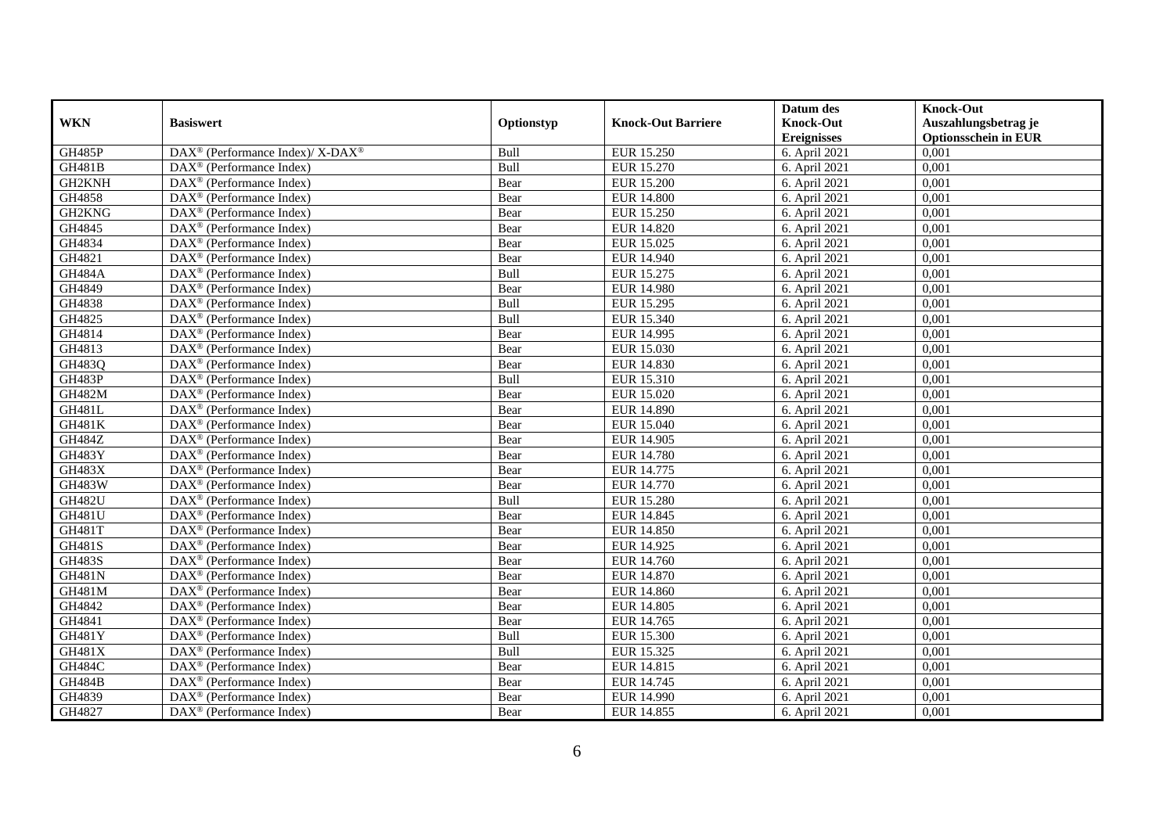|               |                                                         |            |                           | Datum des                  | <b>Knock-Out</b>            |
|---------------|---------------------------------------------------------|------------|---------------------------|----------------------------|-----------------------------|
| <b>WKN</b>    | <b>Basiswert</b>                                        | Optionstyp | <b>Knock-Out Barriere</b> | <b>Knock-Out</b>           | Auszahlungsbetrag je        |
|               |                                                         |            |                           | <b>Ereignisses</b>         | <b>Optionsschein in EUR</b> |
| <b>GH485P</b> | DAX <sup>®</sup> (Performance Index)/X-DAX <sup>®</sup> | Bull       | EUR 15.250                | 6. April 2021              | 0,001                       |
| <b>GH481B</b> | $\text{DAX}^{\circledast}$ (Performance Index)          | Bull       | EUR 15.270                | 6. April 2021              | 0,001                       |
| GH2KNH        | $DAX^{\circledR}$ (Performance Index)                   | Bear       | <b>EUR 15.200</b>         | 6. April 2021              | 0,001                       |
| GH4858        | DAX <sup>®</sup> (Performance Index)                    | Bear       | <b>EUR 14.800</b>         | 6. April 2021              | 0,001                       |
| GH2KNG        | DAX <sup>®</sup> (Performance Index)                    | Bear       | EUR 15.250                | 6. April 2021              | 0,001                       |
| GH4845        | $\text{DAX}^{\textcircled{p}}$ (Performance Index)      | Bear       | <b>EUR 14.820</b>         | 6. April 2021              | 0,001                       |
| GH4834        | $\overline{\text{DAX}}^{\textcirc}$ (Performance Index) | Bear       | EUR 15.025                | 6. April 2021              | 0,001                       |
| GH4821        | $\overline{\text{DAX}}^{\textcirc}$ (Performance Index) | Bear       | EUR 14.940                | 6. April 2021              | 0,001                       |
| <b>GH484A</b> | $\text{DAX}^{\circledast}$ (Performance Index)          | Bull       | EUR 15.275                | 6. April 2021              | 0,001                       |
| GH4849        | DAX <sup>®</sup> (Performance Index)                    | Bear       | <b>EUR 14.980</b>         | 6. April 2021              | 0,001                       |
| GH4838        | $\overline{\text{DAX}^{\otimes}}$ (Performance Index)   | Bull       | EUR 15.295                | 6. April 2021              | 0,001                       |
| GH4825        | $\overline{\text{DAX}^{\otimes}}$ (Performance Index)   | Bull       | EUR 15.340                | 6. April 2021              | 0,001                       |
| GH4814        | $\text{DAX}^{\textcircled{n}}$ (Performance Index)      | Bear       | <b>EUR 14.995</b>         | 6. April 2021              | 0,001                       |
| GH4813        | $DAX^{\circledR}$ (Performance Index)                   | Bear       | EUR 15.030                | 6. April 2021              | 0,001                       |
| GH483Q        | $\overline{\text{DAX}^{\otimes}}$ (Performance Index)   | Bear       | EUR 14.830                | 6. April 2021              | 0,001                       |
| <b>GH483P</b> | DAX <sup>®</sup> (Performance Index)                    | Bull       | EUR 15.310                | 6. April $20\overline{21}$ | 0,001                       |
| <b>GH482M</b> | DAX <sup>®</sup> (Performance Index)                    | Bear       | EUR 15.020                | 6. April 2021              | 0,001                       |
| GH481L        | DAX <sup>®</sup> (Performance Index)                    | Bear       | <b>EUR 14.890</b>         | 6. April 2021              | 0,001                       |
| <b>GH481K</b> | $\text{DAX}^{\otimes}$ (Performance Index)              | Bear       | EUR 15.040                | 6. April 2021              | 0,001                       |
| <b>GH484Z</b> | $\text{DAX}^{\otimes}$ (Performance Index)              | Bear       | EUR 14.905                | 6. April 2021              | 0,001                       |
| <b>GH483Y</b> | DAX <sup>®</sup> (Performance Index)                    | Bear       | <b>EUR 14.780</b>         | 6. April 2021              | 0,001                       |
| <b>GH483X</b> | $DAX^{\circledR}$ (Performance Index)                   | Bear       | EUR 14.775                | 6. April 2021              | 0,001                       |
| <b>GH483W</b> | $\text{DAX}^{\textcircled{p}}$ (Performance Index)      | Bear       | EUR 14.770                | 6. April 2021              | 0,001                       |
| <b>GH482U</b> | $\text{DAX}^{\textcircled{p}}$ (Performance Index)      | Bull       | <b>EUR 15.280</b>         | 6. April 2021              | 0,001                       |
| <b>GH481U</b> | $DAX^{\circledR}$ (Performance Index)                   | Bear       | EUR 14.845                | 6. April 2021              | 0,001                       |
| GH481T        | $\text{DAX}^{\otimes}$ (Performance Index)              | Bear       | <b>EUR 14.850</b>         | 6. April 2021              | 0,001                       |
| <b>GH481S</b> | DAX <sup>®</sup> (Performance Index)                    | Bear       | EUR 14.925                | 6. April 2021              | 0,001                       |
| <b>GH483S</b> | DAX <sup>®</sup> (Performance Index)                    | Bear       | EUR 14.760                | 6. April 2021              | 0,001                       |
| <b>GH481N</b> | $\text{DAX}^{\otimes}$ (Performance Index)              | Bear       | EUR 14.870                | 6. April 2021              | 0,001                       |
| <b>GH481M</b> | $\text{DAX}^{\textcircled{n}}$ (Performance Index)      | Bear       | EUR 14.860                | 6. April 2021              | 0,001                       |
| GH4842        | DAX <sup>®</sup> (Performance Index)                    | Bear       | <b>EUR 14.805</b>         | 6. April 2021              | 0,001                       |
| GH4841        | DAX <sup>®</sup> (Performance Index)                    | Bear       | EUR 14.765                | 6. April 2021              | 0,001                       |
| <b>GH481Y</b> | DAX <sup>®</sup> (Performance Index)                    | Bull       | <b>EUR 15.300</b>         | 6. April 2021              | 0,001                       |
| GH481X        | $\overline{\text{DAX}}^{\textcirc}$ (Performance Index) | Bull       | EUR 15.325                | 6. April 2021              | 0,001                       |
| <b>GH484C</b> | $\text{DAX}^{\otimes}$ (Performance Index)              | Bear       | EUR 14.815                | 6. April 2021              | 0,001                       |
| <b>GH484B</b> | $\text{DAX}^{\textcircled{n}}$ (Performance Index)      | Bear       | EUR 14.745                | 6. April 2021              | 0,001                       |
| GH4839        | $\text{DAX}^{\otimes}$ (Performance Index)              | Bear       | EUR 14.990                | 6. April 2021              | 0,001                       |
| GH4827        | $\overline{\text{DAX}}^{\textcirc}$ (Performance Index) | Bear       | EUR 14.855                | 6. April 2021              | 0,001                       |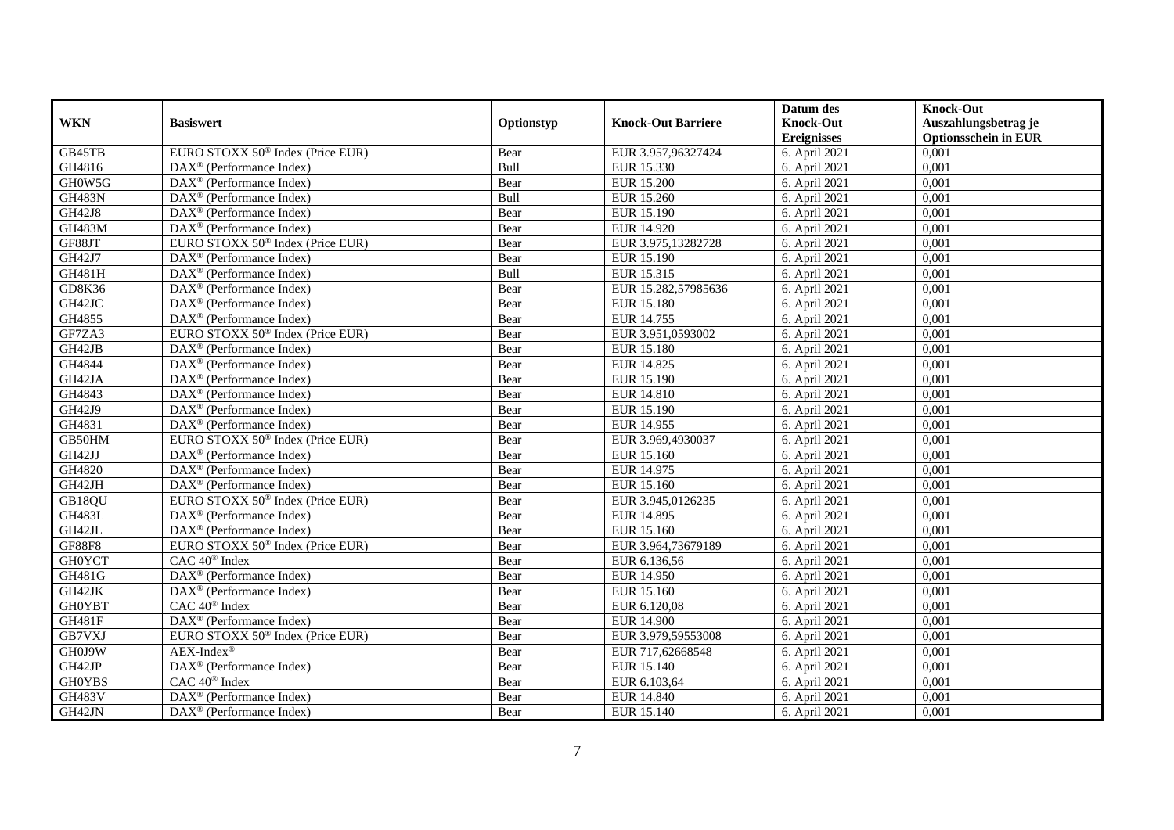|               |                                                         |            |                           | Datum des          | <b>Knock-Out</b>            |
|---------------|---------------------------------------------------------|------------|---------------------------|--------------------|-----------------------------|
| <b>WKN</b>    | <b>Basiswert</b>                                        | Optionstyp | <b>Knock-Out Barriere</b> | <b>Knock-Out</b>   | Auszahlungsbetrag je        |
|               |                                                         |            |                           | <b>Ereignisses</b> | <b>Optionsschein in EUR</b> |
| GB45TB        | EURO STOXX 50 <sup>®</sup> Index (Price EUR)            | Bear       | EUR 3.957,96327424        | 6. April 2021      | 0,001                       |
| GH4816        | $\text{DAX}^{\textcircled{D}}$ (Performance Index)      | Bull       | EUR 15.330                | 6. April 2021      | 0,001                       |
| GH0W5G        | DAX <sup>®</sup> (Performance Index)                    | Bear       | <b>EUR 15.200</b>         | 6. April 2021      | 0,001                       |
| <b>GH483N</b> | $\text{DAX}^{\textcircled{n}}$ (Performance Index)      | Bull       | EUR 15.260                | 6. April 2021      | 0,001                       |
| <b>GH42J8</b> | DAX <sup>®</sup> (Performance Index)                    | Bear       | EUR 15.190                | 6. April 2021      | 0,001                       |
| <b>GH483M</b> | DAX <sup>®</sup> (Performance Index)                    | Bear       | EUR 14.920                | 6. April 2021      | 0,001                       |
| GF88JT        | EURO STOXX 50 <sup>®</sup> Index (Price EUR)            | Bear       | EUR 3.975,13282728        | 6. April 2021      | 0,001                       |
| GH42J7        | $\text{DAX}^{\textcircled{D}}$ (Performance Index)      | Bear       | EUR 15.190                | 6. April 2021      | 0,001                       |
| <b>GH481H</b> | $\text{DAX}^{\textcircled{D}}$ (Performance Index)      | Bull       | EUR 15.315                | 6. April 2021      | 0,001                       |
| GD8K36        | $DAX^{\otimes}$ (Performance Index)                     | Bear       | EUR 15.282,57985636       | 6. April 2021      | 0,001                       |
| GH42JC        | DAX <sup>®</sup> (Performance Index)                    | Bear       | <b>EUR 15.180</b>         | 6. April 2021      | 0,001                       |
| GH4855        | $\overline{\text{DAX}^{\otimes}}$ (Performance Index)   | Bear       | EUR 14.755                | 6. April 2021      | 0,001                       |
| GF7ZA3        | EURO STOXX 50 <sup>®</sup> Index (Price EUR)            | Bear       | EUR 3.951.0593002         | 6. April 2021      | 0,001                       |
| GH42JB        | $\text{DAX}^{\textcircled{n}}$ (Performance Index)      | Bear       | <b>EUR 15.180</b>         | 6. April 2021      | 0,001                       |
| GH4844        | $\text{DAX}^{\otimes}$ (Performance Index)              | Bear       | EUR 14.825                | 6. April 2021      | 0,001                       |
| GH42JA        | DAX <sup>®</sup> (Performance Index)                    | Bear       | EUR 15.190                | 6. April 2021      | 0,001                       |
| GH4843        | DAX <sup>®</sup> (Performance Index)                    | Bear       | <b>EUR 14.810</b>         | 6. April 2021      | 0,001                       |
| GH42J9        | $DAX^{\circledR}$ (Performance Index)                   | Bear       | EUR 15.190                | 6. April 2021      | 0,001                       |
| GH4831        | $\overline{\text{DAX}}^{\textcirc}$ (Performance Index) | Bear       | EUR 14.955                | 6. April 2021      | 0,001                       |
| GB50HM        | EURO STOXX 50 <sup>®</sup> Index (Price EUR)            | Bear       | EUR 3.969,4930037         | 6. April 2021      | 0,001                       |
| GH42JJ        | DAX <sup>®</sup> (Performance Index)                    | Bear       | EUR 15.160                | 6. April 2021      | 0,001                       |
| GH4820        | DAX <sup>®</sup> (Performance Index)                    | Bear       | EUR 14.975                | 6. April 2021      | 0,001                       |
| GH42JH        | $\text{DAX}^{\textcircled{n}}$ (Performance Index)      | Bear       | EUR 15.160                | 6. April 2021      | 0,001                       |
| GB18QU        | EURO STOXX 50 <sup>®</sup> Index (Price EUR)            | Bear       | EUR 3.945,0126235         | 6. April 2021      | 0,001                       |
| <b>GH483L</b> | $\overline{\text{DAX}}^{\textcirc}$ (Performance Index) | Bear       | EUR 14.895                | 6. April 2021      | 0,001                       |
| GH42JL        | $\text{DAX}^{\otimes}$ (Performance Index)              | Bear       | EUR 15.160                | 6. April 2021      | 0,001                       |
| <b>GF88F8</b> | EURO STOXX 50 <sup>®</sup> Index (Price EUR)            | Bear       | EUR 3.964,73679189        | 6. April 2021      | 0,001                       |
| <b>GH0YCT</b> | $CAC 40^{\circledast}$ Index                            | Bear       | EUR 6.136,56              | 6. April 2021      | 0.001                       |
| GH481G        | DAX <sup>®</sup> (Performance Index)                    | Bear       | EUR 14.950                | 6. April 2021      | 0,001                       |
| GH42JK        | $\overline{\text{DAX}}^{\textcirc}$ (Performance Index) | Bear       | EUR 15.160                | 6. April 2021      | 0,001                       |
| <b>GH0YBT</b> | CAC 40 <sup>®</sup> Index                               | Bear       | EUR 6.120,08              | 6. April 2021      | 0,001                       |
| <b>GH481F</b> | DAX <sup>®</sup> (Performance Index)                    | Bear       | <b>EUR 14.900</b>         | 6. April 2021      | 0,001                       |
| GB7VXJ        | EURO STOXX 50 <sup>®</sup> Index (Price EUR)            | Bear       | EUR 3.979,59553008        | 6. April 2021      | 0,001                       |
| GH0J9W        | $AEX-Index^{\circledR}$                                 | Bear       | EUR 717,62668548          | 6. April 2021      | 0,001                       |
| GH42JP        | DAX <sup>®</sup> (Performance Index)                    | Bear       | EUR 15.140                | 6. April 2021      | 0,001                       |
| <b>GH0YBS</b> | CAC 40 <sup>®</sup> Index                               | Bear       | EUR 6.103,64              | 6. April 2021      | 0,001                       |
| <b>GH483V</b> | $\text{DAX}^{\otimes}$ (Performance Index)              | Bear       | EUR 14.840                | 6. April 2021      | 0,001                       |
| GH42JN        | $\text{DAX}^{\textcircled{n}}$ (Performance Index)      | Bear       | EUR 15.140                | 6. April 2021      | 0,001                       |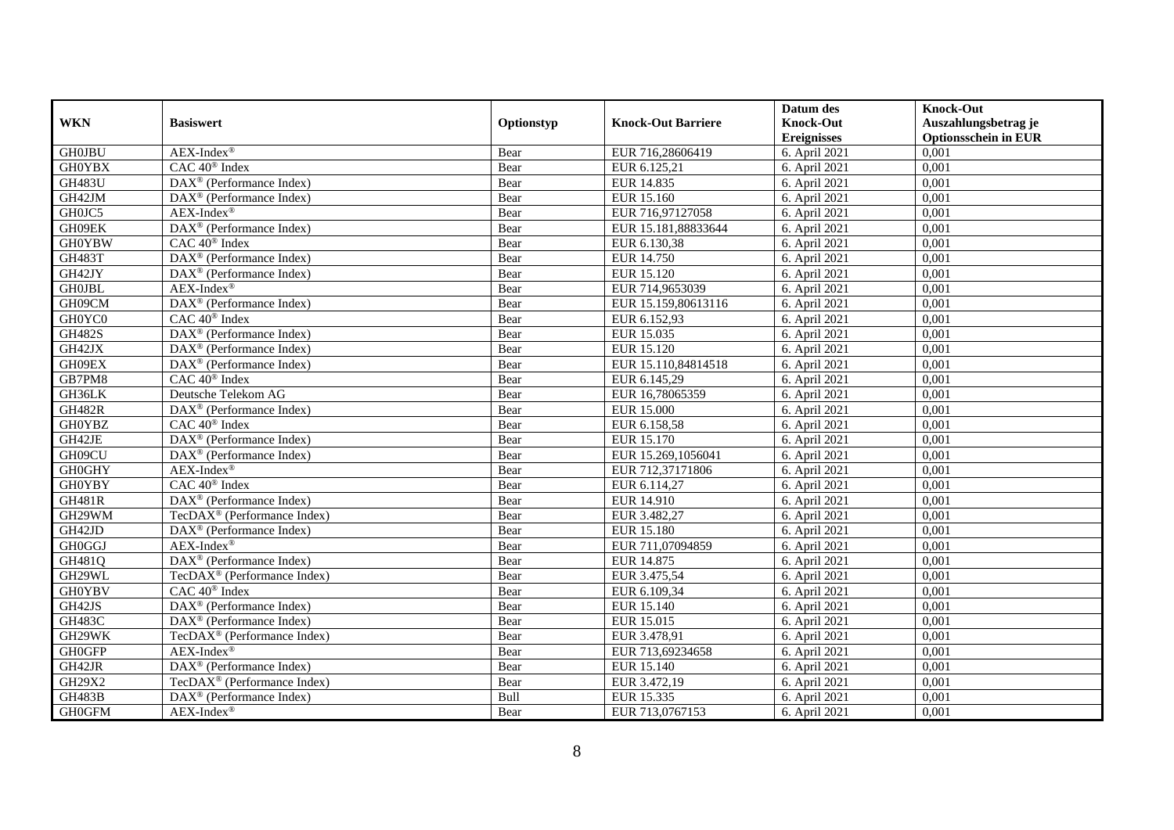|               |                                                       |            |                           | Datum des          | <b>Knock-Out</b>            |
|---------------|-------------------------------------------------------|------------|---------------------------|--------------------|-----------------------------|
| <b>WKN</b>    | <b>Basiswert</b>                                      | Optionstyp | <b>Knock-Out Barriere</b> | <b>Knock-Out</b>   | Auszahlungsbetrag je        |
|               |                                                       |            |                           | <b>Ereignisses</b> | <b>Optionsschein in EUR</b> |
| <b>GH0JBU</b> | $AEX-Index^{\circledR}$                               | Bear       | EUR 716,28606419          | 6. April 2021      | 0,001                       |
| <b>GH0YBX</b> | $CAC 40$ <sup>®</sup> Index                           | Bear       | EUR 6.125,21              | 6. April 2021      | 0,001                       |
| <b>GH483U</b> | $\text{DAX}^{\textcircled{D}}$ (Performance Index)    | Bear       | EUR 14.835                | 6. April 2021      | 0,001                       |
| GH42JM        | DAX <sup>®</sup> (Performance Index)                  | Bear       | EUR 15.160                | 6. April 2021      | 0,001                       |
| GH0JC5        | $AEX-Index^{\circledR}$                               | Bear       | EUR 716,97127058          | 6. April 2021      | 0,001                       |
| GH09EK        | DAX <sup>®</sup> (Performance Index)                  | Bear       | EUR 15.181,88833644       | 6. April 2021      | 0,001                       |
| <b>GH0YBW</b> | $CAC 40$ <sup>®</sup> Index                           | Bear       | EUR 6.130,38              | 6. April 2021      | 0,001                       |
| <b>GH483T</b> | DAX <sup>®</sup> (Performance Index)                  | Bear       | EUR 14.750                | 6. April 2021      | 0,001                       |
| GH42JY        | $\text{DAX}^{\circledast}$ (Performance Index)        | Bear       | EUR 15.120                | 6. April 2021      | 0,001                       |
| <b>GH0JBL</b> | AEX-Index®                                            | Bear       | EUR 714,9653039           | 6. April 2021      | 0,001                       |
| GH09CM        | DAX <sup>®</sup> (Performance Index)                  | Bear       | EUR 15.159,80613116       | 6. April 2021      | 0,001                       |
| GH0YC0        | CAC 40 <sup>®</sup> Index                             | Bear       | EUR 6.152,93              | 6. April 2021      | 0,001                       |
| <b>GH482S</b> | $\text{DAX}^{\textcircled{n}}$ (Performance Index)    | Bear       | EUR 15.035                | 6. April 2021      | 0,001                       |
| GH42JX        | $DAX^{\circledR}$ (Performance Index)                 | Bear       | EUR 15.120                | 6. April 2021      | 0.001                       |
| GH09EX        | $\overline{\text{DAX}^{\otimes}}$ (Performance Index) | Bear       | EUR 15.110,84814518       | 6. April 2021      | 0,001                       |
| GB7PM8        | CAC 40 <sup>®</sup> Index                             | Bear       | EUR 6.145,29              | 6. April 2021      | 0,001                       |
| GH36LK        | Deutsche Telekom AG                                   | Bear       | EUR 16,78065359           | 6. April 2021      | 0,001                       |
| <b>GH482R</b> | DAX <sup>®</sup> (Performance Index)                  | Bear       | <b>EUR 15.000</b>         | 6. April 2021      | 0,001                       |
| <b>GH0YBZ</b> | CAC 40 <sup>®</sup> Index                             | Bear       | EUR 6.158,58              | 6. April 2021      | 0,001                       |
| GH42JE        | DAX <sup>®</sup> (Performance Index)                  | Bear       | EUR 15.170                | 6. April 2021      | 0,001                       |
| GH09CU        | $\text{DAX}^{\circledast}$ (Performance Index)        | Bear       | EUR 15.269,1056041        | 6. April 2021      | 0,001                       |
| <b>GH0GHY</b> | $AEX-Index^{\circledR}$                               | Bear       | EUR 712,37171806          | 6. April 2021      | 0,001                       |
| <b>GH0YBY</b> | $\overline{CAC 40}$ <sup>®</sup> Index                | Bear       | EUR 6.114,27              | 6. April 2021      | 0,001                       |
| <b>GH481R</b> | DAX <sup>®</sup> (Performance Index)                  | Bear       | EUR 14.910                | 6. April 2021      | 0,001                       |
| GH29WM        | TecDAX <sup>®</sup> (Performance Index)               | Bear       | EUR 3.482,27              | 6. April 2021      | 0,001                       |
| GH42JD        | DAX <sup>®</sup> (Performance Index)                  | Bear       | <b>EUR 15.180</b>         | 6. April 2021      | 0,001                       |
| <b>GH0GGJ</b> | $AEX-Index^{\circledR}$                               | Bear       | EUR 711,07094859          | 6. April 2021      | 0,001                       |
| GH481Q        | DAX <sup>®</sup> (Performance Index)                  | Bear       | EUR 14.875                | 6. April 2021      | 0,001                       |
| GH29WL        | TecDAX <sup>®</sup> (Performance Index)               | Bear       | EUR 3.475,54              | 6. April 2021      | 0,001                       |
| <b>GH0YBV</b> | CAC 40 <sup>®</sup> Index                             | Bear       | EUR 6.109,34              | 6. April 2021      | 0,001                       |
| GH42JS        | DAX <sup>®</sup> (Performance Index)                  | Bear       | EUR 15.140                | 6. April 2021      | 0,001                       |
| GH483C        | DAX <sup>®</sup> (Performance Index)                  | Bear       | EUR 15.015                | 6. April 2021      | 0,001                       |
| GH29WK        | TecDAX <sup>®</sup> (Performance Index)               | Bear       | EUR 3.478,91              | 6. April 2021      | 0,001                       |
| <b>GH0GFP</b> | $AEX-Index^{\circledR}$                               | Bear       | EUR 713,69234658          | 6. April 2021      | 0,001                       |
| GH42JR        | $\text{DAX}^{\circledast}$ (Performance Index)        | Bear       | EUR 15.140                | 6. April 2021      | 0,001                       |
| GH29X2        | TecDAX <sup>®</sup> (Performance Index)               | Bear       | EUR 3.472,19              | 6. April 2021      | 0,001                       |
| GH483B        | DAX <sup>®</sup> (Performance Index)                  | Bull       | EUR 15.335                | 6. April 2021      | 0,001                       |
| <b>GH0GFM</b> | $AEX-Index^{\circledR}$                               | Bear       | EUR 713,0767153           | 6. April 2021      | 0,001                       |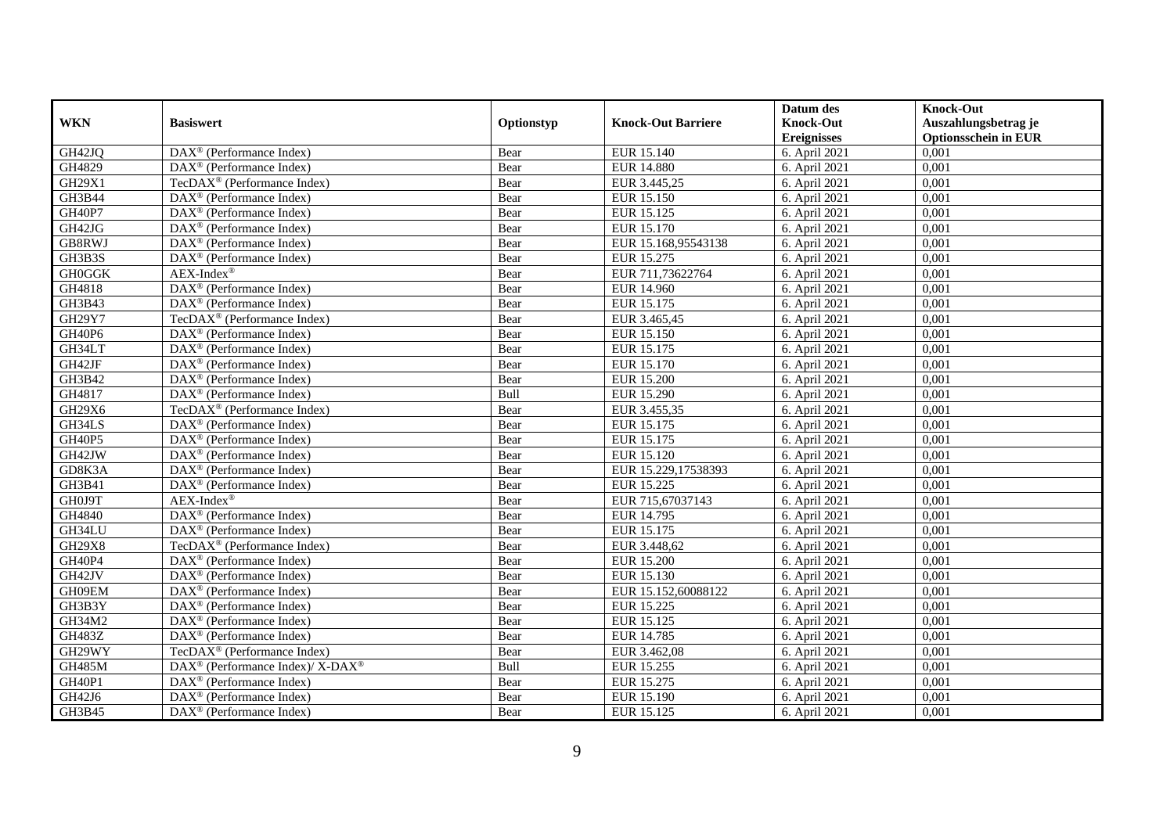|               |                                                                    |            |                           | Datum des          | <b>Knock-Out</b>            |
|---------------|--------------------------------------------------------------------|------------|---------------------------|--------------------|-----------------------------|
| <b>WKN</b>    | <b>Basiswert</b>                                                   | Optionstyp | <b>Knock-Out Barriere</b> | <b>Knock-Out</b>   | Auszahlungsbetrag je        |
|               |                                                                    |            |                           | <b>Ereignisses</b> | <b>Optionsschein in EUR</b> |
| GH42JQ        | $\overline{\text{DAX}}^{\textcirc}$ (Performance Index)            | Bear       | EUR 15.140                | 6. April 2021      | 0,001                       |
| GH4829        | $\text{DAX}^{\textcircled{p}}$ (Performance Index)                 | Bear       | <b>EUR 14.880</b>         | 6. April 2021      | 0,001                       |
| GH29X1        | TecDAX <sup>®</sup> (Performance Index)                            | Bear       | EUR 3.445,25              | 6. April 2021      | 0,001                       |
| GH3B44        | $\text{DAX}^{\circledast}$ (Performance Index)                     | Bear       | EUR 15.150                | 6. April 2021      | 0,001                       |
| GH40P7        | DAX <sup>®</sup> (Performance Index)                               | Bear       | EUR 15.125                | 6. April 2021      | 0,001                       |
| GH42JG        | DAX <sup>®</sup> (Performance Index)                               | Bear       | EUR 15.170                | 6. April 2021      | 0,001                       |
| GB8RWJ        | $\overline{\text{DAX}}^{\textcirc}$ (Performance Index)            | Bear       | EUR 15.168,95543138       | 6. April 2021      | 0,001                       |
| GH3B3S        | DAX <sup>®</sup> (Performance Index)                               | Bear       | EUR 15.275                | 6. April 2021      | 0,001                       |
| <b>GH0GGK</b> | $AEX-Index^{\circledR}$                                            | Bear       | EUR 711,73622764          | 6. April 2021      | 0,001                       |
| GH4818        | DAX <sup>®</sup> (Performance Index)                               | Bear       | <b>EUR 14.960</b>         | 6. April 2021      | 0,001                       |
| GH3B43        | DAX <sup>®</sup> (Performance Index)                               | Bear       | EUR 15.175                | 6. April 2021      | 0,001                       |
| GH29Y7        | TecDAX <sup>®</sup> (Performance Index)                            | Bear       | EUR 3.465,45              | 6. April 2021      | 0,001                       |
| GH40P6        | $\text{DAX}^{\circledast}$ (Performance Index)                     | Bear       | EUR 15.150                | 6. April 2021      | 0,001                       |
| GH34LT        | DAX <sup>®</sup> (Performance Index)                               | Bear       | EUR 15.175                | 6. April 2021      | 0,001                       |
| GH42JF        | $\text{DAX}^{\otimes}$ (Performance Index)                         | Bear       | EUR 15.170                | 6. April 2021      | 0,001                       |
| GH3B42        | DAX <sup>®</sup> (Performance Index)                               | Bear       | <b>EUR 15.200</b>         | 6. April 2021      | 0,001                       |
| GH4817        | DAX <sup>®</sup> (Performance Index)                               | Bull       | EUR 15.290                | 6. April 2021      | 0,001                       |
| GH29X6        | TecDAX <sup>®</sup> (Performance Index)                            | Bear       | EUR 3.455.35              | 6. April 2021      | 0,001                       |
| GH34LS        | $\overline{\text{DAX}}^{\textcircled{}}$ (Performance Index)       | Bear       | EUR 15.175                | 6. April 2021      | 0,001                       |
| GH40P5        | DAX <sup>®</sup> (Performance Index)                               | Bear       | EUR 15.175                | 6. April 2021      | 0,001                       |
| GH42JW        | $\overline{\text{DAX}^{\otimes}}$ (Performance Index)              | Bear       | EUR 15.120                | 6. April 2021      | 0,001                       |
| GD8K3A        | $\overline{\text{DAX}^{\otimes}}$ (Performance Index)              | Bear       | EUR 15.229,17538393       | 6. April 2021      | 0,001                       |
| GH3B41        | $\text{DAX}^{\circledast}$ (Performance Index)                     | Bear       | <b>EUR 15.225</b>         | 6. April 2021      | 0,001                       |
| GH0J9T        | $AEX-Index^{\circledR}$                                            | Bear       | EUR 715,67037143          | 6. April 2021      | 0,001                       |
| GH4840        | DAX <sup>®</sup> (Performance Index)                               | Bear       | EUR 14.795                | 6. April 2021      | 0,001                       |
| GH34LU        | $\text{DAX}^{\otimes}$ (Performance Index)                         | Bear       | EUR 15.175                | 6. April 2021      | 0,001                       |
| <b>GH29X8</b> | TecDAX <sup>®</sup> (Performance Index)                            | Bear       | EUR 3.448,62              | 6. April 2021      | 0,001                       |
| <b>GH40P4</b> | $\text{DAX}^{\textcircled{p}}$ (Performance Index)                 | Bear       | <b>EUR 15.200</b>         | 6. April 2021      | 0,001                       |
| GH42JV        | $\text{DAX}^{\textcircled{p}}$ (Performance Index)                 | Bear       | EUR 15.130                | 6. April 2021      | 0,001                       |
| GH09EM        | $\text{DAX}^{\textcircled{D}}$ (Performance Index)                 | Bear       | EUR 15.152,60088122       | 6. April 2021      | 0,001                       |
| GH3B3Y        | DAX <sup>®</sup> (Performance Index)                               | Bear       | EUR 15.225                | 6. April 2021      | 0,001                       |
| GH34M2        | DAX <sup>®</sup> (Performance Index)                               | Bear       | EUR 15.125                | 6. April 2021      | 0,001                       |
| <b>GH483Z</b> | $\overline{\text{DAX}^{\otimes}}$ (Performance Index)              | Bear       | EUR 14.785                | 6. April 2021      | 0,001                       |
| GH29WY        | TecDAX <sup>®</sup> (Performance Index)                            | Bear       | EUR 3.462,08              | 6. April 2021      | 0,001                       |
| <b>GH485M</b> | $\text{DAX}^{\circledast}$ (Performance Index)/ X-DAX <sup>®</sup> | Bull       | EUR 15.255                | 6. April 2021      | 0,001                       |
| <b>GH40P1</b> | $\text{DAX}^{\textcircled{n}}$ (Performance Index)                 | Bear       | EUR 15.275                | 6. April 2021      | 0,001                       |
| GH42J6        | $\text{DAX}^{\otimes}$ (Performance Index)                         | Bear       | EUR 15.190                | 6. April 2021      | 0,001                       |
| GH3B45        | $\text{DAX}^{\textcircled{n}}$ (Performance Index)                 | Bear       | EUR 15.125                | 6. April 2021      | 0,001                       |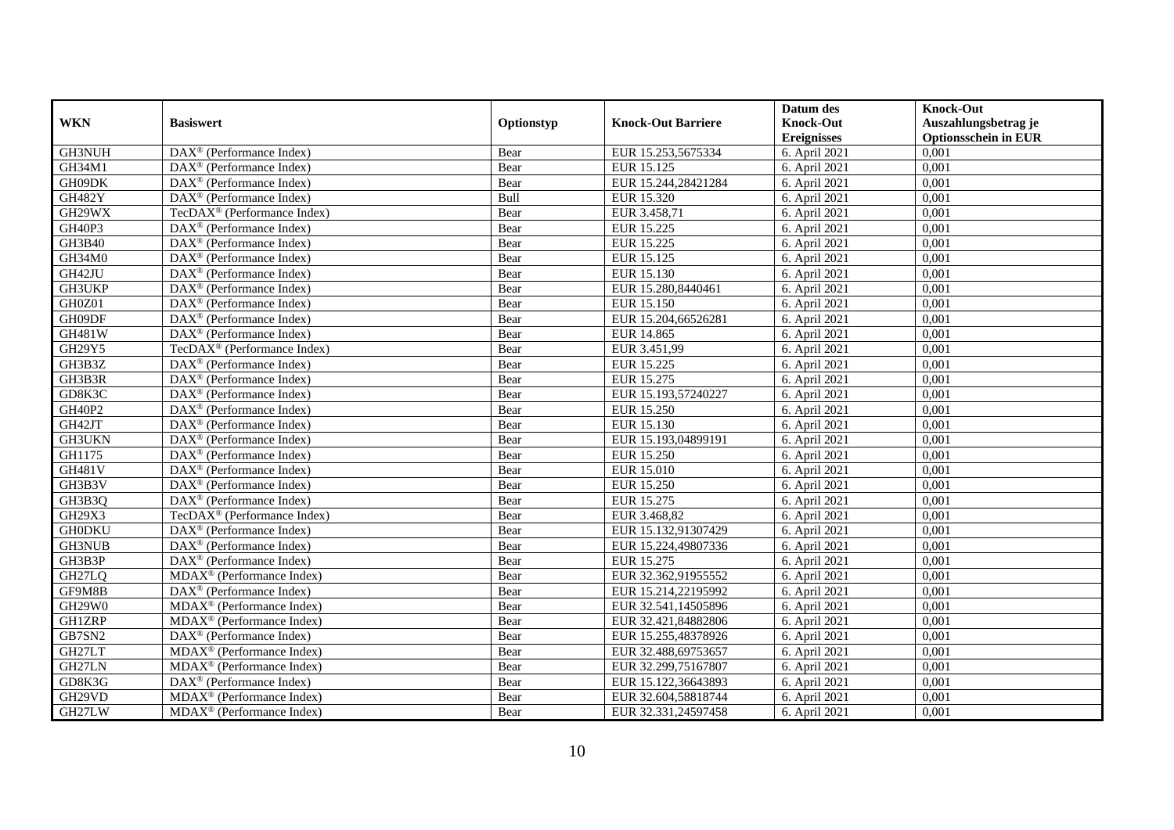| <b>WKN</b>    | <b>Basiswert</b>                                        | Optionstyp | <b>Knock-Out Barriere</b> | Datum des<br><b>Knock-Out</b> | <b>Knock-Out</b><br>Auszahlungsbetrag je |
|---------------|---------------------------------------------------------|------------|---------------------------|-------------------------------|------------------------------------------|
|               |                                                         |            |                           | <b>Ereignisses</b>            | <b>Optionsschein in EUR</b>              |
| <b>GH3NUH</b> | DAX <sup>®</sup> (Performance Index)                    | Bear       | EUR 15.253,5675334        | 6. April 2021                 | 0,001                                    |
| GH34M1        | $DAX^{\circledR}$ (Performance Index)                   | Bear       | EUR 15.125                | 6. April 2021                 | 0,001                                    |
| GH09DK        | DAX <sup>®</sup> (Performance Index)                    | Bear       | EUR 15.244,28421284       | 6. April 2021                 | 0,001                                    |
| <b>GH482Y</b> | DAX <sup>®</sup> (Performance Index)                    | Bull       | EUR 15.320                | 6. April 2021                 | 0,001                                    |
| GH29WX        | TecDAX <sup>®</sup> (Performance Index)                 | Bear       | EUR 3.458,71              | 6. April 2021                 | 0,001                                    |
| GH40P3        | $\text{DAX}^{\textcircled{D}}$ (Performance Index)      | Bear       | EUR 15.225                | 6. April 2021                 | 0,001                                    |
| GH3B40        | $\overline{\text{DAX}}^{\textcirc}$ (Performance Index) | Bear       | EUR 15.225                | 6. April 2021                 | 0,001                                    |
| GH34M0        | $\text{DAX}^{\textcircled{}}$ (Performance Index)       | Bear       | EUR 15.125                | 6. April 2021                 | 0,001                                    |
| GH42JU        | $\text{DAX}^{\textcircled{D}}$ (Performance Index)      | Bear       | EUR 15.130                | 6. April 2021                 | 0,001                                    |
| GH3UKP        | DAX <sup>®</sup> (Performance Index)                    | Bear       | EUR 15.280,8440461        | 6. April 2021                 | 0,001                                    |
| GH0Z01        | DAX <sup>®</sup> (Performance Index)                    | Bear       | EUR 15.150                | 6. April 2021                 | 0,001                                    |
| GH09DF        | DAX <sup>®</sup> (Performance Index)                    | Bear       | EUR 15.204,66526281       | 6. April 2021                 | 0,001                                    |
| GH481W        | $\text{DAX}^{\circledast}$ (Performance Index)          | Bear       | EUR 14.865                | 6. April 2021                 | 0,001                                    |
| GH29Y5        | TecDAX <sup>®</sup> (Performance Index)                 | Bear       | EUR 3.451,99              | 6. April 2021                 | 0,001                                    |
| GH3B3Z        | DAX <sup>®</sup> (Performance Index)                    | Bear       | EUR 15.225                | 6. April 2021                 | 0,001                                    |
| GH3B3R        | DAX <sup>®</sup> (Performance Index)                    | Bear       | EUR 15.275                | 6. April 2021                 | 0,001                                    |
| GD8K3C        | $\text{DAX}^{\textcircled{p}}$ (Performance Index)      | Bear       | EUR 15.193,57240227       | 6. April 2021                 | 0,001                                    |
| GH40P2        | $\overline{\text{DAX}^{\otimes}}$ (Performance Index)   | Bear       | EUR 15.250                | 6. April 2021                 | 0,001                                    |
| GH42JT        | $\text{DAX}^{\textcircled{n}}$ (Performance Index)      | Bear       | EUR 15.130                | 6. April 2021                 | 0,001                                    |
| GH3UKN        | $\text{DAX}^{\textcircled{n}}$ (Performance Index)      | Bear       | EUR 15.193,04899191       | 6. April 2021                 | 0,001                                    |
| GH1175        | $\text{DAX}^{\otimes}$ (Performance Index)              | Bear       | <b>EUR 15.250</b>         | 6. April 2021                 | 0,001                                    |
| <b>GH481V</b> | $\overline{\text{DAX}}^{\textcirc}$ (Performance Index) | Bear       | <b>EUR 15.010</b>         | 6. April 2021                 | 0,001                                    |
| GH3B3V        | DAX <sup>®</sup> (Performance Index)                    | Bear       | <b>EUR 15.250</b>         | 6. April 2021                 | 0,001                                    |
| GH3B3Q        | $\text{DAX}^{\textcircled{p}}$ (Performance Index)      | Bear       | EUR 15.275                | 6. April 2021                 | 0,001                                    |
| GH29X3        | TecDAX <sup>®</sup> (Performance Index)                 | Bear       | EUR 3.468,82              | 6. April 2021                 | 0,001                                    |
| <b>GH0DKU</b> | DAX <sup>®</sup> (Performance Index)                    | Bear       | EUR 15.132,91307429       | 6. April 2021                 | 0,001                                    |
| <b>GH3NUB</b> | DAX <sup>®</sup> (Performance Index)                    | Bear       | EUR 15.224,49807336       | 6. April 2021                 | 0,001                                    |
| GH3B3P        | $\overline{\text{DAX}^{\otimes}}$ (Performance Index)   | Bear       | EUR 15.275                | 6. April 2021                 | 0,001                                    |
| GH27LQ        | $MDAX^{\circledR}$ (Performance Index)                  | Bear       | EUR 32.362,91955552       | 6. April 2021                 | 0,001                                    |
| GF9M8B        | $DAX^{\circledcirc}$ (Performance Index)                | Bear       | EUR 15.214.22195992       | 6. April 2021                 | 0.001                                    |
| GH29W0        | $MDAX^{\circledR}$ (Performance Index)                  | Bear       | EUR 32.541,14505896       | 6. April 2021                 | 0,001                                    |
| <b>GH1ZRP</b> | MDAX <sup>®</sup> (Performance Index)                   | Bear       | EUR 32.421,84882806       | 6. April 2021                 | 0,001                                    |
| GB7SN2        | DAX <sup>®</sup> (Performance Index)                    | Bear       | EUR 15.255,48378926       | 6. April 2021                 | 0,001                                    |
| GH27LT        | $MDAX^{\circledcirc}$ (Performance Index)               | Bear       | EUR 32.488,69753657       | 6. April 2021                 | 0,001                                    |
| GH27LN        | MDAX <sup>®</sup> (Performance Index)                   | Bear       | EUR 32.299,75167807       | 6. April 2021                 | 0,001                                    |
| GD8K3G        | DAX <sup>®</sup> (Performance Index)                    | Bear       | EUR 15.122,36643893       | 6. April 2021                 | 0,001                                    |
| GH29VD        | MDAX <sup>®</sup> (Performance Index)                   | Bear       | EUR 32.604,58818744       | 6. April 2021                 | 0,001                                    |
| GH27LW        | MDAX <sup>®</sup> (Performance Index)                   | Bear       | EUR 32.331,24597458       | 6. April 2021                 | 0,001                                    |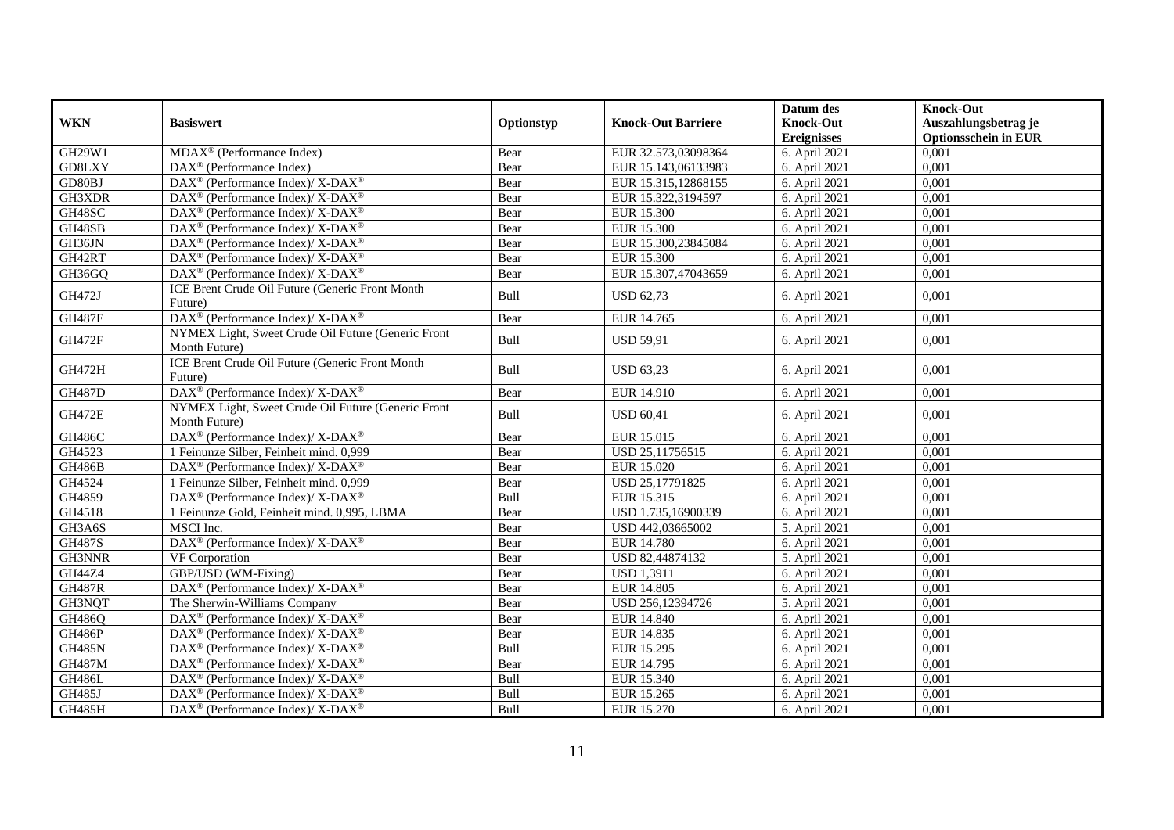|               |                                                                          |            |                           | Datum des          | <b>Knock-Out</b>            |
|---------------|--------------------------------------------------------------------------|------------|---------------------------|--------------------|-----------------------------|
| <b>WKN</b>    | <b>Basiswert</b>                                                         | Optionstyp | <b>Knock-Out Barriere</b> | <b>Knock-Out</b>   | Auszahlungsbetrag je        |
|               |                                                                          |            |                           | <b>Ereignisses</b> | <b>Optionsschein in EUR</b> |
| GH29W1        | $MDAX^{\circledast}$ (Performance Index)                                 | Bear       | EUR 32.573,03098364       | 6. April 2021      | 0,001                       |
| GD8LXY        | $DAX^{\circledR}$ (Performance Index)                                    | Bear       | EUR 15.143,06133983       | 6. April 2021      | 0,001                       |
| GD80BJ        | $DAX^{\circledast}$ (Performance Index)/ X-DAX <sup>®</sup>              | Bear       | EUR 15.315,12868155       | 6. April 2021      | 0,001                       |
| GH3XDR        | DAX <sup>®</sup> (Performance Index)/ X-DAX <sup>®</sup>                 | Bear       | EUR 15.322,3194597        | 6. April 2021      | 0,001                       |
| GH48SC        | DAX <sup>®</sup> (Performance Index)/ X-DAX <sup>®</sup>                 | Bear       | <b>EUR 15.300</b>         | 6. April 2021      | 0,001                       |
| GH48SB        | DAX <sup>®</sup> (Performance Index)/X-DAX <sup>®</sup>                  | Bear       | <b>EUR 15.300</b>         | 6. April 2021      | 0,001                       |
| GH36JN        | $\overline{\text{DAX}^{\otimes}}$ (Performance Index)/X-DAX <sup>®</sup> | Bear       | EUR 15.300,23845084       | 6. April 2021      | 0,001                       |
| GH42RT        | DAX <sup>®</sup> (Performance Index)/ X-DAX <sup>®</sup>                 | Bear       | <b>EUR 15.300</b>         | 6. April 2021      | 0,001                       |
| GH36GQ        | $DAX^{\circledast}$ (Performance Index)/ X-DAX <sup>®</sup>              | Bear       | EUR 15.307,47043659       | 6. April 2021      | 0,001                       |
| GH472J        | ICE Brent Crude Oil Future (Generic Front Month<br>Future)               | Bull       | <b>USD 62,73</b>          | 6. April 2021      | 0,001                       |
| <b>GH487E</b> | DAX <sup>®</sup> (Performance Index)/X-DAX <sup>®</sup>                  | Bear       | EUR 14.765                | 6. April 2021      | 0,001                       |
| <b>GH472F</b> | NYMEX Light, Sweet Crude Oil Future (Generic Front<br>Month Future)      | Bull       | <b>USD 59,91</b>          | 6. April 2021      | 0.001                       |
| <b>GH472H</b> | ICE Brent Crude Oil Future (Generic Front Month<br>Future)               | Bull       | <b>USD 63,23</b>          | 6. April 2021      | 0,001                       |
| <b>GH487D</b> | DAX <sup>®</sup> (Performance Index)/X-DAX <sup>®</sup>                  | Bear       | EUR 14.910                | 6. April 2021      | 0,001                       |
| <b>GH472E</b> | NYMEX Light, Sweet Crude Oil Future (Generic Front<br>Month Future)      | Bull       | <b>USD 60,41</b>          | 6. April 2021      | 0,001                       |
| <b>GH486C</b> | DAX <sup>®</sup> (Performance Index)/X-DAX <sup>®</sup>                  | Bear       | EUR 15.015                | 6. April 2021      | 0,001                       |
| GH4523        | 1 Feinunze Silber, Feinheit mind. 0,999                                  | Bear       | USD 25,11756515           | 6. April 2021      | 0,001                       |
| <b>GH486B</b> | DAX <sup>®</sup> (Performance Index)/X-DAX <sup>®</sup>                  | Bear       | EUR 15.020                | 6. April 2021      | 0,001                       |
| GH4524        | 1 Feinunze Silber, Feinheit mind. 0,999                                  | Bear       | USD 25,17791825           | 6. April 2021      | 0,001                       |
| GH4859        | DAX <sup>®</sup> (Performance Index)/ X-DAX <sup>®</sup>                 | Bull       | EUR 15.315                | 6. April 2021      | 0,001                       |
| GH4518        | 1 Feinunze Gold, Feinheit mind. 0,995, LBMA                              | Bear       | USD 1.735,16900339        | 6. April 2021      | 0,001                       |
| GH3A6S        | MSCI Inc.                                                                | Bear       | USD 442,03665002          | 5. April 2021      | 0,001                       |
| <b>GH487S</b> | DAX <sup>®</sup> (Performance Index)/X-DAX <sup>®</sup>                  | Bear       | <b>EUR 14.780</b>         | 6. April 2021      | 0,001                       |
| GH3NNR        | VF Corporation                                                           | Bear       | USD 82,44874132           | 5. April 2021      | 0,001                       |
| <b>GH44Z4</b> | GBP/USD (WM-Fixing)                                                      | Bear       | <b>USD 1,3911</b>         | 6. April 2021      | 0,001                       |
| <b>GH487R</b> | DAX <sup>®</sup> (Performance Index)/X-DAX <sup>®</sup>                  | Bear       | <b>EUR 14.805</b>         | 6. April 2021      | 0,001                       |
| GH3NQT        | The Sherwin-Williams Company                                             | Bear       | USD 256,12394726          | 5. April 2021      | 0,001                       |
| GH486Q        | DAX <sup>®</sup> (Performance Index)/X-DAX <sup>®</sup>                  | Bear       | EUR 14.840                | 6. April 2021      | 0,001                       |
| <b>GH486P</b> | DAX <sup>®</sup> (Performance Index)/ X-DAX <sup>®</sup>                 | Bear       | EUR 14.835                | 6. April 2021      | 0,001                       |
| <b>GH485N</b> | DAX <sup>®</sup> (Performance Index)/ X-DAX <sup>®</sup>                 | Bull       | EUR 15.295                | 6. April 2021      | 0,001                       |
| <b>GH487M</b> | DAX <sup>®</sup> (Performance Index)/ X-DAX <sup>®</sup>                 | Bear       | EUR 14.795                | 6. April 2021      | 0,001                       |
| <b>GH486L</b> | DAX <sup>®</sup> (Performance Index)/ X-DAX <sup>®</sup>                 | Bull       | EUR 15.340                | 6. April 2021      | 0,001                       |
| <b>GH485J</b> | DAX <sup>®</sup> (Performance Index)/ X-DAX <sup>®</sup>                 | Bull       | EUR 15.265                | 6. April 2021      | 0,001                       |
| <b>GH485H</b> | DAX <sup>®</sup> (Performance Index)/ X-DAX <sup>®</sup>                 | Bull       | EUR 15.270                | 6. April 2021      | 0,001                       |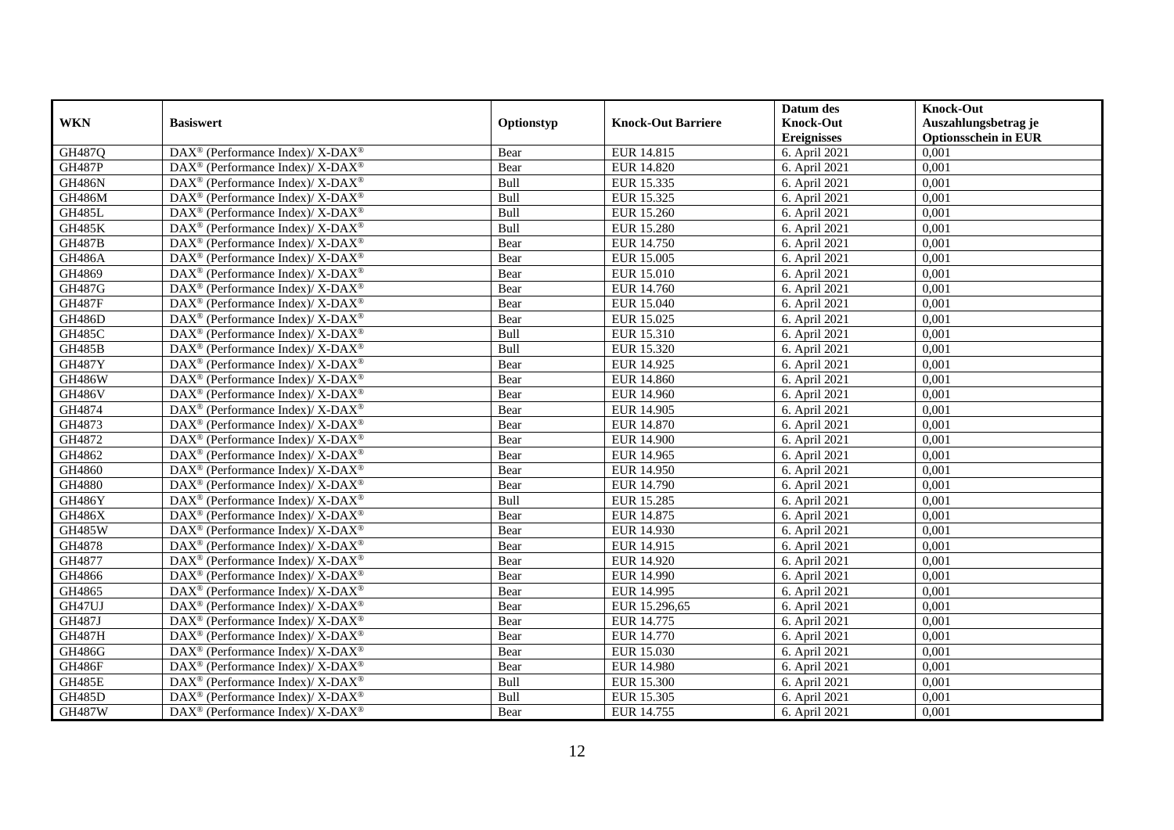|               |                                                                    |            |                           | Datum des          | <b>Knock-Out</b>            |
|---------------|--------------------------------------------------------------------|------------|---------------------------|--------------------|-----------------------------|
| <b>WKN</b>    | <b>Basiswert</b>                                                   | Optionstyp | <b>Knock-Out Barriere</b> | <b>Knock-Out</b>   | Auszahlungsbetrag je        |
|               |                                                                    |            |                           | <b>Ereignisses</b> | <b>Optionsschein in EUR</b> |
| GH487Q        | DAX <sup>®</sup> (Performance Index)/X-DAX <sup>®</sup>            | Bear       | EUR 14.815                | 6. April 2021      | 0,001                       |
| <b>GH487P</b> | $DAX^{\circledast}$ (Performance Index)/ X-DAX <sup>®</sup>        | Bear       | <b>EUR 14.820</b>         | 6. April 2021      | 0,001                       |
| <b>GH486N</b> | $DAX^{\circledast}$ (Performance Index)/ X-DAX <sup>®</sup>        | Bull       | EUR 15.335                | 6. April 2021      | 0,001                       |
| <b>GH486M</b> | $DAX^{\circledast}$ (Performance Index)/ X-DAX <sup>®</sup>        | Bull       | EUR 15.325                | 6. April 2021      | 0,001                       |
| <b>GH485L</b> | $\text{DAX}^{\circledast}$ (Performance Index)/ X-DAX <sup>®</sup> | Bull       | <b>EUR 15.260</b>         | 6. April 2021      | 0,001                       |
| <b>GH485K</b> | DAX <sup>®</sup> (Performance Index)/ X-DAX <sup>®</sup>           | Bull       | <b>EUR 15.280</b>         | 6. April 2021      | 0,001                       |
| <b>GH487B</b> | $DAX^{\circledast}$ (Performance Index)/ X-DAX <sup>®</sup>        | Bear       | EUR 14.750                | 6. April 2021      | 0,001                       |
| <b>GH486A</b> | $DAX^{\circledast}$ (Performance Index)/ X-DAX <sup>®</sup>        | Bear       | EUR 15.005                | 6. April 2021      | 0,001                       |
| GH4869        | $DAX^{\circledast}$ (Performance Index)/ X-DAX <sup>®</sup>        | Bear       | EUR 15.010                | 6. April 2021      | 0,001                       |
| GH487G        | $DAX^{\circledast}$ (Performance Index)/ X-DAX <sup>®</sup>        | Bear       | EUR 14.760                | 6. April 2021      | 0,001                       |
| <b>GH487F</b> | $DAX^{\circledast}$ (Performance Index)/ X-DAX <sup>®</sup>        | Bear       | EUR 15.040                | 6. April 2021      | 0,001                       |
| <b>GH486D</b> | DAX <sup>®</sup> (Performance Index)/ X-DAX <sup>®</sup>           | Bear       | EUR 15.025                | 6. April 2021      | 0,001                       |
| <b>GH485C</b> | $DAX^{\circledast}$ (Performance Index)/ X-DAX <sup>®</sup>        | Bull       | EUR 15.310                | 6. April 2021      | 0,001                       |
| <b>GH485B</b> | DAX <sup>®</sup> (Performance Index)/ X-DAX <sup>®</sup>           | Bull       | EUR 15.320                | 6. April 2021      | 0,001                       |
| <b>GH487Y</b> | DAX <sup>®</sup> (Performance Index)/ X-DAX <sup>®</sup>           | Bear       | EUR 14.925                | 6. April 2021      | 0,001                       |
| <b>GH486W</b> | DAX <sup>®</sup> (Performance Index)/ X-DAX <sup>®</sup>           | Bear       | EUR 14.860                | 6. April 2021      | 0,001                       |
| <b>GH486V</b> | DAX <sup>®</sup> (Performance Index)/ X-DAX <sup>®</sup>           | Bear       | <b>EUR 14.960</b>         | 6. April 2021      | 0,001                       |
| GH4874        | $DAX^{\circledast}$ (Performance Index)/ X-DAX <sup>®</sup>        | Bear       | EUR 14.905                | 6. April 2021      | 0,001                       |
| GH4873        | $DAX^{\circledast}$ (Performance Index)/ X-DAX <sup>®</sup>        | Bear       | <b>EUR 14.870</b>         | 6. April 2021      | 0,001                       |
| GH4872        | DAX <sup>®</sup> (Performance Index)/ X-DAX <sup>®</sup>           | Bear       | <b>EUR 14.900</b>         | 6. April 2021      | 0,001                       |
| GH4862        | DAX <sup>®</sup> (Performance Index)/X-DAX <sup>®</sup>            | Bear       | EUR 14.965                | 6. April 2021      | 0,001                       |
| GH4860        | $\text{DAX}^{\circledast}$ (Performance Index)/ X-DAX <sup>®</sup> | Bear       | EUR 14.950                | 6. April 2021      | 0,001                       |
| GH4880        | DAX <sup>®</sup> (Performance Index)/ X-DAX <sup>®</sup>           | Bear       | EUR 14.790                | 6. April 2021      | 0,001                       |
| GH486Y        | $DAX^{\circledast}$ (Performance Index)/ X-DAX <sup>®</sup>        | Bull       | <b>EUR 15.285</b>         | 6. April 2021      | 0,001                       |
| <b>GH486X</b> | DAX <sup>®</sup> (Performance Index)/X-DAX <sup>®</sup>            | Bear       | EUR 14.875                | 6. April 2021      | 0,001                       |
| GH485W        | DAX <sup>®</sup> (Performance Index)/ X-DAX <sup>®</sup>           | Bear       | EUR 14.930                | 6. April 2021      | 0,001                       |
| GH4878        | DAX <sup>®</sup> (Performance Index)/X-DAX <sup>®</sup>            | Bear       | EUR 14.915                | 6. April 2021      | 0,001                       |
| GH4877        | DAX <sup>®</sup> (Performance Index)/ X-DAX <sup>®</sup>           | Bear       | EUR 14.920                | 6. April 2021      | 0,001                       |
| GH4866        | DAX <sup>®</sup> (Performance Index)/ X-DAX <sup>®</sup>           | Bear       | EUR 14.990                | 6. April 2021      | 0,001                       |
| GH4865        | $\text{DAX}^{\circledast}$ (Performance Index)/X-DAX <sup>®</sup>  | Bear       | EUR 14.995                | 6. April 2021      | 0,001                       |
| GH47UJ        | $DAX^{\circledast}$ (Performance Index)/ X-DAX <sup>®</sup>        | Bear       | EUR 15.296,65             | 6. April 2021      | 0,001                       |
| <b>GH487J</b> | DAX <sup>®</sup> (Performance Index)/ X-DAX <sup>®</sup>           | Bear       | EUR 14.775                | 6. April 2021      | 0,001                       |
| <b>GH487H</b> | DAX <sup>®</sup> (Performance Index)/X-DAX <sup>®</sup>            | Bear       | <b>EUR 14.770</b>         | 6. April 2021      | 0,001                       |
| <b>GH486G</b> | DAX <sup>®</sup> (Performance Index)/ X-DAX <sup>®</sup>           | Bear       | EUR 15.030                | 6. April 2021      | 0,001                       |
| <b>GH486F</b> | DAX <sup>®</sup> (Performance Index)/ X-DAX <sup>®</sup>           | Bear       | <b>EUR 14.980</b>         | 6. April 2021      | 0,001                       |
| <b>GH485E</b> | $\text{DAX}^{\circledast}$ (Performance Index)/X-DAX <sup>®</sup>  | Bull       | <b>EUR 15.300</b>         | 6. April 2021      | 0,001                       |
| <b>GH485D</b> | DAX <sup>®</sup> (Performance Index)/ X-DAX <sup>®</sup>           | Bull       | EUR 15.305                | 6. April 2021      | 0,001                       |
| <b>GH487W</b> | DAX <sup>®</sup> (Performance Index)/ X-DAX <sup>®</sup>           | Bear       | EUR 14.755                | 6. April 2021      | 0,001                       |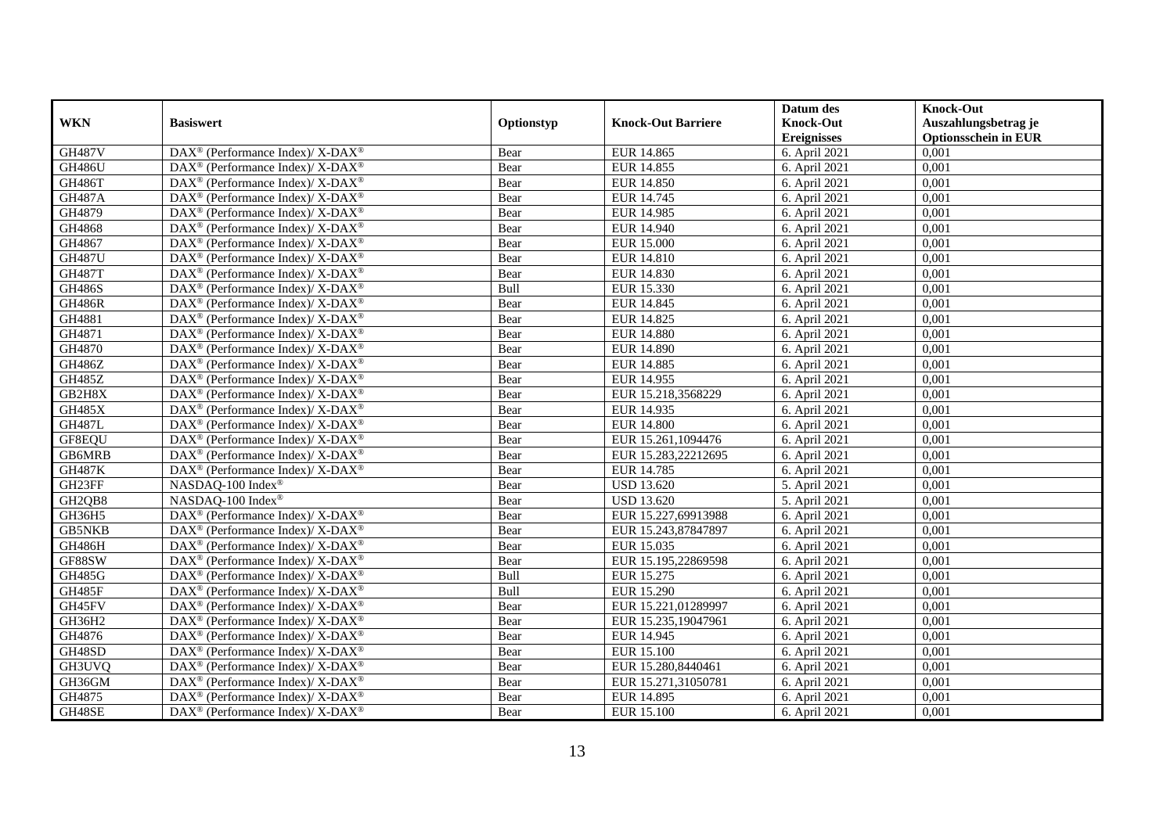|               |                                                                          |            |                           | Datum des          | <b>Knock-Out</b>            |
|---------------|--------------------------------------------------------------------------|------------|---------------------------|--------------------|-----------------------------|
| <b>WKN</b>    | <b>Basiswert</b>                                                         | Optionstyp | <b>Knock-Out Barriere</b> | <b>Knock-Out</b>   | Auszahlungsbetrag je        |
|               |                                                                          |            |                           | <b>Ereignisses</b> | <b>Optionsschein in EUR</b> |
| <b>GH487V</b> | DAX <sup>®</sup> (Performance Index)/X-DAX <sup>®</sup>                  | Bear       | EUR 14.865                | 6. April 2021      | 0,001                       |
| <b>GH486U</b> | $\text{DAX}^{\circledast}$ (Performance Index)/ X-DAX <sup>®</sup>       | Bear       | EUR 14.855                | 6. April 2021      | 0,001                       |
| <b>GH486T</b> | $DAX^{\circledcirc}$ (Performance Index)/X-DAX <sup>®</sup>              | Bear       | <b>EUR 14.850</b>         | 6. April 2021      | 0,001                       |
| <b>GH487A</b> | DAX <sup>®</sup> (Performance Index)/ X-DAX <sup>®</sup>                 | Bear       | EUR 14.745                | 6. April 2021      | 0,001                       |
| GH4879        | $\text{DAX}^{\otimes}$ (Performance Index)/X-DAX <sup>®</sup>            | Bear       | <b>EUR 14.985</b>         | 6. April 2021      | 0,001                       |
| GH4868        | DAX <sup>®</sup> (Performance Index)/ X-DAX <sup>®</sup>                 | Bear       | <b>EUR 14.940</b>         | 6. April 2021      | 0,001                       |
| GH4867        | DAX <sup>®</sup> (Performance Index)/ X-DAX <sup>®</sup>                 | Bear       | <b>EUR 15.000</b>         | 6. April 2021      | 0,001                       |
| <b>GH487U</b> | DAX <sup>®</sup> (Performance Index)/ X-DAX <sup>®</sup>                 | Bear       | <b>EUR 14.810</b>         | 6. April 2021      | 0,001                       |
| <b>GH487T</b> | $DAX^{\circledcirc}$ (Performance Index)/X-DAX <sup>®</sup>              | Bear       | EUR 14.830                | 6. April 2021      | 0,001                       |
| <b>GH486S</b> | $\overline{\text{DAX}^{\otimes}}$ (Performance Index)/X-DAX <sup>®</sup> | Bull       | EUR 15.330                | 6. April 2021      | 0,001                       |
| <b>GH486R</b> | $\text{DAX}^{\circledast}$ (Performance Index)/ X-DAX <sup>®</sup>       | Bear       | EUR 14.845                | 6. April 2021      | 0,001                       |
| GH4881        | DAX <sup>®</sup> (Performance Index)/ X-DAX <sup>®</sup>                 | Bear       | EUR 14.825                | 6. April 2021      | 0,001                       |
| GH4871        | $\text{DAX}^{\circledast}$ (Performance Index)/ X-DAX <sup>®</sup>       | Bear       | <b>EUR 14.880</b>         | 6. April 2021      | 0,001                       |
| GH4870        | $\text{DAX}^{\circledast}$ (Performance Index)/ X-DAX <sup>®</sup>       | Bear       | <b>EUR 14.890</b>         | 6. April 2021      | 0,001                       |
| GH486Z        | DAX <sup>®</sup> (Performance Index)/ X-DAX <sup>®</sup>                 | Bear       | <b>EUR 14.885</b>         | 6. April 2021      | 0,001                       |
| <b>GH485Z</b> | DAX <sup>®</sup> (Performance Index)/ X-DAX <sup>®</sup>                 | Bear       | EUR 14.955                | 6. April 2021      | 0,001                       |
| GB2H8X        | $DAX^{\circledast}$ (Performance Index)/ X-DAX <sup>®</sup>              | Bear       | EUR 15.218,3568229        | 6. April 2021      | 0,001                       |
| <b>GH485X</b> | $\text{DAX}^{\circledast}$ (Performance Index)/ X-DAX <sup>®</sup>       | Bear       | EUR 14.935                | 6. April 2021      | 0,001                       |
| <b>GH487L</b> | $\text{DAX}^{\circledast}$ (Performance Index)/ X-DAX <sup>®</sup>       | Bear       | <b>EUR 14.800</b>         | 6. April 2021      | 0,001                       |
| GF8EQU        | $\text{DAX}^{\circledast}$ (Performance Index)/ X-DAX <sup>®</sup>       | Bear       | EUR 15.261,1094476        | 6. April 2021      | 0,001                       |
| GB6MRB        | $\text{DAX}^{\circledast}$ (Performance Index)/ X-DAX <sup>®</sup>       | Bear       | EUR 15.283,22212695       | 6. April 2021      | 0,001                       |
| <b>GH487K</b> | $\text{DAX}^{\circledast}$ (Performance Index)/ X-DAX <sup>®</sup>       | Bear       | EUR 14.785                | 6. April 2021      | 0,001                       |
| GH23FF        | NASDAQ-100 Index®                                                        | Bear       | <b>USD 13.620</b>         | 5. April 2021      | 0,001                       |
| GH2QB8        | NASDAQ-100 Index®                                                        | Bear       | <b>USD 13.620</b>         | 5. April 2021      | 0,001                       |
| GH36H5        | $\text{DAX}^{\otimes}$ (Performance Index)/X-DAX <sup>®</sup>            | Bear       | EUR 15.227,69913988       | 6. April 2021      | 0,001                       |
| <b>GB5NKB</b> | DAX <sup>®</sup> (Performance Index)/ X-DAX <sup>®</sup>                 | Bear       | EUR 15.243,87847897       | 6. April 2021      | 0,001                       |
| <b>GH486H</b> | $DAX^{\circledcirc}$ (Performance Index)/X-DAX <sup>®</sup>              | Bear       | EUR 15.035                | 6. April 2021      | 0,001                       |
| GF88SW        | DAX <sup>®</sup> (Performance Index)/ X-DAX <sup>®</sup>                 | Bear       | EUR 15.195,22869598       | 6. April 2021      | 0,001                       |
| <b>GH485G</b> | $\text{DAX}^{\circledast}$ (Performance Index)/X-DAX <sup>®</sup>        | Bull       | EUR 15.275                | 6. April 2021      | 0,001                       |
| GH485F        | $\text{DAX}^{\circledR}$ (Performance Index)/ X-DAX <sup>®</sup>         | Bull       | <b>EUR 15.290</b>         | 6. April 2021      | 0,001                       |
| GH45FV        | $\text{DAX}^{\circledast}$ (Performance Index)/ X-DAX <sup>®</sup>       | Bear       | EUR 15.221,01289997       | 6. April 2021      | 0,001                       |
| GH36H2        | DAX <sup>®</sup> (Performance Index)/ X-DAX <sup>®</sup>                 | Bear       | EUR 15.235,19047961       | 6. April 2021      | 0,001                       |
| GH4876        | $\text{DAX}^{\circledast}$ (Performance Index)/ X-DAX <sup>®</sup>       | Bear       | EUR 14.945                | 6. April 2021      | 0,001                       |
| GH48SD        | DAX <sup>®</sup> (Performance Index)/ X-DAX <sup>®</sup>                 | Bear       | <b>EUR 15.100</b>         | 6. April 2021      | 0,001                       |
| GH3UVQ        | $\text{DAX}^{\circledR}$ (Performance Index)/ X-DAX <sup>®</sup>         | Bear       | EUR 15.280,8440461        | 6. April 2021      | 0,001                       |
| GH36GM        | DAX <sup>®</sup> (Performance Index)/ X-DAX <sup>®</sup>                 | Bear       | EUR 15.271,31050781       | 6. April 2021      | 0,001                       |
| GH4875        | DAX <sup>®</sup> (Performance Index)/ X-DAX <sup>®</sup>                 | Bear       | EUR 14.895                | 6. April 2021      | 0,001                       |
| GH48SE        | $\text{DAX}^{\circledast}$ (Performance Index)/ X-DAX <sup>®</sup>       | Bear       | <b>EUR 15.100</b>         | 6. April 2021      | 0,001                       |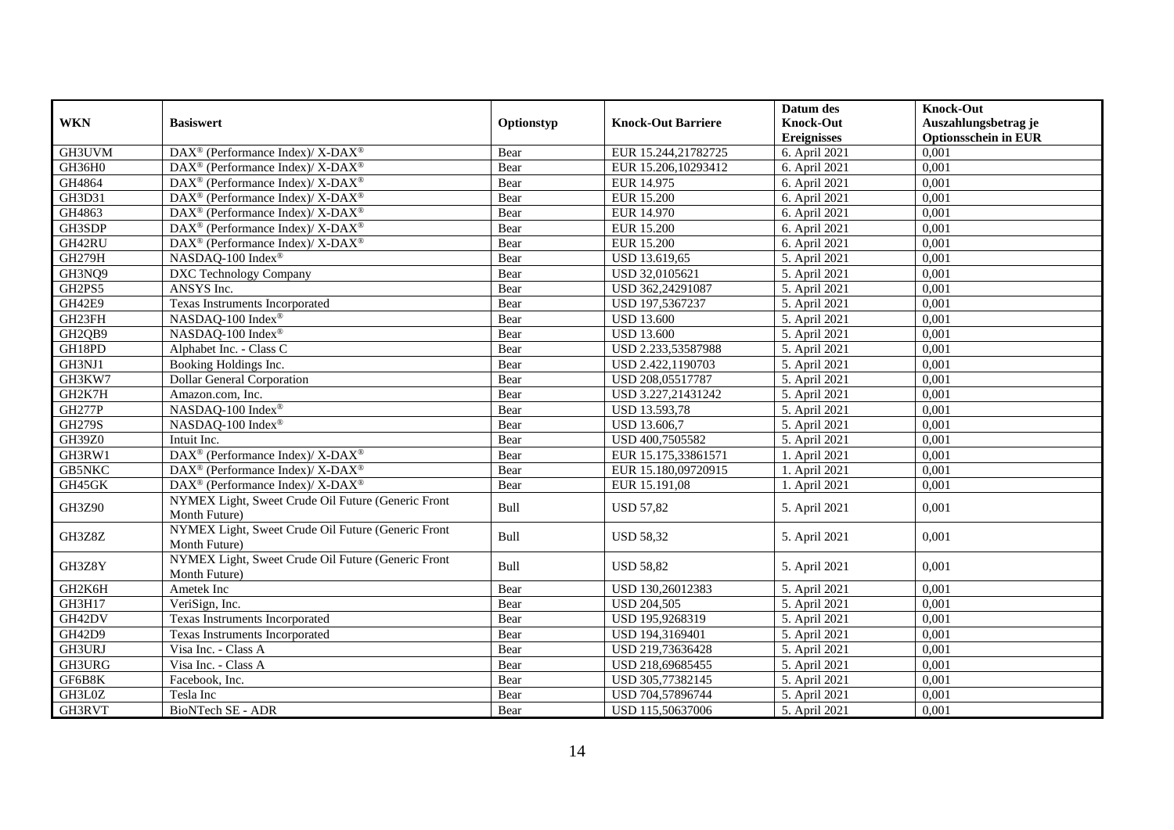| <b>WKN</b>    | <b>Basiswert</b>                                                    | Optionstyp | <b>Knock-Out Barriere</b> | Datum des<br><b>Knock-Out</b> | <b>Knock-Out</b><br>Auszahlungsbetrag je |
|---------------|---------------------------------------------------------------------|------------|---------------------------|-------------------------------|------------------------------------------|
|               |                                                                     |            |                           | <b>Ereignisses</b>            | <b>Optionsschein in EUR</b>              |
| GH3UVM        | DAX <sup>®</sup> (Performance Index)/ X-DAX <sup>®</sup>            | Bear       | EUR 15.244,21782725       | 6. April 2021                 | 0,001                                    |
| GH36H0        | $DAX^{\circledcirc}$ (Performance Index)/ X-DAX <sup>®</sup>        | Bear       | EUR 15.206,10293412       | 6. April 2021                 | 0,001                                    |
| GH4864        | $\text{DAX}^{\circledR}$ (Performance Index)/ X-DAX <sup>®</sup>    | Bear       | EUR 14.975                | 6. April 2021                 | 0,001                                    |
| GH3D31        | $\text{DAX}^{\circledast}$ (Performance Index)/ X-DAX <sup>®</sup>  | Bear       | <b>EUR 15.200</b>         | 6. April 2021                 | 0,001                                    |
| GH4863        | DAX <sup>®</sup> (Performance Index)/ X-DAX <sup>®</sup>            | Bear       | EUR 14.970                | 6. April 2021                 | 0,001                                    |
| GH3SDP        | DAX <sup>®</sup> (Performance Index)/ X-DAX <sup>®</sup>            | Bear       | <b>EUR 15.200</b>         | 6. April 2021                 | 0,001                                    |
| GH42RU        | $\text{DAX}^{\circledR}$ (Performance Index)/ X-DAX <sup>®</sup>    | Bear       | <b>EUR 15.200</b>         | 6. April 2021                 | 0,001                                    |
| <b>GH279H</b> | NASDAQ-100 Index®                                                   | Bear       | USD 13.619,65             | 5. April 2021                 | 0,001                                    |
| GH3NQ9        | DXC Technology Company                                              | Bear       | USD 32,0105621            | 5. April 2021                 | 0,001                                    |
| GH2PS5        | ANSYS Inc.                                                          | Bear       | USD 362,24291087          | 5. April 2021                 | 0,001                                    |
| GH42E9        | Texas Instruments Incorporated                                      | Bear       | USD 197,5367237           | 5. April 2021                 | 0,001                                    |
| GH23FH        | NASDAQ-100 Index®                                                   | Bear       | <b>USD 13.600</b>         | 5. April 2021                 | 0,001                                    |
| GH2QB9        | NASDAQ-100 Index®                                                   | Bear       | <b>USD 13.600</b>         | 5. April 2021                 | 0,001                                    |
| GH18PD        | Alphabet Inc. - Class C                                             | Bear       | USD 2.233,53587988        | 5. April 2021                 | 0,001                                    |
| GH3NJ1        | Booking Holdings Inc.                                               | Bear       | USD 2.422,1190703         | 5. April 2021                 | 0,001                                    |
| GH3KW7        | <b>Dollar General Corporation</b>                                   | Bear       | USD 208,05517787          | 5. April 2021                 | 0,001                                    |
| GH2K7H        | Amazon.com, Inc.                                                    | Bear       | USD 3.227,21431242        | 5. April 2021                 | 0,001                                    |
| <b>GH277P</b> | NASDAQ-100 Index®                                                   | Bear       | USD 13.593,78             | 5. April 2021                 | 0,001                                    |
| <b>GH279S</b> | NASDAQ-100 Index®                                                   | Bear       | USD 13.606,7              | 5. April 2021                 | 0,001                                    |
| GH39Z0        | Intuit Inc.                                                         | Bear       | USD 400,7505582           | 5. April 2021                 | 0,001                                    |
| GH3RW1        | DAX <sup>®</sup> (Performance Index)/ X-DAX <sup>®</sup>            | Bear       | EUR 15.175,33861571       | 1. April 2021                 | 0,001                                    |
| <b>GB5NKC</b> | $DAX^{\circledcirc}$ (Performance Index)/ X-DAX <sup>®</sup>        | Bear       | EUR 15.180,09720915       | 1. April 2021                 | 0,001                                    |
| GH45GK        | DAX <sup>®</sup> (Performance Index)/ X-DAX <sup>®</sup>            | Bear       | EUR 15.191,08             | 1. April 2021                 | 0,001                                    |
| GH3Z90        | NYMEX Light, Sweet Crude Oil Future (Generic Front<br>Month Future) | Bull       | <b>USD 57,82</b>          | 5. April 2021                 | 0,001                                    |
| GH3Z8Z        | NYMEX Light, Sweet Crude Oil Future (Generic Front<br>Month Future) | Bull       | <b>USD 58,32</b>          | 5. April 2021                 | 0,001                                    |
| GH3Z8Y        | NYMEX Light, Sweet Crude Oil Future (Generic Front<br>Month Future) | Bull       | <b>USD 58,82</b>          | 5. April 2021                 | 0,001                                    |
| GH2K6H        | Ametek Inc                                                          | Bear       | USD 130,26012383          | 5. April 2021                 | 0,001                                    |
| GH3H17        | VeriSign, Inc.                                                      | Bear       | <b>USD 204,505</b>        | 5. April 2021                 | 0,001                                    |
| GH42DV        | Texas Instruments Incorporated                                      | Bear       | USD 195,9268319           | 5. April 2021                 | 0,001                                    |
| GH42D9        | Texas Instruments Incorporated                                      | Bear       | USD 194,3169401           | 5. April 2021                 | 0,001                                    |
| GH3URJ        | Visa Inc. - Class A                                                 | Bear       | USD 219,73636428          | 5. April 2021                 | 0,001                                    |
| GH3URG        | Visa Inc. - Class A                                                 | Bear       | USD 218,69685455          | 5. April 2021                 | 0,001                                    |
| GF6B8K        | Facebook, Inc.                                                      | Bear       | USD 305,77382145          | 5. April 2021                 | 0,001                                    |
| GH3L0Z        | Tesla Inc                                                           | Bear       | USD 704,57896744          | 5. April 2021                 | 0,001                                    |
| GH3RVT        | BioNTech SE - ADR                                                   | Bear       | USD 115,50637006          | 5. April 2021                 | 0,001                                    |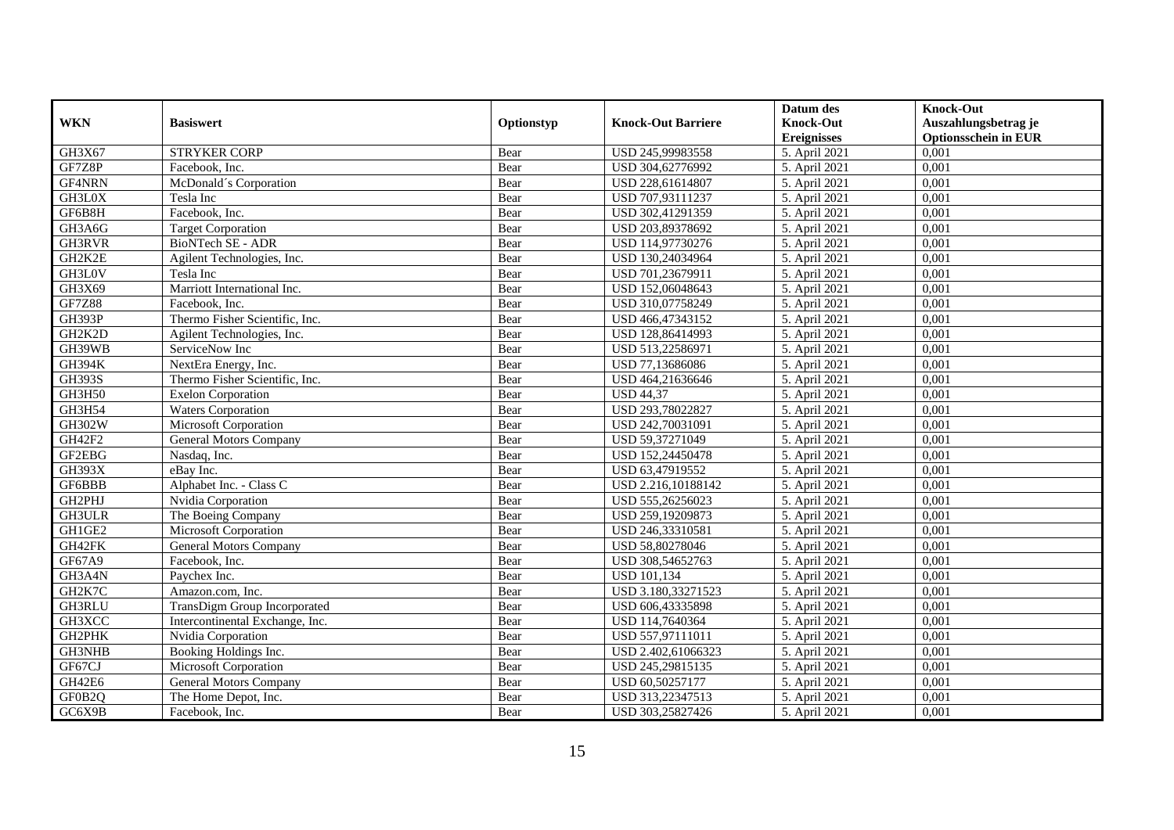|               |                                 |            |                           | Datum des          | <b>Knock-Out</b>            |
|---------------|---------------------------------|------------|---------------------------|--------------------|-----------------------------|
| <b>WKN</b>    | <b>Basiswert</b>                | Optionstyp | <b>Knock-Out Barriere</b> | <b>Knock-Out</b>   | Auszahlungsbetrag je        |
|               |                                 |            |                           | <b>Ereignisses</b> | <b>Optionsschein in EUR</b> |
| GH3X67        | <b>STRYKER CORP</b>             | Bear       | USD 245,99983558          | 5. April 2021      | 0,001                       |
| GF7Z8P        | Facebook, Inc.                  | Bear       | USD 304,62776992          | 5. April 2021      | 0,001                       |
| GF4NRN        | McDonald's Corporation          | Bear       | USD 228,61614807          | 5. April 2021      | 0,001                       |
| GH3L0X        | Tesla Inc                       | Bear       | USD 707,93111237          | 5. April 2021      | 0,001                       |
| GF6B8H        | Facebook, Inc.                  | Bear       | USD 302,41291359          | 5. April 2021      | 0,001                       |
| GH3A6G        | <b>Target Corporation</b>       | Bear       | USD 203,89378692          | 5. April 2021      | 0,001                       |
| <b>GH3RVR</b> | <b>BioNTech SE - ADR</b>        | Bear       | USD 114,97730276          | 5. April 2021      | 0,001                       |
| GH2K2E        | Agilent Technologies, Inc.      | Bear       | USD 130,24034964          | 5. April 2021      | 0,001                       |
| GH3L0V        | Tesla Inc                       | Bear       | USD 701,23679911          | 5. April 2021      | 0,001                       |
| GH3X69        | Marriott International Inc.     | Bear       | USD 152,06048643          | 5. April 2021      | 0,001                       |
| <b>GF7Z88</b> | Facebook, Inc.                  | Bear       | USD 310,07758249          | 5. April 2021      | 0,001                       |
| <b>GH393P</b> | Thermo Fisher Scientific, Inc.  | Bear       | USD 466,47343152          | 5. April 2021      | 0,001                       |
| GH2K2D        | Agilent Technologies, Inc.      | Bear       | USD 128,86414993          | 5. April 2021      | 0,001                       |
| GH39WB        | ServiceNow Inc                  | Bear       | USD 513,22586971          | 5. April 2021      | 0,001                       |
| <b>GH394K</b> | NextEra Energy, Inc.            | Bear       | USD 77,13686086           | 5. April 2021      | 0,001                       |
| <b>GH393S</b> | Thermo Fisher Scientific, Inc.  | Bear       | USD 464,21636646          | 5. April 2021      | 0,001                       |
| GH3H50        | <b>Exelon Corporation</b>       | Bear       | <b>USD 44,37</b>          | 5. April 2021      | 0,001                       |
| GH3H54        | <b>Waters Corporation</b>       | Bear       | USD 293,78022827          | 5. April 2021      | 0,001                       |
| GH302W        | Microsoft Corporation           | Bear       | USD 242,70031091          | 5. April 2021      | 0,001                       |
| GH42F2        | <b>General Motors Company</b>   | Bear       | USD 59,37271049           | 5. April 2021      | 0,001                       |
| GF2EBG        | Nasdaq, Inc.                    | Bear       | USD 152,24450478          | 5. April 2021      | 0,001                       |
| GH393X        | eBay Inc.                       | Bear       | USD 63,47919552           | 5. April 2021      | 0,001                       |
| GF6BBB        | Alphabet Inc. - Class C         | Bear       | USD 2.216,10188142        | 5. April 2021      | 0,001                       |
| GH2PHJ        | Nvidia Corporation              | Bear       | USD 555,26256023          | 5. April 2021      | 0,001                       |
| GH3ULR        | The Boeing Company              | Bear       | USD 259,19209873          | 5. April 2021      | 0,001                       |
| GH1GE2        | Microsoft Corporation           | Bear       | USD 246,33310581          | 5. April 2021      | 0,001                       |
| GH42FK        | <b>General Motors Company</b>   | Bear       | USD 58,80278046           | 5. April 2021      | 0,001                       |
| GF67A9        | Facebook, Inc.                  | Bear       | USD 308,54652763          | 5. April 2021      | 0,001                       |
| GH3A4N        | Paychex Inc.                    | Bear       | <b>USD 101,134</b>        | 5. April 2021      | 0,001                       |
| GH2K7C        | Amazon.com. Inc.                | Bear       | USD 3.180.33271523        | 5. April 2021      | 0.001                       |
| GH3RLU        | TransDigm Group Incorporated    | Bear       | USD 606,43335898          | 5. April 2021      | 0,001                       |
| GH3XCC        | Intercontinental Exchange, Inc. | Bear       | USD 114,7640364           | 5. April 2021      | 0,001                       |
| GH2PHK        | Nvidia Corporation              | Bear       | USD 557,97111011          | 5. April 2021      | 0,001                       |
| <b>GH3NHB</b> | Booking Holdings Inc.           | Bear       | USD 2.402,61066323        | 5. April 2021      | 0,001                       |
| GF67CJ        | Microsoft Corporation           | Bear       | USD 245,29815135          | 5. April 2021      | 0,001                       |
| GH42E6        | <b>General Motors Company</b>   | Bear       | USD 60,50257177           | 5. April 2021      | 0,001                       |
| GF0B2Q        | The Home Depot, Inc.            | Bear       | USD 313,22347513          | 5. April 2021      | 0,001                       |
| GC6X9B        | Facebook, Inc.                  | Bear       | USD 303,25827426          | 5. April 2021      | 0,001                       |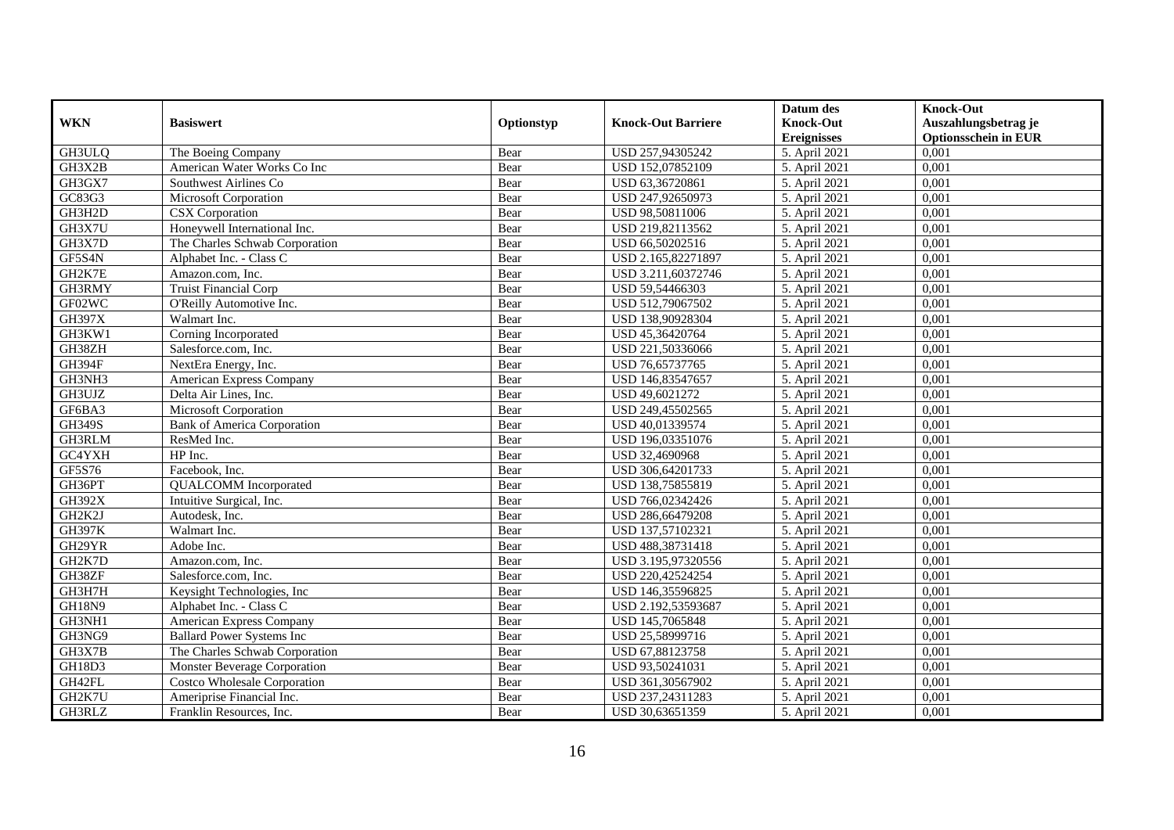|               |                                     |            |                           | Datum des          | <b>Knock-Out</b>            |
|---------------|-------------------------------------|------------|---------------------------|--------------------|-----------------------------|
| <b>WKN</b>    | <b>Basiswert</b>                    | Optionstyp | <b>Knock-Out Barriere</b> | <b>Knock-Out</b>   | Auszahlungsbetrag je        |
|               |                                     |            |                           | <b>Ereignisses</b> | <b>Optionsschein in EUR</b> |
| GH3ULQ        | The Boeing Company                  | Bear       | USD 257,94305242          | 5. April 2021      | 0,001                       |
| GH3X2B        | American Water Works Co Inc         | Bear       | USD 152,07852109          | 5. April 2021      | 0,001                       |
| GH3GX7        | Southwest Airlines Co               | Bear       | USD 63,36720861           | 5. April 2021      | 0,001                       |
| GC83G3        | Microsoft Corporation               | Bear       | USD 247,92650973          | 5. April 2021      | 0,001                       |
| GH3H2D        | <b>CSX</b> Corporation              | Bear       | USD 98,50811006           | 5. April 2021      | 0,001                       |
| GH3X7U        | Honeywell International Inc.        | Bear       | USD 219,82113562          | 5. April 2021      | 0,001                       |
| GH3X7D        | The Charles Schwab Corporation      | Bear       | USD 66,50202516           | 5. April 2021      | 0,001                       |
| GF5S4N        | Alphabet Inc. - Class C             | Bear       | USD 2.165,82271897        | 5. April 2021      | 0,001                       |
| GH2K7E        | Amazon.com, Inc.                    | Bear       | USD 3.211,60372746        | 5. April 2021      | 0,001                       |
| GH3RMY        | Truist Financial Corp               | Bear       | USD 59,54466303           | 5. April 2021      | 0,001                       |
| GF02WC        | O'Reilly Automotive Inc.            | Bear       | USD 512,79067502          | 5. April 2021      | 0,001                       |
| <b>GH397X</b> | Walmart Inc.                        | Bear       | USD 138,90928304          | 5. April 2021      | 0,001                       |
| GH3KW1        | Corning Incorporated                | Bear       | USD 45,36420764           | 5. April 2021      | 0,001                       |
| GH38ZH        | Salesforce.com, Inc.                | Bear       | USD 221,50336066          | 5. April 2021      | 0,001                       |
| GH394F        | NextEra Energy, Inc.                | Bear       | USD 76,65737765           | 5. April 2021      | 0,001                       |
| GH3NH3        | American Express Company            | Bear       | USD 146,83547657          | 5. April 2021      | 0,001                       |
| GH3UJZ        | Delta Air Lines, Inc.               | Bear       | USD 49,6021272            | 5. April 2021      | 0,001                       |
| GF6BA3        | Microsoft Corporation               | Bear       | USD 249,45502565          | 5. April 2021      | 0,001                       |
| <b>GH349S</b> | <b>Bank of America Corporation</b>  | Bear       | USD 40,01339574           | 5. April 2021      | 0,001                       |
| GH3RLM        | ResMed Inc.                         | Bear       | USD 196,03351076          | 5. April 2021      | 0,001                       |
| GC4YXH        | HP Inc.                             | Bear       | USD 32,4690968            | 5. April 2021      | 0,001                       |
| GF5S76        | Facebook, Inc.                      | Bear       | USD 306,64201733          | 5. April 2021      | 0,001                       |
| GH36PT        | <b>QUALCOMM</b> Incorporated        | Bear       | USD 138,75855819          | 5. April 2021      | 0,001                       |
| <b>GH392X</b> | Intuitive Surgical, Inc.            | Bear       | USD 766,02342426          | 5. April 2021      | 0,001                       |
| GH2K2J        | Autodesk. Inc.                      | Bear       | USD 286,66479208          | 5. April 2021      | 0,001                       |
| <b>GH397K</b> | Walmart Inc.                        | Bear       | USD 137,57102321          | 5. April 2021      | 0,001                       |
| GH29YR        | Adobe Inc.                          | Bear       | USD 488,38731418          | 5. April 2021      | 0,001                       |
| GH2K7D        | Amazon.com, Inc.                    | Bear       | USD 3.195,97320556        | 5. April 2021      | 0,001                       |
| GH38ZF        | Salesforce.com. Inc.                | Bear       | USD 220,42524254          | 5. April 2021      | 0,001                       |
| GH3H7H        | Keysight Technologies, Inc.         | Bear       | USD 146,35596825          | 5. April 2021      | 0,001                       |
| <b>GH18N9</b> | Alphabet Inc. - Class C             | Bear       | USD 2.192,53593687        | 5. April 2021      | 0,001                       |
| GH3NH1        | American Express Company            | Bear       | USD 145,7065848           | 5. April 2021      | 0,001                       |
| GH3NG9        | <b>Ballard Power Systems Inc</b>    | Bear       | USD 25,58999716           | 5. April 2021      | 0,001                       |
| GH3X7B        | The Charles Schwab Corporation      | Bear       | USD 67,88123758           | 5. April 2021      | 0,001                       |
| GH18D3        | Monster Beverage Corporation        | Bear       | USD 93,50241031           | 5. April 2021      | 0,001                       |
| GH42FL        | <b>Costco Wholesale Corporation</b> | Bear       | USD 361,30567902          | 5. April 2021      | 0,001                       |
| GH2K7U        | Ameriprise Financial Inc.           | Bear       | USD 237,24311283          | 5. April 2021      | 0,001                       |
| GH3RLZ        | Franklin Resources, Inc.            | Bear       | USD 30,63651359           | 5. April 2021      | 0,001                       |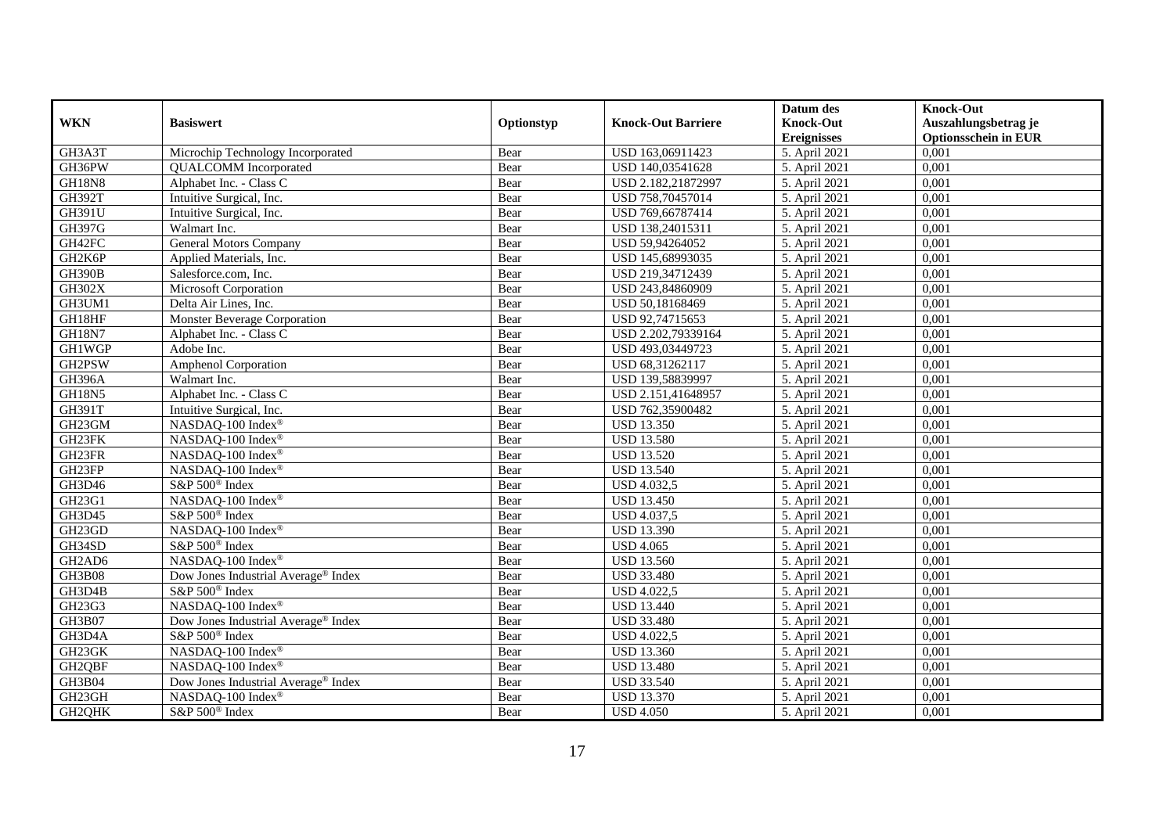|                                 |                                                 |            |                           | Datum des          | <b>Knock-Out</b>            |
|---------------------------------|-------------------------------------------------|------------|---------------------------|--------------------|-----------------------------|
| <b>WKN</b>                      | <b>Basiswert</b>                                | Optionstyp | <b>Knock-Out Barriere</b> | <b>Knock-Out</b>   | Auszahlungsbetrag je        |
|                                 |                                                 |            |                           | <b>Ereignisses</b> | <b>Optionsschein in EUR</b> |
| GH3A3T                          | Microchip Technology Incorporated               | Bear       | USD 163,06911423          | 5. April 2021      | 0,001                       |
| GH36PW                          | <b>QUALCOMM</b> Incorporated                    | Bear       | USD 140,03541628          | 5. April 2021      | 0,001                       |
| <b>GH18N8</b>                   | Alphabet Inc. - Class C                         | Bear       | USD 2.182,21872997        | 5. April 2021      | 0,001                       |
| <b>GH392T</b>                   | Intuitive Surgical, Inc.                        | Bear       | USD 758,70457014          | 5. April 2021      | 0,001                       |
| GH391U                          | Intuitive Surgical, Inc.                        | Bear       | USD 769,66787414          | 5. April 2021      | 0,001                       |
| GH397G                          | Walmart Inc.                                    | Bear       | USD 138,24015311          | 5. April 2021      | 0,001                       |
| GH42FC                          | <b>General Motors Company</b>                   | Bear       | USD 59,94264052           | 5. April 2021      | 0,001                       |
| GH2K6P                          | Applied Materials, Inc.                         | Bear       | USD 145,68993035          | 5. April 2021      | 0,001                       |
| <b>GH390B</b>                   | Salesforce.com, Inc.                            | Bear       | USD 219,34712439          | 5. April 2021      | 0,001                       |
| <b>GH302X</b>                   | Microsoft Corporation                           | Bear       | USD 243,84860909          | 5. April 2021      | 0,001                       |
| GH3UM1                          | Delta Air Lines, Inc.                           | Bear       | USD 50,18168469           | 5. April 2021      | 0,001                       |
| GH18HF                          | Monster Beverage Corporation                    | Bear       | USD 92,74715653           | 5. April 2021      | 0,001                       |
| <b>GH18N7</b>                   | Alphabet Inc. - Class C                         | Bear       | USD 2.202,79339164        | 5. April 2021      | 0,001                       |
| GH1WGP                          | Adobe Inc.                                      | Bear       | USD 493,03449723          | 5. April 2021      | 0,001                       |
| GH2PSW                          | <b>Amphenol Corporation</b>                     | Bear       | USD 68,31262117           | 5. April 2021      | 0,001                       |
| <b>GH396A</b>                   | Walmart Inc.                                    | Bear       | USD 139,58839997          | 5. April 2021      | 0,001                       |
| <b>GH18N5</b>                   | Alphabet Inc. - Class C                         | Bear       | USD 2.151,41648957        | 5. April 2021      | 0,001                       |
| GH391T                          | Intuitive Surgical, Inc.                        | Bear       | USD 762,35900482          | 5. April 2021      | 0,001                       |
| GH23GM                          | NASDAQ-100 Index®                               | Bear       | <b>USD 13.350</b>         | 5. April 2021      | 0,001                       |
| GH23FK                          | NASDAQ-100 Index®                               | Bear       | <b>USD 13.580</b>         | 5. April 2021      | 0,001                       |
| GH23FR                          | NASDAQ-100 Index®                               | Bear       | <b>USD 13.520</b>         | 5. April 2021      | 0,001                       |
| GH23FP                          | NASDAQ-100 Index®                               | Bear       | <b>USD 13.540</b>         | 5. April 2021      | 0,001                       |
| GH3D46                          | S&P 500 <sup>®</sup> Index                      | Bear       | <b>USD 4.032,5</b>        | 5. April 2021      | 0,001                       |
| GH23G1                          | NASDAQ-100 Index®                               | Bear       | <b>USD 13.450</b>         | 5. April 2021      | 0,001                       |
| GH3D45                          | S&P 500 <sup>®</sup> Index                      | Bear       | <b>USD 4.037,5</b>        | 5. April 2021      | 0,001                       |
| GH23GD                          | NASDAQ-100 Index®                               | Bear       | <b>USD 13.390</b>         | 5. April 2021      | 0,001                       |
| GH34SD                          | S&P 500 <sup>®</sup> Index                      | Bear       | <b>USD 4.065</b>          | 5. April 2021      | 0,001                       |
| GH <sub>2</sub> AD <sub>6</sub> | NASDAQ-100 Index®                               | Bear       | <b>USD 13.560</b>         | 5. April 2021      | 0,001                       |
| GH3B08                          | Dow Jones Industrial Average® Index             | Bear       | <b>USD 33.480</b>         | 5. April 2021      | 0,001                       |
| GH3D4B                          | S&P 500 <sup>®</sup> Index                      | Bear       | <b>USD 4.022,5</b>        | 5. April 2021      | 0,001                       |
| GH23G3                          | NASDAQ-100 Index®                               | Bear       | <b>USD 13.440</b>         | 5. April 2021      | 0,001                       |
| GH3B07                          | Dow Jones Industrial Average <sup>®</sup> Index | Bear       | <b>USD 33.480</b>         | 5. April 2021      | 0,001                       |
| GH3D4A                          | S&P 500 <sup>®</sup> Index                      | Bear       | <b>USD 4.022,5</b>        | 5. April 2021      | 0,001                       |
| GH23GK                          | NASDAQ-100 Index®                               | Bear       | <b>USD 13.360</b>         | 5. April 2021      | 0,001                       |
| GH2QBF                          | NASDAQ-100 Index®                               | Bear       | <b>USD 13.480</b>         | 5. April 2021      | 0,001                       |
| GH3B04                          | Dow Jones Industrial Average <sup>®</sup> Index | Bear       | <b>USD 33.540</b>         | 5. April 2021      | 0,001                       |
| GH23GH                          | NASDAQ-100 Index®                               | Bear       | <b>USD 13.370</b>         | 5. April 2021      | 0,001                       |
| GH2QHK                          | S&P 500 <sup>®</sup> Index                      | Bear       | <b>USD 4.050</b>          | 5. April 2021      | 0,001                       |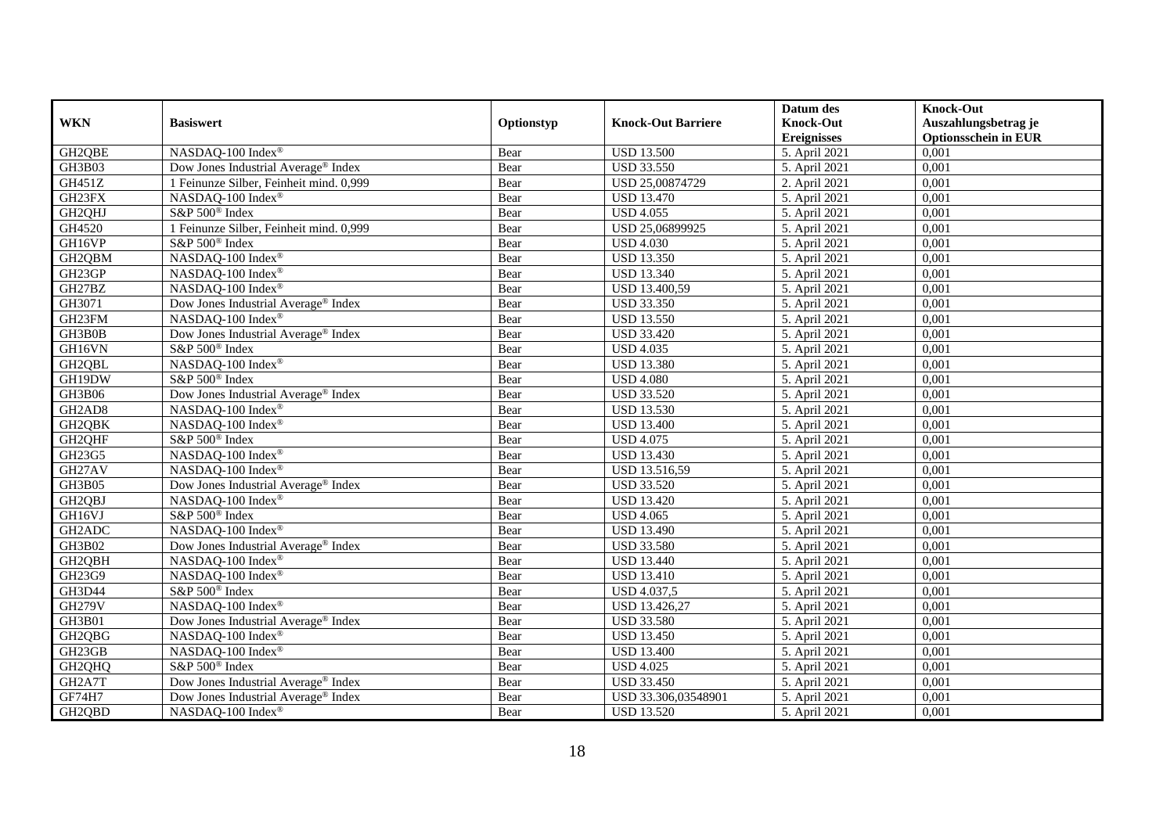|                     |                                                 |            |                           | Datum des          | <b>Knock-Out</b>            |
|---------------------|-------------------------------------------------|------------|---------------------------|--------------------|-----------------------------|
| <b>WKN</b>          | <b>Basiswert</b>                                | Optionstyp | <b>Knock-Out Barriere</b> | <b>Knock-Out</b>   | Auszahlungsbetrag je        |
|                     |                                                 |            |                           | <b>Ereignisses</b> | <b>Optionsschein in EUR</b> |
| GH2QBE              | NASDAQ-100 Index®                               | Bear       | <b>USD 13.500</b>         | 5. April 2021      | 0,001                       |
| GH3B03              | Dow Jones Industrial Average® Index             | Bear       | <b>USD 33.550</b>         | 5. April 2021      | 0,001                       |
| GH451Z              | 1 Feinunze Silber, Feinheit mind. 0,999         | Bear       | USD 25,00874729           | 2. April 2021      | 0,001                       |
| GH23FX              | NASDAQ-100 Index®                               | Bear       | <b>USD 13.470</b>         | 5. April 2021      | 0,001                       |
| GH2QHJ              | S&P 500 <sup>®</sup> Index                      | Bear       | <b>USD 4.055</b>          | 5. April 2021      | 0,001                       |
| GH4520              | 1 Feinunze Silber, Feinheit mind. 0,999         | Bear       | USD 25,06899925           | 5. April 2021      | 0,001                       |
| GH16VP              | S&P 500 <sup>®</sup> Index                      | Bear       | <b>USD 4.030</b>          | 5. April 2021      | 0,001                       |
| GH2QBM              | NASDAQ-100 Index®                               | Bear       | <b>USD 13.350</b>         | 5. April 2021      | 0,001                       |
| GH23GP              | NASDAQ-100 Index®                               | Bear       | <b>USD 13.340</b>         | 5. April 2021      | 0,001                       |
| GH27BZ              | NASDAQ-100 Index®                               | Bear       | USD 13.400,59             | 5. April 2021      | 0,001                       |
| GH3071              | Dow Jones Industrial Average® Index             | Bear       | <b>USD 33.350</b>         | 5. April 2021      | 0,001                       |
| GH23FM              | NASDAQ-100 Index®                               | Bear       | <b>USD 13.550</b>         | 5. April 2021      | 0,001                       |
| GH3B0B              | Dow Jones Industrial Average® Index             | Bear       | <b>USD 33.420</b>         | 5. April 2021      | 0,001                       |
| GH16VN              | S&P 500 <sup>®</sup> Index                      | Bear       | <b>USD 4.035</b>          | 5. April 2021      | 0,001                       |
| GH2QBL              | NASDAQ-100 Index®                               | Bear       | <b>USD 13.380</b>         | 5. April 2021      | 0,001                       |
| GH19DW              | S&P 500 <sup>®</sup> Index                      | Bear       | <b>USD 4.080</b>          | 5. April 2021      | 0,001                       |
| GH3B06              | Dow Jones Industrial Average® Index             | Bear       | <b>USD 33.520</b>         | 5. April 2021      | 0,001                       |
| GH2AD8              | NASDAO-100 Index <sup>®</sup>                   | Bear       | <b>USD 13.530</b>         | 5. April 2021      | 0,001                       |
| GH <sub>2QBK</sub>  | NASDAQ-100 Index®                               | Bear       | <b>USD 13.400</b>         | 5. April 2021      | 0,001                       |
| GH2QHF              | S&P 500 <sup>®</sup> Index                      | Bear       | <b>USD 4.075</b>          | 5. April 2021      | 0,001                       |
| GH23G5              | NASDAQ-100 Index®                               | Bear       | <b>USD 13.430</b>         | 5. April 2021      | 0,001                       |
| GH27AV              | NASDAQ-100 Index®                               | Bear       | USD 13.516,59             | 5. April 2021      | 0,001                       |
| GH3B05              | Dow Jones Industrial Average® Index             | Bear       | <b>USD 33.520</b>         | 5. April 2021      | 0,001                       |
| GH2QBJ              | NASDAQ-100 Index®                               | Bear       | <b>USD 13.420</b>         | 5. April 2021      | 0,001                       |
| GH16VJ              | S&P 500 <sup>®</sup> Index                      | Bear       | <b>USD 4.065</b>          | 5. April 2021      | 0,001                       |
| GH2ADC              | NASDAQ-100 Index®                               | Bear       | <b>USD 13.490</b>         | 5. April 2021      | 0,001                       |
| GH3B02              | Dow Jones Industrial Average <sup>®</sup> Index | Bear       | <b>USD 33.580</b>         | 5. April 2021      | 0,001                       |
| GH2QBH              | NASDAQ-100 Index®                               | Bear       | <b>USD 13.440</b>         | 5. April 2021      | 0,001                       |
| GH23G9              | NASDAQ-100 Index®                               | Bear       | <b>USD 13.410</b>         | 5. April 2021      | 0,001                       |
| GH3D44              | S&P 500 <sup>®</sup> Index                      | Bear       | <b>USD 4.037,5</b>        | 5. April 2021      | 0,001                       |
| <b>GH279V</b>       | NASDAQ-100 Index®                               | Bear       | USD 13.426,27             | 5. April 2021      | 0,001                       |
| GH3B01              | Dow Jones Industrial Average® Index             | Bear       | <b>USD 33.580</b>         | 5. April 2021      | 0,001                       |
| GH <sub>2</sub> QBG | NASDAQ-100 Index®                               | Bear       | <b>USD 13.450</b>         | 5. April 2021      | 0,001                       |
| GH23GB              | NASDAQ-100 Index®                               | Bear       | <b>USD 13.400</b>         | 5. April 2021      | 0,001                       |
| GH2QHQ              | S&P 500 <sup>®</sup> Index                      | Bear       | <b>USD 4.025</b>          | 5. April 2021      | 0,001                       |
| GH2A7T              | Dow Jones Industrial Average <sup>®</sup> Index | Bear       | <b>USD 33.450</b>         | 5. April 2021      | 0,001                       |
| GF74H7              | Dow Jones Industrial Average® Index             | Bear       | USD 33.306,03548901       | 5. April 2021      | 0,001                       |
| GH2QBD              | NASDAQ-100 Index®                               | Bear       | <b>USD 13.520</b>         | 5. April 2021      | 0,001                       |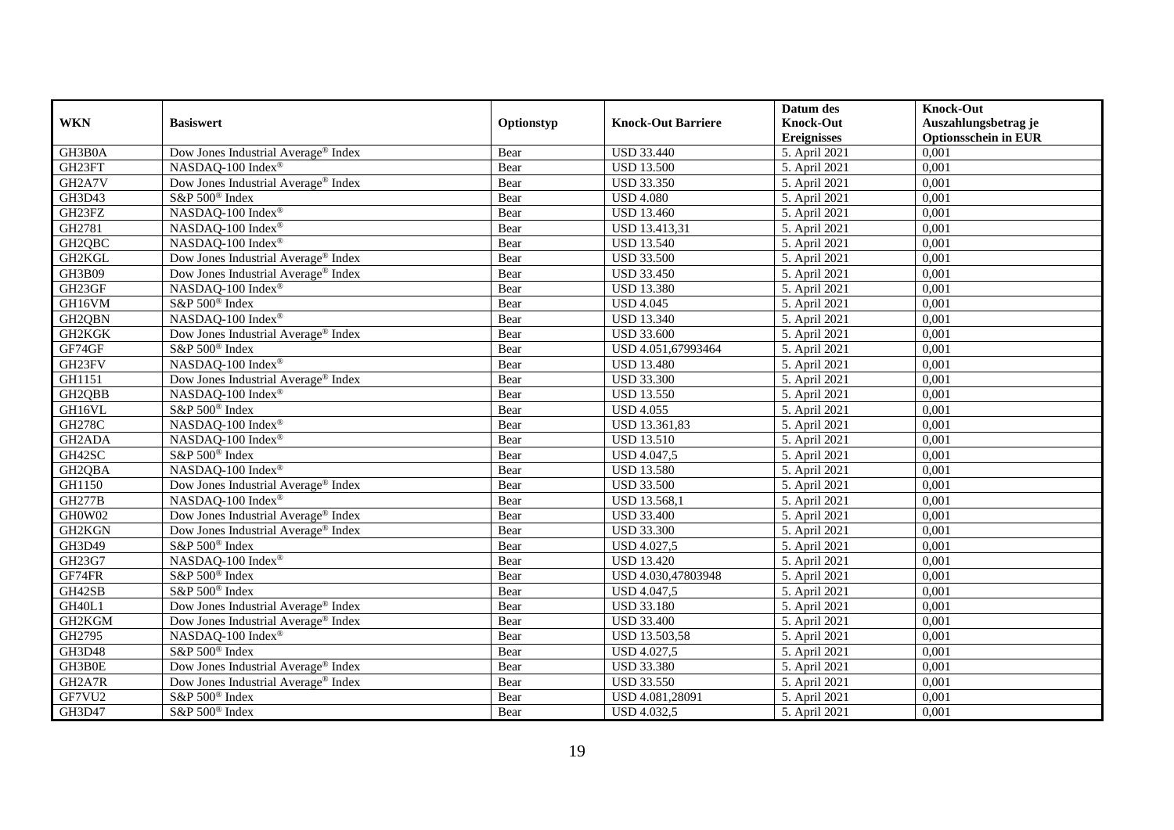|                                 |                                                 |            |                           | Datum des          | <b>Knock-Out</b>            |
|---------------------------------|-------------------------------------------------|------------|---------------------------|--------------------|-----------------------------|
| <b>WKN</b>                      | <b>Basiswert</b>                                | Optionstyp | <b>Knock-Out Barriere</b> | <b>Knock-Out</b>   | Auszahlungsbetrag je        |
|                                 |                                                 |            |                           | <b>Ereignisses</b> | <b>Optionsschein in EUR</b> |
| GH3B0A                          | Dow Jones Industrial Average® Index             | Bear       | <b>USD 33.440</b>         | 5. April 2021      | 0,001                       |
| GH23FT                          | NASDAQ-100 Index®                               | Bear       | <b>USD 13.500</b>         | 5. April 2021      | 0,001                       |
| GH <sub>2</sub> A7V             | Dow Jones Industrial Average® Index             | Bear       | <b>USD 33.350</b>         | 5. April 2021      | 0,001                       |
| GH3D43                          | S&P 500 <sup>®</sup> Index                      | Bear       | <b>USD 4.080</b>          | 5. April 2021      | 0,001                       |
| GH23FZ                          | NASDAQ-100 Index®                               | Bear       | <b>USD 13.460</b>         | 5. April 2021      | 0,001                       |
| GH2781                          | NASDAQ-100 Index®                               | Bear       | <b>USD 13.413,31</b>      | 5. April 2021      | 0,001                       |
| GH <sub>2</sub> QBC             | NASDAQ-100 Index®                               | Bear       | <b>USD 13.540</b>         | 5. April 2021      | 0,001                       |
| GH2KGL                          | Dow Jones Industrial Average® Index             | Bear       | <b>USD 33.500</b>         | 5. April 2021      | 0,001                       |
| GH3B09                          | Dow Jones Industrial Average® Index             | Bear       | <b>USD 33.450</b>         | 5. April 2021      | 0,001                       |
| GH23GF                          | NASDAQ-100 Index®                               | Bear       | <b>USD 13.380</b>         | 5. April 2021      | 0,001                       |
| GH16VM                          | S&P 500 <sup>®</sup> Index                      | Bear       | <b>USD 4.045</b>          | 5. April 2021      | 0,001                       |
| GH2QBN                          | NASDAQ-100 Index®                               | Bear       | <b>USD 13.340</b>         | 5. April 2021      | 0,001                       |
| GH2KGK                          | Dow Jones Industrial Average® Index             | Bear       | <b>USD 33.600</b>         | 5. April 2021      | 0,001                       |
| GF74GF                          | S&P 500 <sup>®</sup> Index                      | Bear       | USD 4.051.67993464        | 5. April 2021      | 0,001                       |
| GH23FV                          | NASDAQ-100 Index®                               | Bear       | <b>USD 13.480</b>         | 5. April 2021      | 0,001                       |
| GH1151                          | Dow Jones Industrial Average <sup>®</sup> Index | Bear       | <b>USD 33.300</b>         | 5. April 2021      | 0,001                       |
| GH2QBB                          | NASDAQ-100 Index®                               | Bear       | <b>USD 13.550</b>         | 5. April 2021      | 0,001                       |
| GH16VL                          | S&P 500 <sup>®</sup> Index                      | Bear       | <b>USD 4.055</b>          | 5. April 2021      | 0,001                       |
| <b>GH278C</b>                   | NASDAQ-100 Index®                               | Bear       | USD 13.361,83             | 5. April 2021      | 0,001                       |
| GH <sub>2</sub> AD <sub>A</sub> | NASDAQ-100 Index®                               | Bear       | <b>USD 13.510</b>         | 5. April 2021      | 0,001                       |
| GH42SC                          | S&P 500 <sup>®</sup> Index                      | Bear       | <b>USD 4.047,5</b>        | 5. April 2021      | 0,001                       |
| GH <sub>2QBA</sub>              | NASDAQ-100 Index®                               | Bear       | <b>USD 13.580</b>         | 5. April 2021      | 0,001                       |
| GH1150                          | Dow Jones Industrial Average® Index             | Bear       | <b>USD 33.500</b>         | 5. April 2021      | 0,001                       |
| <b>GH277B</b>                   | NASDAQ-100 Index®                               | Bear       | <b>USD 13.568,1</b>       | 5. April 2021      | 0,001                       |
| GH0W02                          | Dow Jones Industrial Average® Index             | Bear       | <b>USD 33.400</b>         | 5. April 2021      | 0,001                       |
| GH2KGN                          | Dow Jones Industrial Average® Index             | Bear       | <b>USD 33.300</b>         | 5. April 2021      | 0,001                       |
| GH3D49                          | S&P 500 <sup>®</sup> Index                      | Bear       | <b>USD 4.027,5</b>        | 5. April 2021      | 0,001                       |
| GH23G7                          | NASDAQ-100 Index®                               | Bear       | <b>USD 13.420</b>         | 5. April 2021      | 0,001                       |
| GF74FR                          | S&P 500 <sup>®</sup> Index                      | Bear       | USD 4.030,47803948        | 5. April 2021      | 0,001                       |
| GH42SB                          | S&P 500 <sup>®</sup> Index                      | Bear       | <b>USD 4.047,5</b>        | 5. April 2021      | 0,001                       |
| GH40L1                          | Dow Jones Industrial Average® Index             | Bear       | <b>USD 33.180</b>         | 5. April 2021      | 0,001                       |
| GH2KGM                          | Dow Jones Industrial Average <sup>®</sup> Index | Bear       | <b>USD 33.400</b>         | 5. April 2021      | 0,001                       |
| GH2795                          | NASDAQ-100 Index®                               | Bear       | USD 13.503,58             | 5. April 2021      | 0,001                       |
| GH3D48                          | S&P 500 <sup>®</sup> Index                      | Bear       | <b>USD 4.027,5</b>        | 5. April 2021      | 0,001                       |
| GH3B0E                          | Dow Jones Industrial Average® Index             | Bear       | <b>USD 33.380</b>         | 5. April 2021      | 0,001                       |
| GH2A7R                          | Dow Jones Industrial Average® Index             | Bear       | <b>USD 33.550</b>         | 5. April 2021      | 0,001                       |
| GF7VU2                          | S&P 500 <sup>®</sup> Index                      | Bear       | USD 4.081,28091           | 5. April 2021      | 0,001                       |
| GH3D47                          | S&P 500 <sup>®</sup> Index                      | Bear       | <b>USD 4.032,5</b>        | 5. April 2021      | 0,001                       |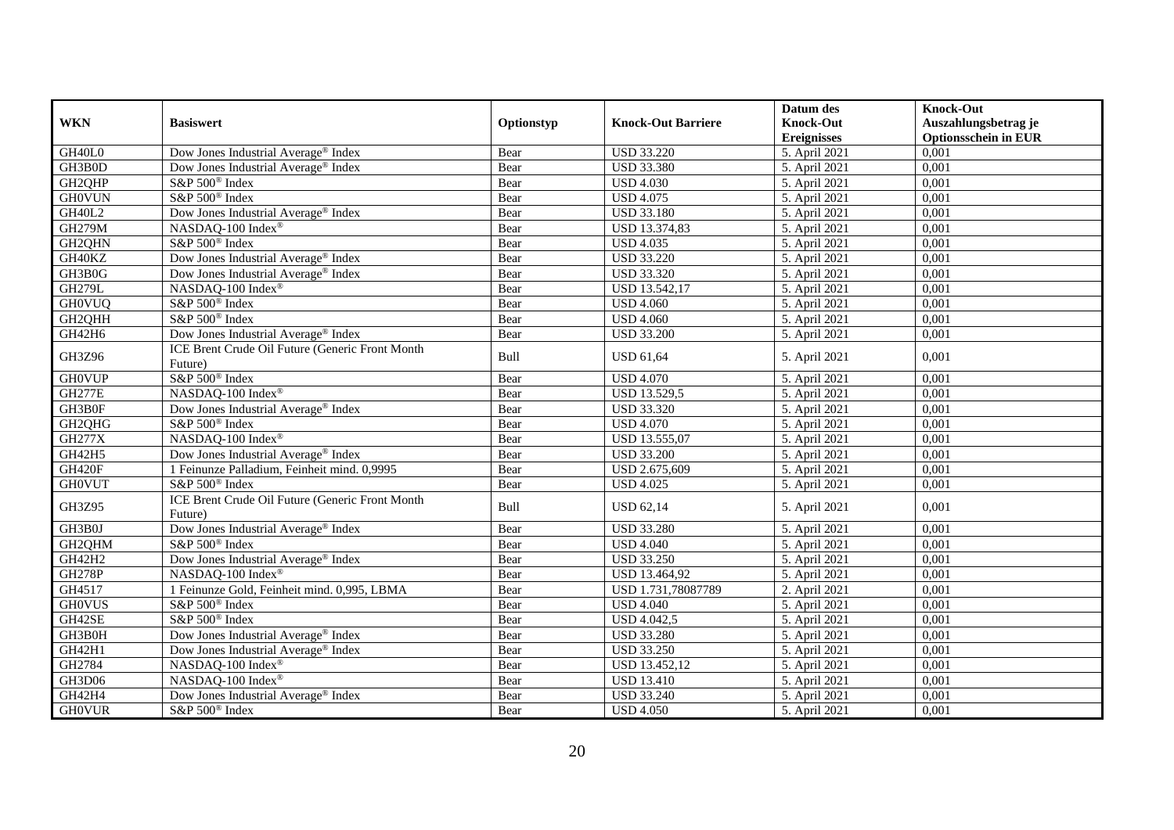|                 |                                                            |            |                           | Datum des          | <b>Knock-Out</b>            |
|-----------------|------------------------------------------------------------|------------|---------------------------|--------------------|-----------------------------|
| <b>WKN</b>      | <b>Basiswert</b>                                           | Optionstyp | <b>Knock-Out Barriere</b> | <b>Knock-Out</b>   | Auszahlungsbetrag je        |
|                 |                                                            |            |                           | <b>Ereignisses</b> | <b>Optionsschein in EUR</b> |
| $\text{GH40L0}$ | Dow Jones Industrial Average® Index                        | Bear       | <b>USD 33.220</b>         | 5. April 2021      | 0,001                       |
| GH3B0D          | Dow Jones Industrial Average <sup>®</sup> Index            | Bear       | <b>USD 33.380</b>         | 5. April 2021      | 0,001                       |
| GH2QHP          | S&P 500 <sup>®</sup> Index                                 | Bear       | <b>USD 4.030</b>          | 5. April 2021      | 0,001                       |
| <b>GH0VUN</b>   | S&P 500 <sup>®</sup> Index                                 | Bear       | <b>USD 4.075</b>          | 5. April 2021      | 0,001                       |
| <b>GH40L2</b>   | Dow Jones Industrial Average <sup>®</sup> Index            | Bear       | <b>USD 33.180</b>         | 5. April 2021      | 0,001                       |
| <b>GH279M</b>   | NASDAQ-100 Index®                                          | Bear       | USD 13.374,83             | 5. April 2021      | 0,001                       |
| GH2QHN          | S&P 500 <sup>®</sup> Index                                 | Bear       | <b>USD 4.035</b>          | 5. April 2021      | 0,001                       |
| GH40KZ          | Dow Jones Industrial Average® Index                        | Bear       | <b>USD 33.220</b>         | 5. April 2021      | 0,001                       |
| GH3B0G          | Dow Jones Industrial Average® Index                        | Bear       | <b>USD 33.320</b>         | 5. April 2021      | 0,001                       |
| <b>GH279L</b>   | NASDAQ-100 Index®                                          | Bear       | USD 13.542,17             | 5. April 2021      | 0,001                       |
| <b>GH0VUQ</b>   | S&P 500 <sup>®</sup> Index                                 | Bear       | <b>USD 4.060</b>          | 5. April 2021      | 0,001                       |
| GH2QHH          | S&P 500 <sup>®</sup> Index                                 | Bear       | <b>USD 4.060</b>          | 5. April 2021      | 0,001                       |
| GH42H6          | Dow Jones Industrial Average® Index                        | Bear       | <b>USD 33.200</b>         | 5. April 2021      | 0,001                       |
| GH3Z96          | ICE Brent Crude Oil Future (Generic Front Month            | Bull       | <b>USD 61,64</b>          | 5. April 2021      | 0,001                       |
|                 | Future)                                                    |            |                           |                    |                             |
| <b>GH0VUP</b>   | S&P 500 <sup>®</sup> Index                                 | Bear       | <b>USD 4.070</b>          | 5. April 2021      | 0,001                       |
| <b>GH277E</b>   | NASDAQ-100 Index®                                          | Bear       | <b>USD 13.529,5</b>       | 5. April 2021      | 0,001                       |
| GH3B0F          | Dow Jones Industrial Average <sup>®</sup> Index            | Bear       | <b>USD 33.320</b>         | 5. April 2021      | 0,001                       |
| GH2QHG          | S&P 500 <sup>®</sup> Index                                 | Bear       | <b>USD 4.070</b>          | 5. April 2021      | 0,001                       |
| <b>GH277X</b>   | NASDAQ-100 Index®                                          | Bear       | USD 13.555,07             | 5. April 2021      | 0,001                       |
| GH42H5          | Dow Jones Industrial Average <sup>®</sup> Index            | Bear       | <b>USD 33.200</b>         | 5. April 2021      | 0,001                       |
| GH420F          | 1 Feinunze Palladium, Feinheit mind. 0,9995                | Bear       | USD 2.675,609             | 5. April 2021      | 0,001                       |
| <b>GHOVUT</b>   | S&P 500 <sup>®</sup> Index                                 | Bear       | <b>USD 4.025</b>          | 5. April 2021      | 0,001                       |
| GH3Z95          | ICE Brent Crude Oil Future (Generic Front Month<br>Future) | Bull       | <b>USD 62,14</b>          | 5. April 2021      | 0,001                       |
| GH3B0J          | Dow Jones Industrial Average® Index                        | Bear       | <b>USD 33.280</b>         | 5. April 2021      | 0,001                       |
| GH2QHM          | S&P 500 <sup>®</sup> Index                                 | Bear       | <b>USD 4.040</b>          | 5. April 2021      | 0,001                       |
| GH42H2          | Dow Jones Industrial Average® Index                        | Bear       | <b>USD 33.250</b>         | 5. April 2021      | 0,001                       |
| <b>GH278P</b>   | NASDAQ-100 Index®                                          | Bear       | USD 13.464,92             | 5. April 2021      | 0,001                       |
| GH4517          | 1 Feinunze Gold, Feinheit mind. 0,995, LBMA                | Bear       | USD 1.731,78087789        | 2. April 2021      | 0,001                       |
| <b>GHOVUS</b>   | S&P 500 <sup>®</sup> Index                                 | Bear       | <b>USD 4.040</b>          | 5. April 2021      | 0,001                       |
| GH42SE          | S&P 500 <sup>®</sup> Index                                 | Bear       | <b>USD 4.042,5</b>        | 5. April 2021      | 0,001                       |
| GH3B0H          | Dow Jones Industrial Average® Index                        | Bear       | <b>USD 33.280</b>         | 5. April 2021      | 0,001                       |
| GH42H1          | Dow Jones Industrial Average <sup>®</sup> Index            | Bear       | <b>USD 33.250</b>         | 5. April 2021      | 0,001                       |
| GH2784          | NASDAQ-100 Index®                                          | Bear       | USD 13.452,12             | 5. April 2021      | 0,001                       |
| GH3D06          | NASDAQ-100 Index®                                          | Bear       | <b>USD 13.410</b>         | 5. April 2021      | 0,001                       |
| GH42H4          | Dow Jones Industrial Average <sup>®</sup> Index            | Bear       | <b>USD 33.240</b>         | 5. April 2021      | 0,001                       |
| <b>GHOVUR</b>   | S&P 500 <sup>®</sup> Index                                 | Bear       | <b>USD 4.050</b>          | 5. April 2021      | 0,001                       |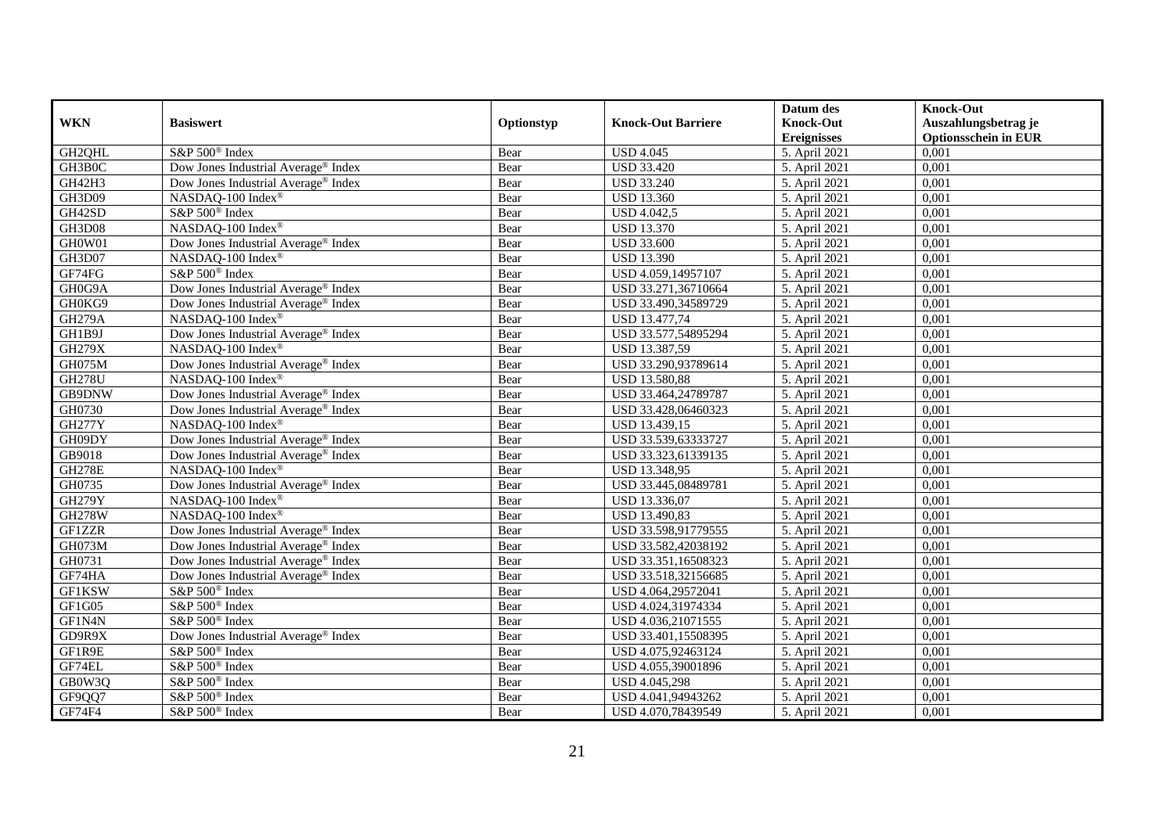|               |                                                 |            |                           | Datum des          | <b>Knock-Out</b>            |
|---------------|-------------------------------------------------|------------|---------------------------|--------------------|-----------------------------|
| <b>WKN</b>    | <b>Basiswert</b>                                | Optionstyp | <b>Knock-Out Barriere</b> | <b>Knock-Out</b>   | Auszahlungsbetrag je        |
|               |                                                 |            |                           | <b>Ereignisses</b> | <b>Optionsschein in EUR</b> |
| GH2QHL        | S&P 500 <sup>®</sup> Index                      | Bear       | <b>USD 4.045</b>          | 5. April 2021      | 0,001                       |
| GH3B0C        | Dow Jones Industrial Average® Index             | Bear       | <b>USD 33.420</b>         | 5. April 2021      | 0,001                       |
| GH42H3        | Dow Jones Industrial Average® Index             | Bear       | <b>USD 33.240</b>         | 5. April 2021      | 0,001                       |
| GH3D09        | NASDAQ-100 Index®                               | Bear       | <b>USD 13.360</b>         | 5. April 2021      | 0,001                       |
| GH42SD        | S&P 500 <sup>®</sup> Index                      | Bear       | <b>USD 4.042,5</b>        | 5. April 2021      | 0,001                       |
| <b>GH3D08</b> | NASDAQ-100 Index®                               | Bear       | <b>USD 13.370</b>         | 5. April 2021      | 0,001                       |
| GH0W01        | Dow Jones Industrial Average® Index             | Bear       | <b>USD 33.600</b>         | 5. April 2021      | 0,001                       |
| GH3D07        | NASDAQ-100 Index®                               | Bear       | <b>USD 13.390</b>         | 5. April 2021      | 0,001                       |
| GF74FG        | S&P 500 <sup>®</sup> Index                      | Bear       | USD 4.059,14957107        | 5. April 2021      | 0,001                       |
| GH0G9A        | Dow Jones Industrial Average <sup>®</sup> Index | Bear       | USD 33.271,36710664       | 5. April 2021      | 0,001                       |
| GH0KG9        | Dow Jones Industrial Average® Index             | Bear       | USD 33.490,34589729       | 5. April 2021      | 0,001                       |
| <b>GH279A</b> | NASDAQ-100 Index®                               | Bear       | USD 13.477,74             | 5. April 2021      | 0,001                       |
| GH1B9J        | Dow Jones Industrial Average® Index             | Bear       | USD 33.577,54895294       | 5. April 2021      | 0,001                       |
| <b>GH279X</b> | NASDAQ-100 Index®                               | Bear       | USD 13.387,59             | 5. April 2021      | 0,001                       |
| GH075M        | Dow Jones Industrial Average <sup>®</sup> Index | Bear       | USD 33.290,93789614       | 5. April 2021      | 0,001                       |
| <b>GH278U</b> | NASDAQ-100 Index®                               | Bear       | USD 13.580,88             | 5. April 2021      | 0,001                       |
| GB9DNW        | Dow Jones Industrial Average <sup>®</sup> Index | Bear       | USD 33.464,24789787       | 5. April 2021      | 0,001                       |
| GH0730        | Dow Jones Industrial Average <sup>®</sup> Index | Bear       | USD 33.428,06460323       | 5. April 2021      | 0,001                       |
| <b>GH277Y</b> | NASDAQ-100 Index®                               | Bear       | USD 13.439,15             | 5. April 2021      | 0,001                       |
| GH09DY        | Dow Jones Industrial Average® Index             | Bear       | USD 33.539,63333727       | 5. April 2021      | 0,001                       |
| GB9018        | Dow Jones Industrial Average® Index             | Bear       | USD 33.323,61339135       | 5. April 2021      | 0,001                       |
| <b>GH278E</b> | NASDAQ-100 Index®                               | Bear       | USD 13.348,95             | 5. April 2021      | 0,001                       |
| GH0735        | Dow Jones Industrial Average® Index             | Bear       | USD 33.445,08489781       | 5. April 2021      | 0,001                       |
| <b>GH279Y</b> | NASDAQ-100 Index®                               | Bear       | USD 13.336,07             | 5. April 2021      | 0,001                       |
| <b>GH278W</b> | NASDAQ-100 Index®                               | Bear       | USD 13.490,83             | 5. April 2021      | 0,001                       |
| GF1ZZR        | Dow Jones Industrial Average <sup>®</sup> Index | Bear       | USD 33.598,91779555       | 5. April 2021      | 0,001                       |
| GH073M        | Dow Jones Industrial Average® Index             | Bear       | USD 33.582,42038192       | 5. April 2021      | 0,001                       |
| GH0731        | Dow Jones Industrial Average <sup>®</sup> Index | Bear       | USD 33.351,16508323       | 5. April 2021      | 0,001                       |
| GF74HA        | Dow Jones Industrial Average <sup>®</sup> Index | Bear       | USD 33.518,32156685       | 5. April 2021      | 0,001                       |
| GF1KSW        | S&P 500 <sup>®</sup> Index                      | Bear       | USD 4.064,29572041        | 5. April 2021      | 0,001                       |
| GF1G05        | S&P 500 <sup>®</sup> Index                      | Bear       | USD 4.024,31974334        | 5. April 2021      | 0,001                       |
| GF1N4N        | S&P 500 <sup>®</sup> Index                      | Bear       | USD 4.036,21071555        | 5. April 2021      | 0,001                       |
| GD9R9X        | Dow Jones Industrial Average® Index             | Bear       | USD 33.401,15508395       | 5. April 2021      | 0,001                       |
| GF1R9E        | S&P 500 <sup>®</sup> Index                      | Bear       | USD 4.075,92463124        | 5. April 2021      | 0,001                       |
| GF74EL        | S&P 500 <sup>®</sup> Index                      | Bear       | USD 4.055,39001896        | 5. April 2021      | 0,001                       |
| GB0W3Q        | S&P 500 <sup>®</sup> Index                      | Bear       | USD 4.045,298             | 5. April 2021      | 0,001                       |
| GF9QQ7        | S&P 500 <sup>®</sup> Index                      | Bear       | USD 4.041,94943262        | 5. April 2021      | 0,001                       |
| GF74F4        | S&P 500 <sup>®</sup> Index                      | Bear       | USD 4.070,78439549        | 5. April 2021      | 0,001                       |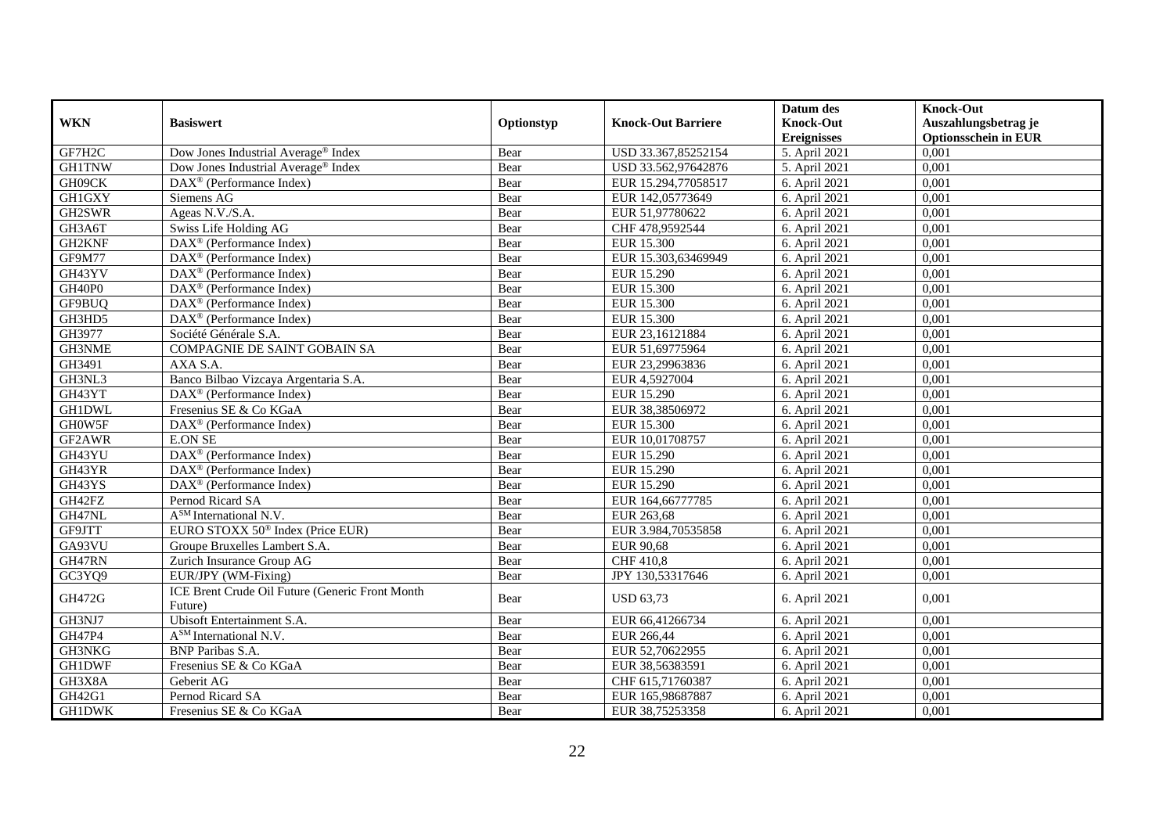|               |                                                            |            |                           | Datum des          | <b>Knock-Out</b>            |
|---------------|------------------------------------------------------------|------------|---------------------------|--------------------|-----------------------------|
| <b>WKN</b>    | <b>Basiswert</b>                                           | Optionstyp | <b>Knock-Out Barriere</b> | <b>Knock-Out</b>   | Auszahlungsbetrag je        |
|               |                                                            |            |                           | <b>Ereignisses</b> | <b>Optionsschein in EUR</b> |
| GF7H2C        | Dow Jones Industrial Average® Index                        | Bear       | USD 33.367,85252154       | 5. April 2021      | 0,001                       |
| <b>GH1TNW</b> | Dow Jones Industrial Average® Index                        | Bear       | USD 33.562,97642876       | 5. April 2021      | 0,001                       |
| GH09CK        | DAX <sup>®</sup> (Performance Index)                       | Bear       | EUR 15.294,77058517       | 6. April 2021      | 0,001                       |
| GH1GXY        | Siemens AG                                                 | Bear       | EUR 142,05773649          | 6. April 2021      | 0,001                       |
| GH2SWR        | Ageas N.V./S.A.                                            | Bear       | EUR 51,97780622           | 6. April 2021      | 0,001                       |
| GH3A6T        | Swiss Life Holding AG                                      | Bear       | CHF 478,9592544           | 6. April 2021      | 0,001                       |
| GH2KNF        | $\overline{\text{DAX}^{\otimes}}$ (Performance Index)      | Bear       | <b>EUR 15.300</b>         | 6. April 2021      | 0,001                       |
| GF9M77        | $\text{DAX}^{\textcircled{n}}$ (Performance Index)         | Bear       | EUR 15.303,63469949       | 6. April 2021      | 0,001                       |
| GH43YV        | $DAX^{\circledR}$ (Performance Index)                      | Bear       | EUR 15.290                | 6. April 2021      | 0,001                       |
| GH40P0        | $DAX^{\otimes}$ (Performance Index)                        | Bear       | <b>EUR 15.300</b>         | 6. April 2021      | 0,001                       |
| GF9BUQ        | DAX <sup>®</sup> (Performance Index)                       | Bear       | <b>EUR 15.300</b>         | 6. April 2021      | 0,001                       |
| GH3HD5        | DAX <sup>®</sup> (Performance Index)                       | Bear       | <b>EUR 15.300</b>         | 6. April 2021      | 0,001                       |
| GH3977        | Société Générale S.A.                                      | Bear       | EUR 23,16121884           | 6. April 2021      | 0,001                       |
| GH3NME        | COMPAGNIE DE SAINT GOBAIN SA                               | Bear       | EUR 51,69775964           | 6. April 2021      | 0,001                       |
| GH3491        | AXA S.A.                                                   | Bear       | EUR 23,29963836           | 6. April 2021      | 0,001                       |
| GH3NL3        | Banco Bilbao Vizcaya Argentaria S.A.                       | Bear       | EUR 4,5927004             | 6. April 2021      | 0,001                       |
| GH43YT        | DAX <sup>®</sup> (Performance Index)                       | Bear       | EUR 15.290                | 6. April 2021      | 0,001                       |
| <b>GH1DWL</b> | Fresenius SE & Co KGaA                                     | Bear       | EUR 38,38506972           | 6. April 2021      | 0,001                       |
| GH0W5F        | DAX <sup>®</sup> (Performance Index)                       | Bear       | <b>EUR 15.300</b>         | 6. April 2021      | 0,001                       |
| GF2AWR        | <b>E.ON SE</b>                                             | Bear       | EUR 10,01708757           | 6. April 2021      | 0,001                       |
| GH43YU        | $\text{DAX}^{\textcircled{p}}$ (Performance Index)         | Bear       | EUR 15.290                | 6. April 2021      | 0,001                       |
| GH43YR        | DAX <sup>®</sup> (Performance Index)                       | Bear       | <b>EUR 15.290</b>         | 6. April 2021      | 0,001                       |
| GH43YS        | DAX <sup>®</sup> (Performance Index)                       | Bear       | <b>EUR 15.290</b>         | 6. April 2021      | 0,001                       |
| GH42FZ        | Pernod Ricard SA                                           | Bear       | EUR 164,66777785          | 6. April 2021      | 0,001                       |
| GH47NL        | A <sup>SM</sup> International N.V.                         | Bear       | EUR 263,68                | 6. April 2021      | 0,001                       |
| GF9JTT        | EURO STOXX 50 <sup>®</sup> Index (Price EUR)               | Bear       | EUR 3.984,70535858        | 6. April 2021      | 0,001                       |
| GA93VU        | Groupe Bruxelles Lambert S.A.                              | Bear       | <b>EUR 90,68</b>          | 6. April 2021      | 0,001                       |
| GH47RN        | Zurich Insurance Group AG                                  | Bear       | <b>CHF 410,8</b>          | 6. April 2021      | 0,001                       |
| GC3YQ9        | EUR/JPY (WM-Fixing)                                        | Bear       | JPY 130,53317646          | 6. April 2021      | 0,001                       |
| GH472G        | ICE Brent Crude Oil Future (Generic Front Month<br>Future) | Bear       | <b>USD 63,73</b>          | 6. April 2021      | 0,001                       |
| GH3NJ7        | Ubisoft Entertainment S.A.                                 | Bear       | EUR 66,41266734           | 6. April 2021      | 0,001                       |
| <b>GH47P4</b> | A <sup>SM</sup> International N.V.                         | Bear       | EUR 266.44                | 6. April 2021      | 0,001                       |
| GH3NKG        | <b>BNP</b> Paribas S.A.                                    | Bear       | EUR 52,70622955           | 6. April 2021      | 0,001                       |
| <b>GH1DWF</b> | Fresenius SE & Co KGaA                                     | Bear       | EUR 38,56383591           | 6. April 2021      | 0,001                       |
| GH3X8A        | Geberit AG                                                 | Bear       | CHF 615,71760387          | 6. April 2021      | 0,001                       |
| GH42G1        | Pernod Ricard SA                                           | Bear       | EUR 165,98687887          | 6. April 2021      | 0,001                       |
| <b>GH1DWK</b> | Fresenius SE & Co KGaA                                     | Bear       | EUR 38,75253358           | 6. April 2021      | 0,001                       |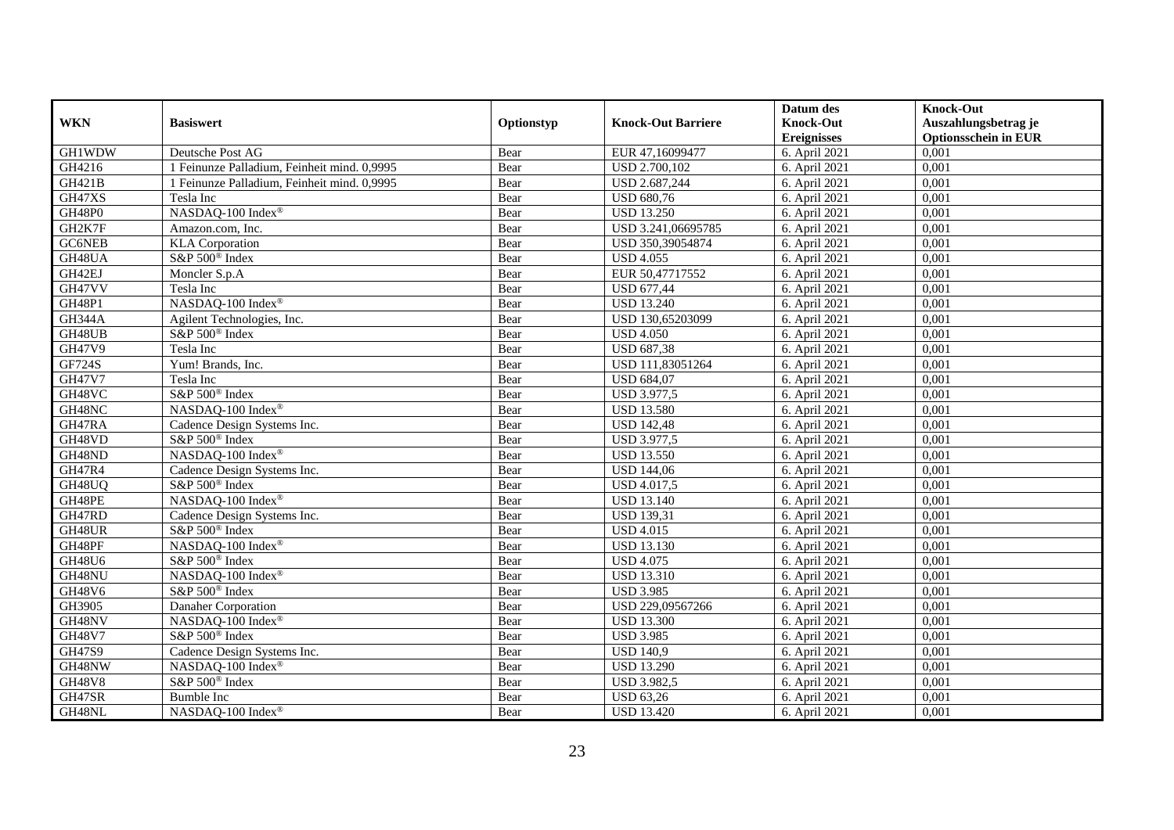|               |                                             |            |                           | Datum des          | <b>Knock-Out</b>            |
|---------------|---------------------------------------------|------------|---------------------------|--------------------|-----------------------------|
| <b>WKN</b>    | <b>Basiswert</b>                            | Optionstyp | <b>Knock-Out Barriere</b> | <b>Knock-Out</b>   | Auszahlungsbetrag je        |
|               |                                             |            |                           | <b>Ereignisses</b> | <b>Optionsschein in EUR</b> |
| <b>GH1WDW</b> | Deutsche Post AG                            | Bear       | EUR 47,16099477           | 6. April 2021      | 0,001                       |
| GH4216        | 1 Feinunze Palladium, Feinheit mind. 0,9995 | Bear       | <b>USD 2.700,102</b>      | 6. April 2021      | 0,001                       |
| <b>GH421B</b> | 1 Feinunze Palladium, Feinheit mind. 0,9995 | Bear       | USD 2.687,244             | 6. April 2021      | 0,001                       |
| GH47XS        | Tesla Inc                                   | Bear       | <b>USD 680,76</b>         | 6. April 2021      | 0,001                       |
| GH48P0        | NASDAQ-100 Index®                           | Bear       | <b>USD 13.250</b>         | 6. April 2021      | 0,001                       |
| GH2K7F        | Amazon.com, Inc.                            | Bear       | USD 3.241,06695785        | 6. April 2021      | 0,001                       |
| GC6NEB        | <b>KLA</b> Corporation                      | Bear       | USD 350,39054874          | 6. April 2021      | 0,001                       |
| GH48UA        | S&P 500 <sup>®</sup> Index                  | Bear       | <b>USD 4.055</b>          | 6. April 2021      | 0,001                       |
| GH42EJ        | Moncler S.p.A                               | Bear       | EUR 50,47717552           | 6. April 2021      | 0,001                       |
| GH47VV        | Tesla Inc                                   | Bear       | <b>USD 677,44</b>         | 6. April 2021      | 0,001                       |
| <b>GH48P1</b> | NASDAQ-100 Index®                           | Bear       | <b>USD 13.240</b>         | 6. April 2021      | 0,001                       |
| <b>GH344A</b> | Agilent Technologies, Inc.                  | Bear       | USD 130,65203099          | 6. April 2021      | 0,001                       |
| GH48UB        | S&P 500 <sup>®</sup> Index                  | Bear       | <b>USD 4.050</b>          | 6. April 2021      | 0,001                       |
| <b>GH47V9</b> | Tesla Inc                                   | Bear       | <b>USD 687,38</b>         | 6. April 2021      | 0,001                       |
| <b>GF724S</b> | Yum! Brands, Inc.                           | Bear       | USD 111,83051264          | 6. April 2021      | 0,001                       |
| <b>GH47V7</b> | Tesla Inc                                   | Bear       | <b>USD 684,07</b>         | 6. April 2021      | 0,001                       |
| GH48VC        | S&P 500 <sup>®</sup> Index                  | Bear       | USD 3.977,5               | 6. April 2021      | 0,001                       |
| GH48NC        | NASDAO-100 Index®                           | Bear       | <b>USD 13.580</b>         | 6. April 2021      | 0,001                       |
| GH47RA        | Cadence Design Systems Inc.                 | Bear       | <b>USD 142,48</b>         | 6. April 2021      | 0,001                       |
| GH48VD        | S&P 500 <sup>®</sup> Index                  | Bear       | USD 3.977,5               | 6. April 2021      | 0,001                       |
| GH48ND        | NASDAQ-100 Index®                           | Bear       | <b>USD 13.550</b>         | 6. April 2021      | 0,001                       |
| <b>GH47R4</b> | Cadence Design Systems Inc.                 | Bear       | <b>USD 144,06</b>         | 6. April 2021      | 0,001                       |
| GH48UQ        | S&P 500 <sup>®</sup> Index                  | Bear       | <b>USD 4.017,5</b>        | 6. April 2021      | 0,001                       |
| GH48PE        | NASDAQ-100 Index®                           | Bear       | <b>USD 13.140</b>         | 6. April 2021      | 0,001                       |
| GH47RD        | Cadence Design Systems Inc.                 | Bear       | <b>USD 139,31</b>         | 6. April 2021      | 0,001                       |
| GH48UR        | S&P 500 <sup>®</sup> Index                  | Bear       | <b>USD 4.015</b>          | 6. April 2021      | 0,001                       |
| GH48PF        | NASDAQ-100 Index®                           | Bear       | <b>USD 13.130</b>         | 6. April 2021      | 0,001                       |
| GH48U6        | S&P 500 <sup>®</sup> Index                  | Bear       | <b>USD 4.075</b>          | 6. April 2021      | 0,001                       |
| GH48NU        | NASDAQ-100 Index®                           | Bear       | <b>USD 13.310</b>         | 6. April 2021      | 0,001                       |
| <b>GH48V6</b> | S&P 500 <sup>®</sup> Index                  | Bear       | <b>USD 3.985</b>          | 6. April 2021      | 0,001                       |
| GH3905        | Danaher Corporation                         | Bear       | USD 229,09567266          | 6. April 2021      | 0,001                       |
| GH48NV        | NASDAQ-100 Index®                           | Bear       | <b>USD 13.300</b>         | 6. April 2021      | 0,001                       |
| <b>GH48V7</b> | S&P 500 <sup>®</sup> Index                  | Bear       | <b>USD 3.985</b>          | 6. April 2021      | 0,001                       |
| GH47S9        | Cadence Design Systems Inc.                 | Bear       | <b>USD 140.9</b>          | 6. April 2021      | 0,001                       |
| GH48NW        | NASDAQ-100 Index®                           | Bear       | <b>USD 13.290</b>         | 6. April 2021      | 0,001                       |
| <b>GH48V8</b> | S&P 500® Index                              | Bear       | <b>USD 3.982,5</b>        | 6. April 2021      | 0,001                       |
| GH47SR        | <b>Bumble Inc</b>                           | Bear       | <b>USD 63,26</b>          | 6. April 2021      | 0,001                       |
| GH48NL        | NASDAQ-100 Index®                           | Bear       | <b>USD 13.420</b>         | 6. April 2021      | 0,001                       |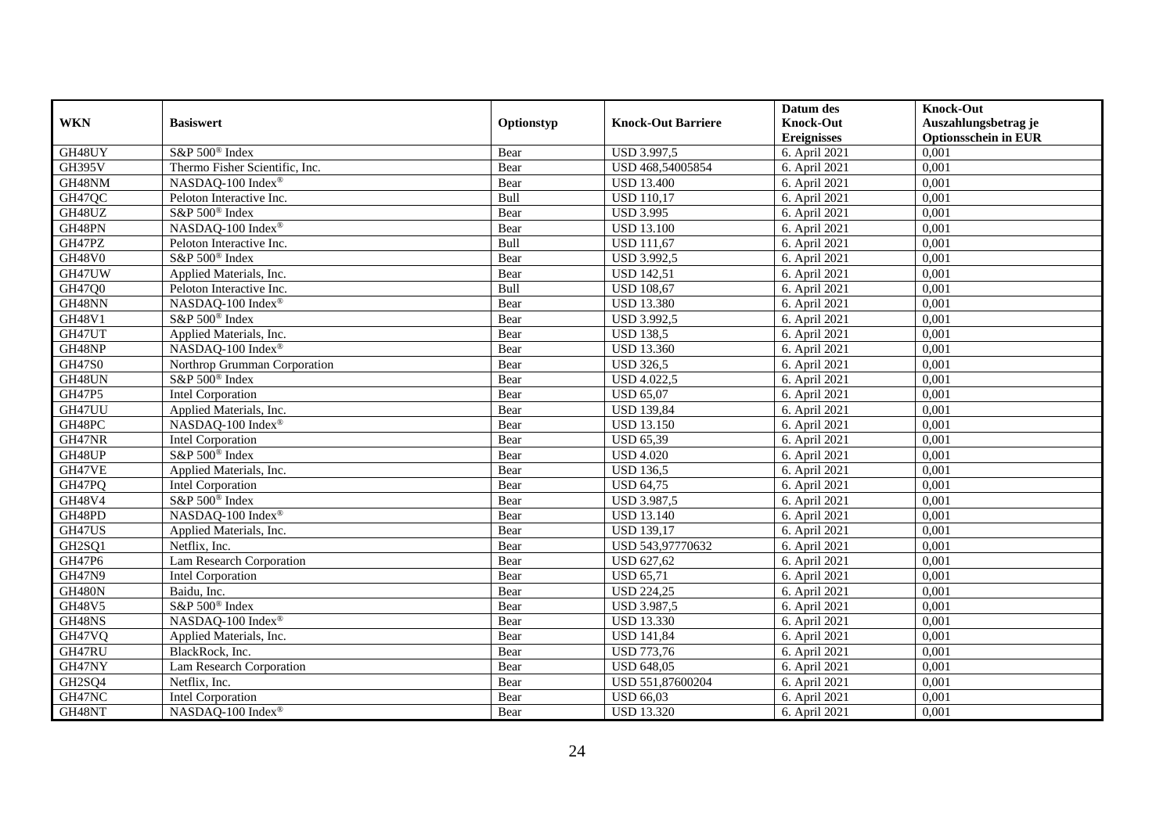|               |                                |            |                           | Datum des          | <b>Knock-Out</b>            |
|---------------|--------------------------------|------------|---------------------------|--------------------|-----------------------------|
| <b>WKN</b>    | <b>Basiswert</b>               | Optionstyp | <b>Knock-Out Barriere</b> | <b>Knock-Out</b>   | Auszahlungsbetrag je        |
|               |                                |            |                           | <b>Ereignisses</b> | <b>Optionsschein in EUR</b> |
| GH48UY        | S&P 500 <sup>®</sup> Index     | Bear       | USD 3.997,5               | 6. April 2021      | 0,001                       |
| <b>GH395V</b> | Thermo Fisher Scientific, Inc. | Bear       | USD 468,54005854          | 6. April 2021      | 0,001                       |
| GH48NM        | NASDAQ-100 Index®              | Bear       | <b>USD 13.400</b>         | 6. April 2021      | 0,001                       |
| GH47QC        | Peloton Interactive Inc.       | Bull       | <b>USD 110,17</b>         | 6. April 2021      | 0,001                       |
| GH48UZ        | S&P 500 <sup>®</sup> Index     | Bear       | <b>USD 3.995</b>          | 6. April 2021      | 0,001                       |
| GH48PN        | NASDAQ-100 Index®              | Bear       | <b>USD 13.100</b>         | 6. April 2021      | 0,001                       |
| GH47PZ        | Peloton Interactive Inc.       | Bull       | <b>USD</b> 111,67         | 6. April 2021      | 0,001                       |
| <b>GH48V0</b> | S&P 500 <sup>®</sup> Index     | Bear       | <b>USD 3.992,5</b>        | 6. April 2021      | 0,001                       |
| GH47UW        | Applied Materials, Inc.        | Bear       | <b>USD 142,51</b>         | 6. April 2021      | 0,001                       |
| GH47Q0        | Peloton Interactive Inc.       | Bull       | <b>USD 108,67</b>         | 6. April 2021      | 0,001                       |
| GH48NN        | NASDAQ-100 Index®              | Bear       | <b>USD 13.380</b>         | 6. April 2021      | 0,001                       |
| <b>GH48V1</b> | S&P 500 <sup>®</sup> Index     | Bear       | USD 3.992,5               | 6. April 2021      | 0,001                       |
| GH47UT        | Applied Materials, Inc.        | Bear       | <b>USD 138,5</b>          | 6. April 2021      | 0,001                       |
| GH48NP        | NASDAQ-100 Index®              | Bear       | <b>USD 13.360</b>         | 6. April 2021      | 0,001                       |
| <b>GH47S0</b> | Northrop Grumman Corporation   | Bear       | <b>USD 326,5</b>          | 6. April 2021      | 0,001                       |
| GH48UN        | S&P 500 <sup>®</sup> Index     | Bear       | <b>USD 4.022,5</b>        | 6. April 2021      | 0,001                       |
| GH47P5        | <b>Intel Corporation</b>       | Bear       | <b>USD 65,07</b>          | 6. April 2021      | 0,001                       |
| GH47UU        | Applied Materials, Inc.        | Bear       | <b>USD 139.84</b>         | 6. April 2021      | 0,001                       |
| GH48PC        | NASDAQ-100 Index®              | Bear       | <b>USD 13.150</b>         | 6. April 2021      | 0,001                       |
| GH47NR        | Intel Corporation              | Bear       | <b>USD 65,39</b>          | 6. April 2021      | 0,001                       |
| GH48UP        | S&P 500 <sup>®</sup> Index     | Bear       | <b>USD 4.020</b>          | 6. April 2021      | 0,001                       |
| GH47VE        | Applied Materials, Inc.        | Bear       | <b>USD 136,5</b>          | 6. April 2021      | 0,001                       |
| GH47PQ        | <b>Intel Corporation</b>       | Bear       | <b>USD 64,75</b>          | 6. April 2021      | 0,001                       |
| GH48V4        | $S\&P 500^{\circ}$ Index       | Bear       | <b>USD 3.987,5</b>        | 6. April 2021      | 0,001                       |
| GH48PD        | NASDAQ-100 Index®              | Bear       | <b>USD 13.140</b>         | 6. April 2021      | 0,001                       |
| GH47US        | Applied Materials, Inc.        | Bear       | <b>USD 139,17</b>         | 6. April 2021      | 0,001                       |
| GH2SQ1        | Netflix, Inc.                  | Bear       | USD 543,97770632          | 6. April 2021      | 0,001                       |
| GH47P6        | Lam Research Corporation       | Bear       | <b>USD 627,62</b>         | 6. April 2021      | 0,001                       |
| <b>GH47N9</b> | Intel Corporation              | Bear       | <b>USD 65,71</b>          | 6. April 2021      | 0,001                       |
| <b>GH480N</b> | Baidu, Inc.                    | Bear       | <b>USD 224,25</b>         | 6. April 2021      | 0,001                       |
| GH48V5        | S&P 500 <sup>®</sup> Index     | Bear       | <b>USD 3.987,5</b>        | 6. April 2021      | 0,001                       |
| GH48NS        | NASDAQ-100 Index®              | Bear       | <b>USD 13.330</b>         | 6. April 2021      | 0,001                       |
| GH47VQ        | Applied Materials, Inc.        | Bear       | <b>USD 141,84</b>         | 6. April 2021      | 0,001                       |
| GH47RU        | BlackRock, Inc.                | Bear       | <b>USD 773,76</b>         | 6. April 2021      | 0,001                       |
| GH47NY        | Lam Research Corporation       | Bear       | <b>USD 648,05</b>         | 6. April 2021      | 0,001                       |
| GH2SQ4        | Netflix, Inc.                  | Bear       | USD 551,87600204          | 6. April 2021      | 0,001                       |
| GH47NC        | Intel Corporation              | Bear       | <b>USD 66,03</b>          | 6. April 2021      | 0,001                       |
| GH48NT        | NASDAQ-100 Index®              | Bear       | <b>USD 13.320</b>         | 6. April 2021      | 0,001                       |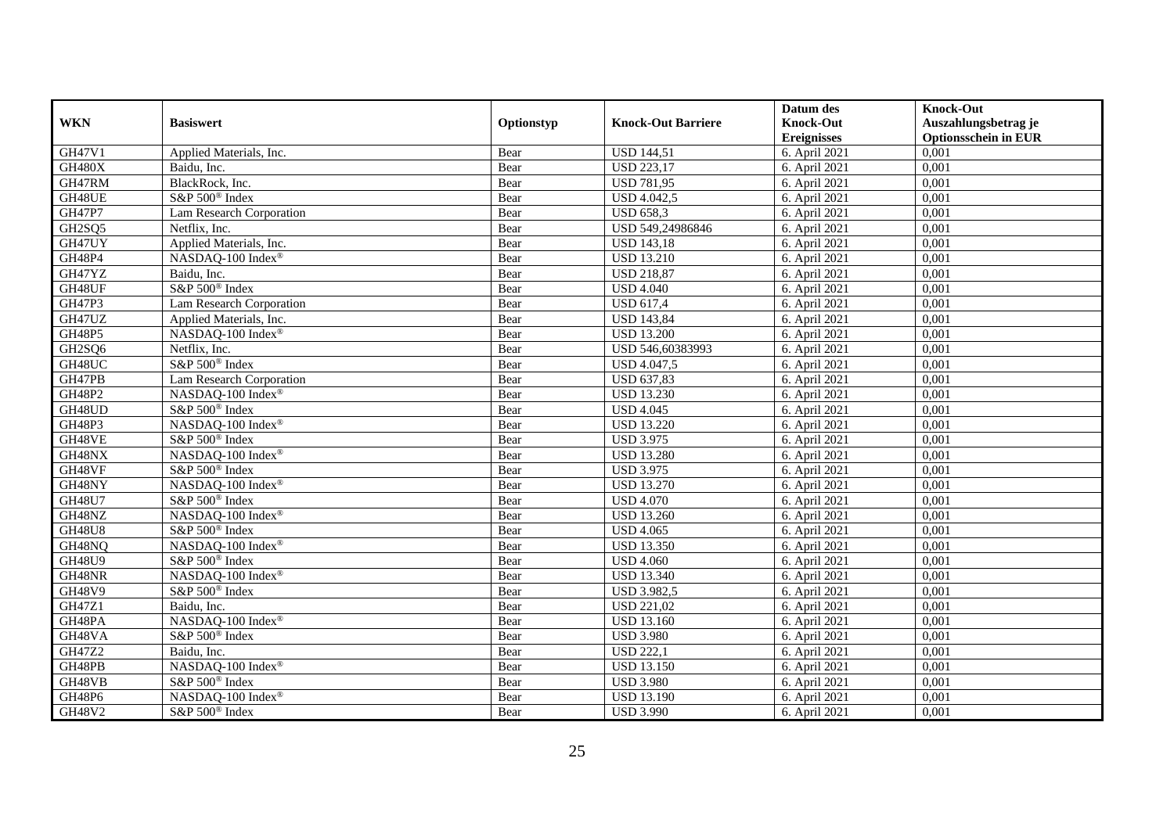|               |                               |            |                           | Datum des          | <b>Knock-Out</b>            |
|---------------|-------------------------------|------------|---------------------------|--------------------|-----------------------------|
| <b>WKN</b>    | <b>Basiswert</b>              | Optionstyp | <b>Knock-Out Barriere</b> | <b>Knock-Out</b>   | Auszahlungsbetrag je        |
|               |                               |            |                           | <b>Ereignisses</b> | <b>Optionsschein in EUR</b> |
| GH47V1        | Applied Materials, Inc.       | Bear       | <b>USD 144,51</b>         | 6. April 2021      | 0,001                       |
| GH480X        | Baidu, Inc.                   | Bear       | <b>USD 223,17</b>         | 6. April 2021      | 0,001                       |
| GH47RM        | BlackRock, Inc.               | Bear       | <b>USD 781,95</b>         | 6. April 2021      | 0,001                       |
| GH48UE        | S&P 500 <sup>®</sup> Index    | Bear       | <b>USD 4.042,5</b>        | 6. April 2021      | 0,001                       |
| GH47P7        | Lam Research Corporation      | Bear       | <b>USD 658,3</b>          | 6. April 2021      | 0,001                       |
| GH2SQ5        | Netflix, Inc.                 | Bear       | USD 549,24986846          | 6. April 2021      | 0,001                       |
| GH47UY        | Applied Materials, Inc.       | Bear       | <b>USD 143,18</b>         | 6. April 2021      | 0,001                       |
| <b>GH48P4</b> | NASDAQ-100 Index <sup>®</sup> | Bear       | <b>USD 13.210</b>         | 6. April 2021      | 0,001                       |
| GH47YZ        | Baidu, Inc.                   | Bear       | <b>USD 218,87</b>         | 6. April 2021      | 0,001                       |
| GH48UF        | S&P 500 <sup>®</sup> Index    | Bear       | <b>USD 4.040</b>          | 6. April 2021      | 0,001                       |
| GH47P3        | Lam Research Corporation      | Bear       | <b>USD 617,4</b>          | 6. April 2021      | 0,001                       |
| GH47UZ        | Applied Materials, Inc.       | Bear       | <b>USD 143,84</b>         | 6. April 2021      | 0,001                       |
| <b>GH48P5</b> | NASDAQ-100 Index®             | Bear       | <b>USD 13.200</b>         | 6. April 2021      | 0,001                       |
| GH2SQ6        | Netflix, Inc.                 | Bear       | USD 546,60383993          | 6. April 2021      | 0,001                       |
| GH48UC        | S&P 500 <sup>®</sup> Index    | Bear       | <b>USD 4.047,5</b>        | 6. April 2021      | 0,001                       |
| GH47PB        | Lam Research Corporation      | Bear       | <b>USD 637,83</b>         | 6. April 2021      | 0,001                       |
| GH48P2        | NASDAQ-100 Index®             | Bear       | <b>USD 13.230</b>         | 6. April 2021      | 0,001                       |
| GH48UD        | S&P 500 <sup>®</sup> Index    | Bear       | <b>USD 4.045</b>          | 6. April 2021      | 0,001                       |
| GH48P3        | NASDAQ-100 Index®             | Bear       | <b>USD 13.220</b>         | 6. April 2021      | 0,001                       |
| GH48VE        | S&P 500 <sup>®</sup> Index    | Bear       | <b>USD 3.975</b>          | 6. April 2021      | 0,001                       |
| GH48NX        | NASDAQ-100 Index®             | Bear       | <b>USD 13.280</b>         | 6. April 2021      | 0,001                       |
| GH48VF        | S&P 500 <sup>®</sup> Index    | Bear       | <b>USD 3.975</b>          | 6. April 2021      | 0,001                       |
| GH48NY        | NASDAQ-100 Index®             | Bear       | <b>USD 13.270</b>         | 6. April 2021      | 0,001                       |
| GH48U7        | S&P 500 <sup>®</sup> Index    | Bear       | <b>USD 4.070</b>          | 6. April 2021      | 0,001                       |
| GH48NZ        | NASDAQ-100 Index <sup>®</sup> | Bear       | <b>USD 13.260</b>         | 6. April 2021      | 0,001                       |
| <b>GH48U8</b> | S&P 500 <sup>®</sup> Index    | Bear       | <b>USD 4.065</b>          | 6. April 2021      | 0,001                       |
| GH48NQ        | NASDAQ-100 Index®             | Bear       | <b>USD 13.350</b>         | 6. April 2021      | 0,001                       |
| GH48U9        | S&P 500 <sup>®</sup> Index    | Bear       | <b>USD 4.060</b>          | 6. April 2021      | 0,001                       |
| GH48NR        | NASDAQ-100 Index®             | Bear       | <b>USD 13.340</b>         | 6. April 2021      | 0,001                       |
| <b>GH48V9</b> | S&P 500 <sup>®</sup> Index    | Bear       | <b>USD 3.982,5</b>        | 6. April 2021      | 0,001                       |
| GH47Z1        | Baidu, Inc.                   | Bear       | <b>USD 221,02</b>         | 6. April 2021      | 0,001                       |
| GH48PA        | NASDAQ-100 Index®             | Bear       | <b>USD 13.160</b>         | 6. April 2021      | 0,001                       |
| GH48VA        | S&P 500 <sup>®</sup> Index    | Bear       | <b>USD 3.980</b>          | 6. April 2021      | 0,001                       |
| GH47Z2        | Baidu, Inc.                   | Bear       | <b>USD 222.1</b>          | 6. April 2021      | 0,001                       |
| GH48PB        | NASDAQ-100 Index®             | Bear       | <b>USD 13.150</b>         | 6. April 2021      | 0,001                       |
| GH48VB        | S&P 500 <sup>®</sup> Index    | Bear       | <b>USD 3.980</b>          | 6. April 2021      | 0,001                       |
| GH48P6        | NASDAQ-100 Index®             | Bear       | <b>USD 13.190</b>         | 6. April 2021      | 0,001                       |
| GH48V2        | S&P 500 <sup>®</sup> Index    | Bear       | <b>USD 3.990</b>          | 6. April 2021      | 0,001                       |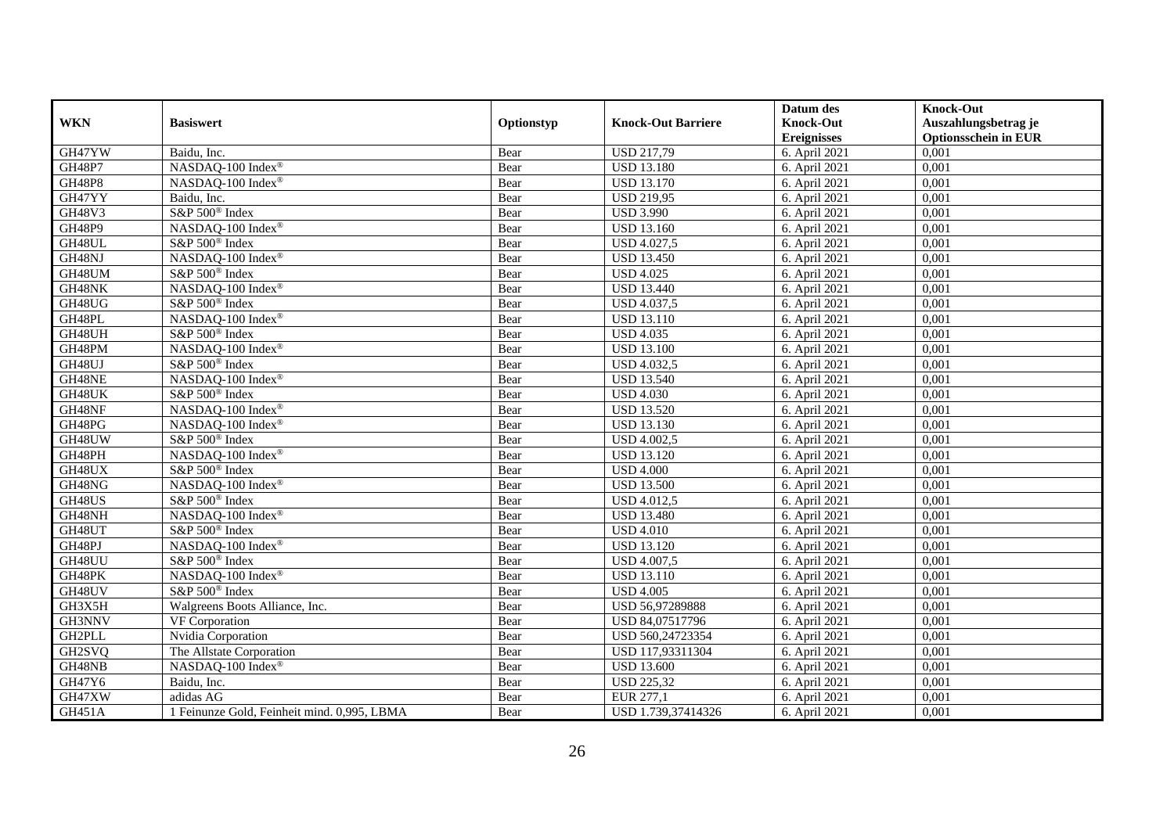|               |                                             |            |                           | Datum des          | <b>Knock-Out</b>            |
|---------------|---------------------------------------------|------------|---------------------------|--------------------|-----------------------------|
| <b>WKN</b>    | <b>Basiswert</b>                            | Optionstyp | <b>Knock-Out Barriere</b> | <b>Knock-Out</b>   | Auszahlungsbetrag je        |
|               |                                             |            |                           | <b>Ereignisses</b> | <b>Optionsschein in EUR</b> |
| GH47YW        | Baidu, Inc.                                 | Bear       | <b>USD 217,79</b>         | 6. April 2021      | 0,001                       |
| <b>GH48P7</b> | NASDAQ-100 Index®                           | Bear       | <b>USD 13.180</b>         | 6. April 2021      | 0,001                       |
| <b>GH48P8</b> | NASDAO-100 Index®                           | Bear       | <b>USD 13.170</b>         | 6. April 2021      | 0,001                       |
| GH47YY        | Baidu, Inc.                                 | Bear       | <b>USD 219,95</b>         | 6. April 2021      | 0,001                       |
| GH48V3        | S&P 500 <sup>®</sup> Index                  | Bear       | <b>USD 3.990</b>          | 6. April 2021      | 0,001                       |
| <b>GH48P9</b> | NASDAQ-100 Index®                           | Bear       | <b>USD 13.160</b>         | 6. April 2021      | 0,001                       |
| GH48UL        | S&P 500 <sup>®</sup> Index                  | Bear       | <b>USD 4.027,5</b>        | 6. April 2021      | 0,001                       |
| GH48NJ        | NASDAQ-100 Index®                           | Bear       | <b>USD 13.450</b>         | 6. April 2021      | 0,001                       |
| GH48UM        | S&P 500 <sup>®</sup> Index                  | Bear       | <b>USD 4.025</b>          | 6. April 2021      | 0,001                       |
| GH48NK        | NASDAQ-100 Index®                           | Bear       | <b>USD 13.440</b>         | 6. April 2021      | 0,001                       |
| GH48UG        | S&P 500 <sup>®</sup> Index                  | Bear       | <b>USD 4.037,5</b>        | 6. April 2021      | 0,001                       |
| GH48PL        | NASDAQ-100 Index®                           | Bear       | <b>USD 13.110</b>         | 6. April 2021      | 0,001                       |
| GH48UH        | S&P 500 <sup>®</sup> Index                  | Bear       | <b>USD 4.035</b>          | 6. April 2021      | 0,001                       |
| GH48PM        | NASDAQ-100 Index®                           | Bear       | <b>USD 13.100</b>         | 6. April 2021      | 0,001                       |
| GH48UJ        | S&P 500 <sup>®</sup> Index                  | Bear       | <b>USD 4.032,5</b>        | 6. April 2021      | 0,001                       |
| GH48NE        | NASDAQ-100 Index®                           | Bear       | <b>USD 13.540</b>         | 6. April 2021      | 0,001                       |
| GH48UK        | S&P 500 <sup>®</sup> Index                  | Bear       | <b>USD 4.030</b>          | 6. April 2021      | 0,001                       |
| GH48NF        | NASDAO-100 Index <sup>®</sup>               | Bear       | <b>USD 13.520</b>         | 6. April 2021      | 0,001                       |
| GH48PG        | NASDAQ-100 Index®                           | Bear       | <b>USD 13.130</b>         | 6. April 2021      | 0,001                       |
| GH48UW        | S&P 500 <sup>®</sup> Index                  | Bear       | <b>USD 4.002,5</b>        | 6. April 2021      | 0,001                       |
| GH48PH        | NASDAQ-100 Index®                           | Bear       | <b>USD 13.120</b>         | 6. April 2021      | 0,001                       |
| GH48UX        | S&P 500 <sup>®</sup> Index                  | Bear       | <b>USD 4.000</b>          | 6. April 2021      | 0,001                       |
| GH48NG        | NASDAQ-100 Index®                           | Bear       | <b>USD 13.500</b>         | 6. April 2021      | 0,001                       |
| GH48US        | S&P 500 <sup>®</sup> Index                  | Bear       | <b>USD 4.012,5</b>        | 6. April 2021      | 0,001                       |
| GH48NH        | NASDAO-100 Index <sup>®</sup>               | Bear       | <b>USD 13.480</b>         | 6. April 2021      | 0,001                       |
| GH48UT        | S&P 500 <sup>®</sup> Index                  | Bear       | <b>USD 4.010</b>          | 6. April 2021      | 0,001                       |
| GH48PJ        | NASDAQ-100 Index®                           | Bear       | <b>USD 13.120</b>         | 6. April 2021      | 0,001                       |
| GH48UU        | S&P 500 <sup>®</sup> Index                  | Bear       | <b>USD 4.007,5</b>        | 6. April 2021      | 0,001                       |
| GH48PK        | NASDAQ-100 Index®                           | Bear       | <b>USD 13.110</b>         | 6. April 2021      | 0,001                       |
| GH48UV        | S&P 500 <sup>®</sup> Index                  | Bear       | <b>USD 4.005</b>          | 6. April 2021      | 0,001                       |
| GH3X5H        | Walgreens Boots Alliance, Inc.              | Bear       | USD 56,97289888           | 6. April 2021      | 0,001                       |
| GH3NNV        | VF Corporation                              | Bear       | USD 84,07517796           | 6. April 2021      | 0,001                       |
| GH2PLL        | Nvidia Corporation                          | Bear       | USD 560,24723354          | 6. April 2021      | 0,001                       |
| GH2SVQ        | The Allstate Corporation                    | Bear       | USD 117,93311304          | 6. April 2021      | 0,001                       |
| GH48NB        | NASDAQ-100 Index®                           | Bear       | <b>USD 13.600</b>         | 6. April 2021      | 0,001                       |
| GH47Y6        | Baidu, Inc.                                 | Bear       | <b>USD 225,32</b>         | 6. April 2021      | 0,001                       |
| GH47XW        | adidas AG                                   | Bear       | EUR 277,1                 | 6. April 2021      | 0,001                       |
| GH451A        | 1 Feinunze Gold, Feinheit mind. 0,995, LBMA | Bear       | USD 1.739,37414326        | 6. April 2021      | 0,001                       |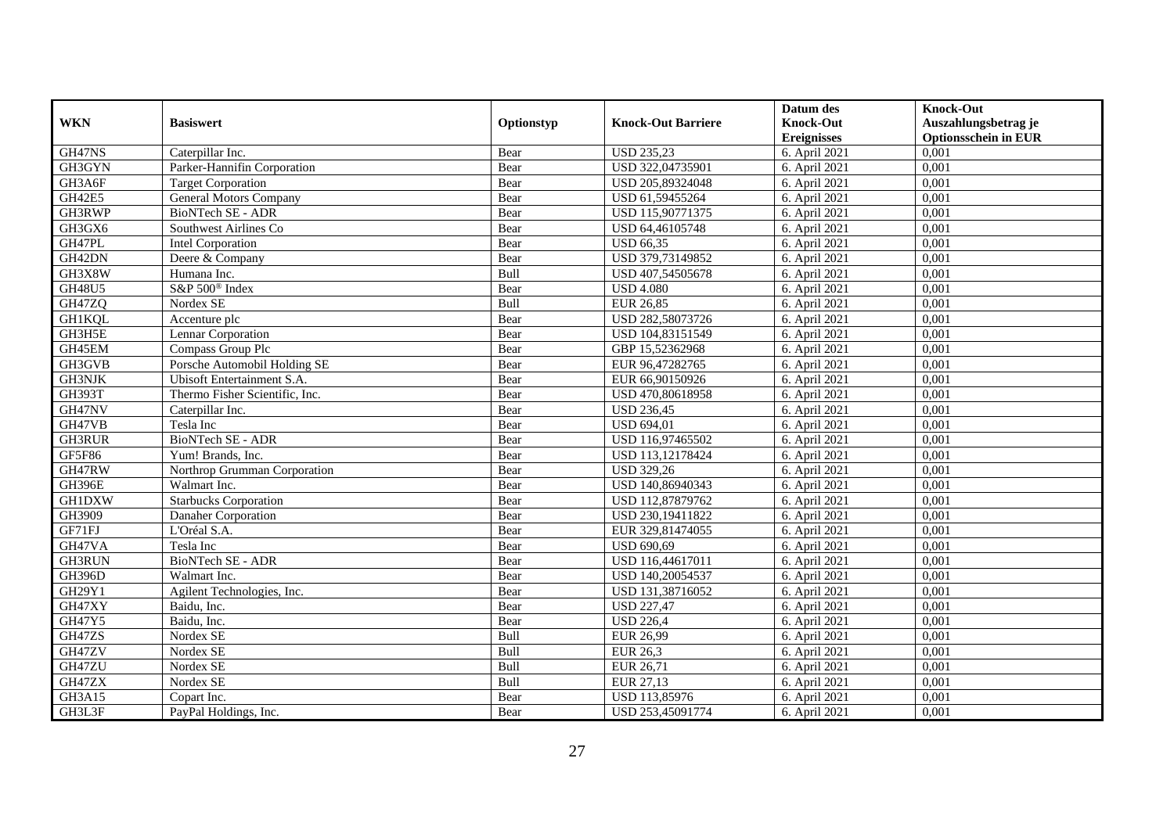|               |                                |            |                           | Datum des          | <b>Knock-Out</b>            |
|---------------|--------------------------------|------------|---------------------------|--------------------|-----------------------------|
| <b>WKN</b>    | <b>Basiswert</b>               | Optionstyp | <b>Knock-Out Barriere</b> | <b>Knock-Out</b>   | Auszahlungsbetrag je        |
|               |                                |            |                           | <b>Ereignisses</b> | <b>Optionsschein in EUR</b> |
| GH47NS        | Caterpillar Inc.               | Bear       | <b>USD 235,23</b>         | 6. April 2021      | 0,001                       |
| GH3GYN        | Parker-Hannifin Corporation    | Bear       | USD 322,04735901          | 6. April 2021      | 0,001                       |
| GH3A6F        | <b>Target Corporation</b>      | Bear       | USD 205,89324048          | 6. April 2021      | 0,001                       |
| GH42E5        | <b>General Motors Company</b>  | Bear       | USD 61,59455264           | 6. April 2021      | 0,001                       |
| GH3RWP        | BioNTech SE - ADR              | Bear       | USD 115,90771375          | 6. April 2021      | 0,001                       |
| GH3GX6        | Southwest Airlines Co          | Bear       | USD 64,46105748           | 6. April 2021      | 0,001                       |
| GH47PL        | Intel Corporation              | Bear       | <b>USD 66,35</b>          | 6. April 2021      | 0,001                       |
| GH42DN        | Deere & Company                | Bear       | USD 379,73149852          | 6. April 2021      | 0,001                       |
| GH3X8W        | Humana Inc.                    | Bull       | USD 407,54505678          | 6. April 2021      | 0,001                       |
| <b>GH48U5</b> | S&P 500 <sup>®</sup> Index     | Bear       | <b>USD 4.080</b>          | 6. April 2021      | 0,001                       |
| GH47ZQ        | Nordex SE                      | Bull       | <b>EUR 26,85</b>          | 6. April 2021      | 0,001                       |
| <b>GH1KQL</b> | Accenture plc                  | Bear       | USD 282,58073726          | 6. April 2021      | 0,001                       |
| GH3H5E        | Lennar Corporation             | Bear       | USD 104,83151549          | 6. April 2021      | 0,001                       |
| GH45EM        | Compass Group Plc              | Bear       | GBP 15,52362968           | 6. April 2021      | 0.001                       |
| GH3GVB        | Porsche Automobil Holding SE   | Bear       | EUR 96,47282765           | 6. April 2021      | 0,001                       |
| <b>GH3NJK</b> | Ubisoft Entertainment S.A.     | Bear       | EUR 66,90150926           | 6. April 2021      | 0,001                       |
| <b>GH393T</b> | Thermo Fisher Scientific, Inc. | Bear       | USD 470,80618958          | 6. April 2021      | 0,001                       |
| GH47NV        | Caterpillar Inc.               | Bear       | <b>USD 236,45</b>         | 6. April 2021      | 0,001                       |
| GH47VB        | Tesla Inc                      | Bear       | <b>USD 694,01</b>         | 6. April 2021      | 0,001                       |
| GH3RUR        | BioNTech SE - ADR              | Bear       | USD 116,97465502          | 6. April 2021      | 0,001                       |
| <b>GF5F86</b> | Yum! Brands, Inc.              | Bear       | USD 113,12178424          | 6. April 2021      | 0,001                       |
| GH47RW        | Northrop Grumman Corporation   | Bear       | <b>USD 329,26</b>         | 6. April 2021      | 0,001                       |
| <b>GH396E</b> | Walmart Inc.                   | Bear       | USD 140,86940343          | 6. April 2021      | 0,001                       |
| <b>GH1DXW</b> | <b>Starbucks Corporation</b>   | Bear       | USD 112,87879762          | 6. April 2021      | 0,001                       |
| GH3909        | Danaher Corporation            | Bear       | USD 230,19411822          | 6. April 2021      | 0,001                       |
| GF71FJ        | L'Oréal S.A.                   | Bear       | EUR 329,81474055          | 6. April 2021      | 0,001                       |
| GH47VA        | Tesla Inc                      | Bear       | <b>USD 690,69</b>         | 6. April 2021      | 0,001                       |
| <b>GH3RUN</b> | BioNTech SE - ADR              | Bear       | USD 116,44617011          | 6. April 2021      | 0,001                       |
| <b>GH396D</b> | Walmart Inc.                   | Bear       | USD 140,20054537          | 6. April 2021      | 0,001                       |
| GH29Y1        | Agilent Technologies, Inc.     | Bear       | USD 131,38716052          | 6. April 2021      | 0,001                       |
| GH47XY        | Baidu, Inc.                    | Bear       | <b>USD 227,47</b>         | 6. April 2021      | 0,001                       |
| GH47Y5        | Baidu, Inc.                    | Bear       | <b>USD 226,4</b>          | 6. April 2021      | 0,001                       |
| GH47ZS        | Nordex SE                      | Bull       | EUR 26,99                 | 6. April 2021      | 0,001                       |
| GH47ZV        | Nordex SE                      | Bull       | <b>EUR 26,3</b>           | 6. April 2021      | 0,001                       |
| GH47ZU        | Nordex SE                      | Bull       | EUR 26,71                 | 6. April 2021      | 0,001                       |
| GH47ZX        | Nordex SE                      | Bull       | EUR 27,13                 | 6. April 2021      | 0,001                       |
| GH3A15        | Copart Inc.                    | Bear       | USD 113,85976             | 6. April 2021      | 0,001                       |
| GH3L3F        | PayPal Holdings, Inc.          | Bear       | USD 253,45091774          | 6. April 2021      | 0,001                       |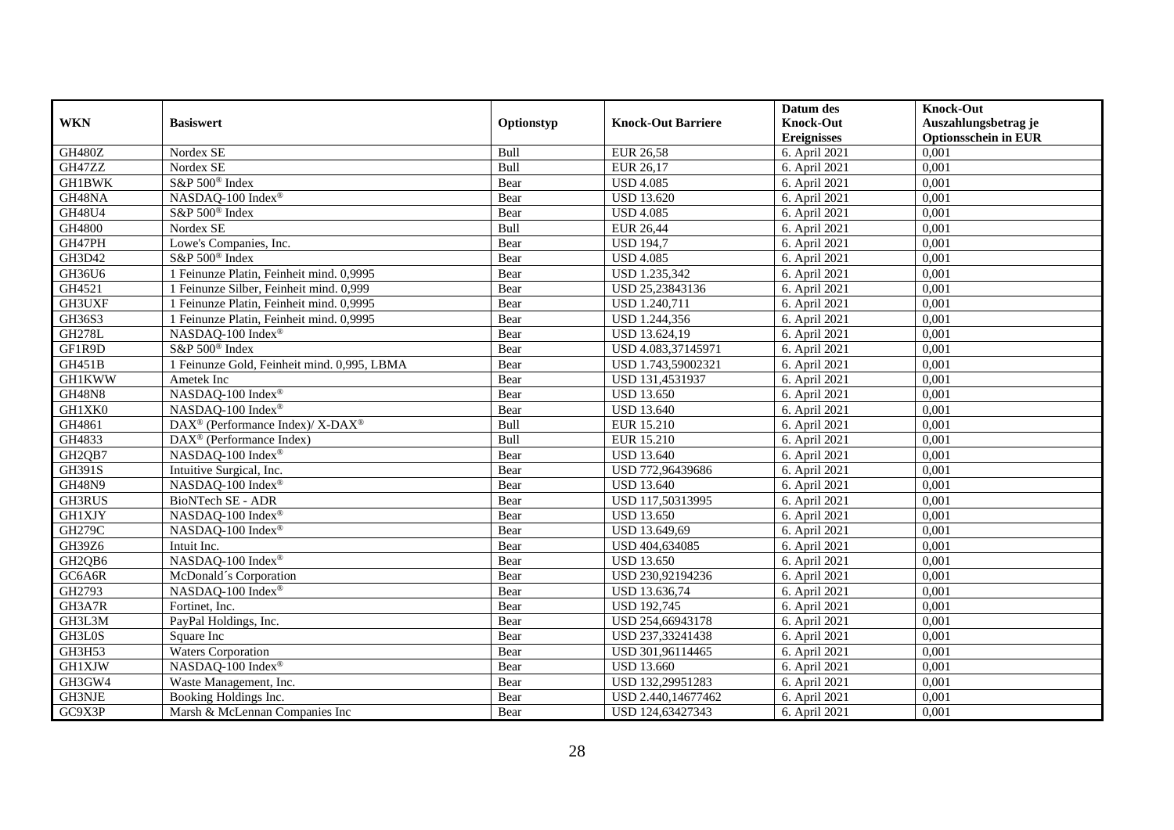|                                 |                                                                  |            |                           | Datum des          | <b>Knock-Out</b>            |
|---------------------------------|------------------------------------------------------------------|------------|---------------------------|--------------------|-----------------------------|
| <b>WKN</b>                      | <b>Basiswert</b>                                                 | Optionstyp | <b>Knock-Out Barriere</b> | <b>Knock-Out</b>   | Auszahlungsbetrag je        |
|                                 |                                                                  |            |                           | <b>Ereignisses</b> | <b>Optionsschein in EUR</b> |
| <b>GH480Z</b>                   | Nordex SE                                                        | Bull       | <b>EUR 26,58</b>          | 6. April 2021      | 0,001                       |
| GH47ZZ                          | Nordex SE                                                        | Bull       | EUR 26,17                 | 6. April 2021      | 0,001                       |
| <b>GH1BWK</b>                   | S&P 500 <sup>®</sup> Index                                       | Bear       | <b>USD 4.085</b>          | 6. April 2021      | 0,001                       |
| GH48NA                          | NASDAQ-100 Index®                                                | Bear       | <b>USD 13.620</b>         | 6. April 2021      | 0,001                       |
| GH48U4                          | S&P 500 <sup>®</sup> Index                                       | Bear       | <b>USD 4.085</b>          | 6. April 2021      | 0,001                       |
| GH4800                          | Nordex SE                                                        | Bull       | <b>EUR 26,44</b>          | 6. April 2021      | 0,001                       |
| GH47PH                          | Lowe's Companies, Inc.                                           | Bear       | <b>USD 194,7</b>          | 6. April 2021      | 0,001                       |
| GH3D42                          | $S\&P 500^{\circ}$ Index                                         | Bear       | <b>USD 4.085</b>          | 6. April 2021      | 0,001                       |
| GH36U6                          | 1 Feinunze Platin, Feinheit mind. 0,9995                         | Bear       | USD 1.235,342             | 6. April 2021      | 0,001                       |
| GH4521                          | 1 Feinunze Silber, Feinheit mind. 0,999                          | Bear       | USD 25,23843136           | 6. April 2021      | 0,001                       |
| GH3UXF                          | 1 Feinunze Platin, Feinheit mind. 0,9995                         | Bear       | <b>USD 1.240,711</b>      | 6. April 2021      | 0,001                       |
| GH36S3                          | 1 Feinunze Platin, Feinheit mind. 0,9995                         | Bear       | USD 1.244,356             | 6. April 2021      | 0,001                       |
| <b>GH278L</b>                   | NASDAQ-100 Index®                                                | Bear       | USD 13.624,19             | 6. April 2021      | 0,001                       |
| GF1R9D                          | S&P 500 <sup>®</sup> Index                                       | Bear       | USD 4.083,37145971        | 6. April 2021      | 0,001                       |
| GH451B                          | 1 Feinunze Gold, Feinheit mind. 0,995, LBMA                      | Bear       | USD 1.743,59002321        | 6. April 2021      | 0,001                       |
| <b>GH1KWW</b>                   | Ametek Inc                                                       | Bear       | USD 131,4531937           | 6. April 2021      | 0,001                       |
| <b>GH48N8</b>                   | NASDAQ-100 Index®                                                | Bear       | <b>USD 13.650</b>         | 6. April 2021      | 0,001                       |
| GH1XK0                          | NASDAO-100 Index®                                                | Bear       | <b>USD 13.640</b>         | 6. April 2021      | 0,001                       |
| GH4861                          | $\text{DAX}^{\circledR}$ (Performance Index)/ X-DAX <sup>®</sup> | Bull       | EUR 15.210                | 6. April 2021      | 0,001                       |
| GH4833                          | DAX <sup>®</sup> (Performance Index)                             | Bull       | EUR 15.210                | 6. April 2021      | 0,001                       |
| GH <sub>2</sub> QB <sub>7</sub> | NASDAQ-100 Index®                                                | Bear       | <b>USD 13.640</b>         | 6. April 2021      | 0,001                       |
| <b>GH391S</b>                   | Intuitive Surgical, Inc.                                         | Bear       | USD 772,96439686          | 6. April 2021      | 0,001                       |
| <b>GH48N9</b>                   | NASDAQ-100 Index®                                                | Bear       | <b>USD 13.640</b>         | 6. April 2021      | 0,001                       |
| <b>GH3RUS</b>                   | <b>BioNTech SE - ADR</b>                                         | Bear       | USD 117,50313995          | 6. April 2021      | 0,001                       |
| GH1XJY                          | NASDAQ-100 Index®                                                | Bear       | <b>USD 13.650</b>         | 6. April 2021      | 0,001                       |
| <b>GH279C</b>                   | $NASDAQ-100$ Index <sup>®</sup>                                  | Bear       | USD 13.649,69             | 6. April 2021      | 0,001                       |
| GH39Z6                          | Intuit Inc.                                                      | Bear       | USD 404,634085            | 6. April 2021      | 0,001                       |
| GH2QB6                          | NASDAQ-100 Index®                                                | Bear       | <b>USD 13.650</b>         | 6. April 2021      | 0,001                       |
| GC6A6R                          | McDonald's Corporation                                           | Bear       | USD 230,92194236          | 6. April 2021      | 0,001                       |
| GH2793                          | NASDAQ-100 Index®                                                | Bear       | USD 13.636,74             | 6. April 2021      | 0,001                       |
| GH3A7R                          | Fortinet, Inc.                                                   | Bear       | <b>USD 192,745</b>        | 6. April 2021      | 0,001                       |
| GH3L3M                          | PayPal Holdings, Inc.                                            | Bear       | USD 254,66943178          | 6. April 2021      | 0,001                       |
| GH3L0S                          | Square Inc                                                       | Bear       | USD 237,33241438          | 6. April 2021      | 0,001                       |
| GH3H53                          | <b>Waters Corporation</b>                                        | Bear       | USD 301,96114465          | 6. April 2021      | 0,001                       |
| <b>GH1XJW</b>                   | NASDAQ-100 Index®                                                | Bear       | <b>USD 13.660</b>         | 6. April 2021      | 0,001                       |
| GH3GW4                          | Waste Management, Inc.                                           | Bear       | USD 132,29951283          | 6. April 2021      | 0,001                       |
| GH3NJE                          | Booking Holdings Inc.                                            | Bear       | USD 2.440,14677462        | 6. April 2021      | 0,001                       |
| GC9X3P                          | Marsh & McLennan Companies Inc                                   | Bear       | USD 124,63427343          | 6. April 2021      | 0,001                       |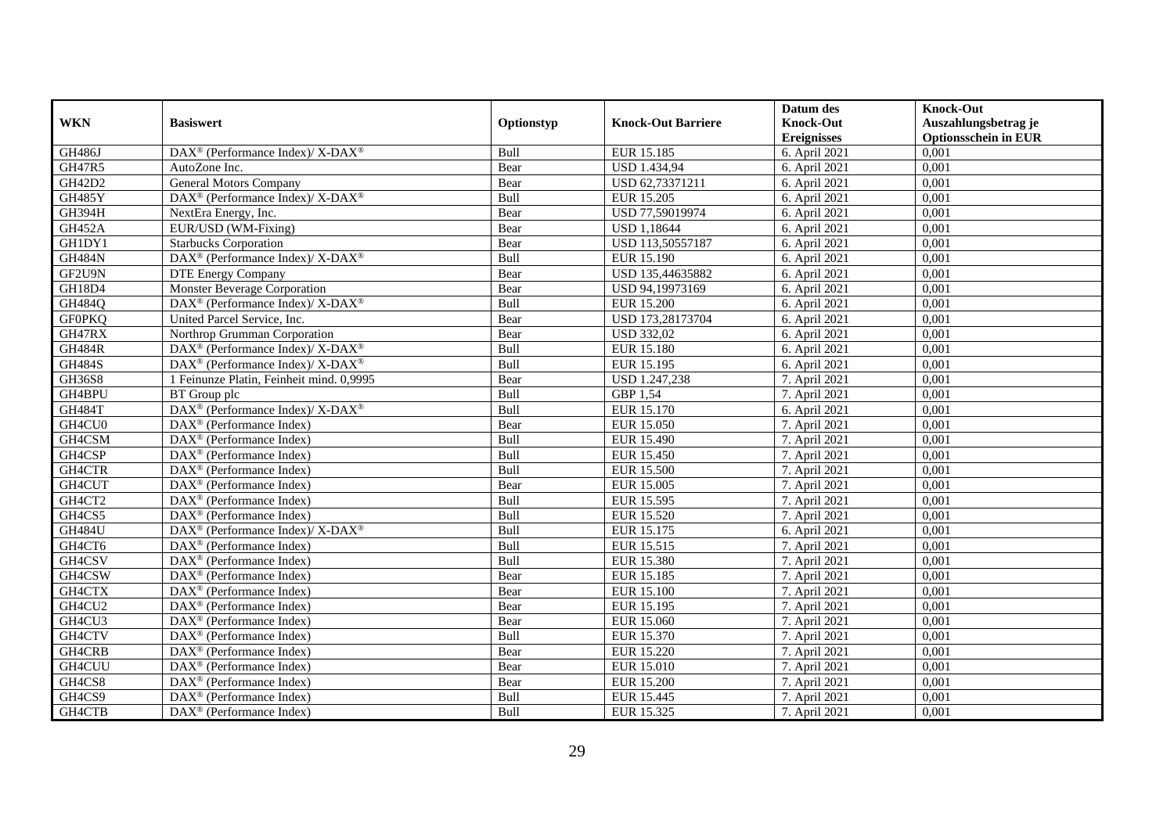|               |                                                                  |             |                           | Datum des          | <b>Knock-Out</b>            |
|---------------|------------------------------------------------------------------|-------------|---------------------------|--------------------|-----------------------------|
| <b>WKN</b>    | <b>Basiswert</b>                                                 | Optionstyp  | <b>Knock-Out Barriere</b> | <b>Knock-Out</b>   | Auszahlungsbetrag je        |
|               |                                                                  |             |                           | <b>Ereignisses</b> | <b>Optionsschein in EUR</b> |
| <b>GH486J</b> | $\text{DAX}^{\circledR}$ (Performance Index)/ X-DAX <sup>®</sup> | Bull        | EUR 15.185                | 6. April 2021      | 0,001                       |
| GH47R5        | AutoZone Inc.                                                    | Bear        | <b>USD 1.434,94</b>       | 6. April 2021      | 0,001                       |
| GH42D2        | <b>General Motors Company</b>                                    | Bear        | USD 62,73371211           | 6. April 2021      | 0,001                       |
| GH485Y        | DAX <sup>®</sup> (Performance Index)/ X-DAX <sup>®</sup>         | Bull        | EUR 15.205                | 6. April 2021      | 0,001                       |
| GH394H        | NextEra Energy, Inc.                                             | Bear        | USD 77,59019974           | 6. April 2021      | 0,001                       |
| <b>GH452A</b> | EUR/USD (WM-Fixing)                                              | Bear        | <b>USD 1,18644</b>        | 6. April 2021      | 0,001                       |
| GH1DY1        | <b>Starbucks Corporation</b>                                     | Bear        | USD 113,50557187          | 6. April 2021      | 0,001                       |
| <b>GH484N</b> | DAX <sup>®</sup> (Performance Index)/ X-DAX <sup>®</sup>         | Bull        | EUR 15.190                | 6. April 2021      | 0,001                       |
| GF2U9N        | <b>DTE Energy Company</b>                                        | Bear        | USD 135,44635882          | 6. April 2021      | 0,001                       |
| GH18D4        | Monster Beverage Corporation                                     | Bear        | USD 94,19973169           | 6. April 2021      | 0,001                       |
| GH484Q        | DAX <sup>®</sup> (Performance Index)/ X-DAX <sup>®</sup>         | Bull        | <b>EUR 15.200</b>         | 6. April 2021      | 0,001                       |
| <b>GF0PKQ</b> | United Parcel Service, Inc.                                      | Bear        | USD 173,28173704          | 6. April 2021      | 0,001                       |
| GH47RX        | Northrop Grumman Corporation                                     | Bear        | <b>USD 332,02</b>         | 6. April 2021      | 0,001                       |
| <b>GH484R</b> | $DAX^{\circledcirc}$ (Performance Index)/ X-DAX <sup>®</sup>     | <b>Bull</b> | <b>EUR 15.180</b>         | 6. April 2021      | 0.001                       |
| <b>GH484S</b> | DAX <sup>®</sup> (Performance Index)/ X-DAX <sup>®</sup>         | Bull        | EUR 15.195                | 6. April 2021      | 0,001                       |
| <b>GH36S8</b> | 1 Feinunze Platin, Feinheit mind. 0,9995                         | Bear        | <b>USD 1.247,238</b>      | 7. April 2021      | 0,001                       |
| GH4BPU        | BT Group plc                                                     | Bull        | GBP 1,54                  | 7. April 2021      | 0,001                       |
| <b>GH484T</b> | $\text{DAX}^{\circledR}$ (Performance Index)/ X-DAX <sup>®</sup> | Bull        | EUR 15.170                | 6. April 2021      | 0,001                       |
| GH4CU0        | $\text{DAX}^{\textcircled{n}}$ (Performance Index)               | Bear        | EUR 15.050                | 7. April 2021      | 0,001                       |
| GH4CSM        | $\text{DAX}^{\otimes}$ (Performance Index)                       | Bull        | EUR 15.490                | 7. April 2021      | 0,001                       |
| GH4CSP        | DAX <sup>®</sup> (Performance Index)                             | Bull        | <b>EUR 15.450</b>         | 7. April 2021      | 0,001                       |
| GH4CTR        | $\text{DAX}^{\textcircled{p}}$ (Performance Index)               | <b>Bull</b> | <b>EUR 15.500</b>         | 7. April 2021      | 0,001                       |
| GH4CUT        | $\text{DAX}^{\textcircled{p}}$ (Performance Index)               | Bear        | EUR 15.005                | 7. April 2021      | 0,001                       |
| GH4CT2        | $\text{DAX}^{\textcircled{p}}$ (Performance Index)               | Bull        | EUR 15.595                | 7. April 2021      | 0,001                       |
| GH4CS5        | $\text{DAX}^{\textcircled{p}}$ (Performance Index)               | Bull        | EUR 15.520                | 7. April 2021      | 0,001                       |
| <b>GH484U</b> | DAX <sup>®</sup> (Performance Index)/ X-DAX <sup>®</sup>         | Bull        | EUR 15.175                | 6. April 2021      | 0,001                       |
| GH4CT6        | DAX <sup>®</sup> (Performance Index)                             | Bull        | EUR 15.515                | 7. April 2021      | 0,001                       |
| GH4CSV        | DAX <sup>®</sup> (Performance Index)                             | Bull        | EUR 15.380                | 7. April 2021      | 0,001                       |
| GH4CSW        | $\text{DAX}^{\textcircled{n}}$ (Performance Index)               | Bear        | EUR 15.185                | 7. April 2021      | 0,001                       |
| GH4CTX        | $\text{DAX}^{\textcircled{n}}$ (Performance Index)               | Bear        | <b>EUR 15.100</b>         | 7. April 2021      | 0,001                       |
| GH4CU2        | $\text{DAX}^{\textcircled{D}}$ (Performance Index)               | Bear        | EUR 15.195                | 7. April 2021      | 0,001                       |
| GH4CU3        | DAX <sup>®</sup> (Performance Index)                             | Bear        | EUR 15.060                | 7. April 2021      | 0,001                       |
| GH4CTV        | $\text{DAX}^{\textcircled{D}}$ (Performance Index)               | Bull        | EUR 15.370                | 7. April 2021      | 0,001                       |
| GH4CRB        | $\overline{\text{DAX}}^{\textcirc}$ (Performance Index)          | Bear        | EUR 15.220                | 7. April 2021      | 0,001                       |
| GH4CUU        | $\text{DAX}^{\textcircled{n}}$ (Performance Index)               | Bear        | EUR 15.010                | 7. April 2021      | 0,001                       |
| GH4CS8        | DAX <sup>®</sup> (Performance Index)                             | Bear        | <b>EUR 15.200</b>         | 7. April 2021      | 0,001                       |
| GH4CS9        | $\text{DAX}^{\otimes}$ (Performance Index)                       | Bull        | EUR 15.445                | 7. April 2021      | 0,001                       |
| GH4CTB        | $\text{DAX}^{\textcircled{n}}$ (Performance Index)               | Bull        | EUR 15.325                | 7. April 2021      | 0,001                       |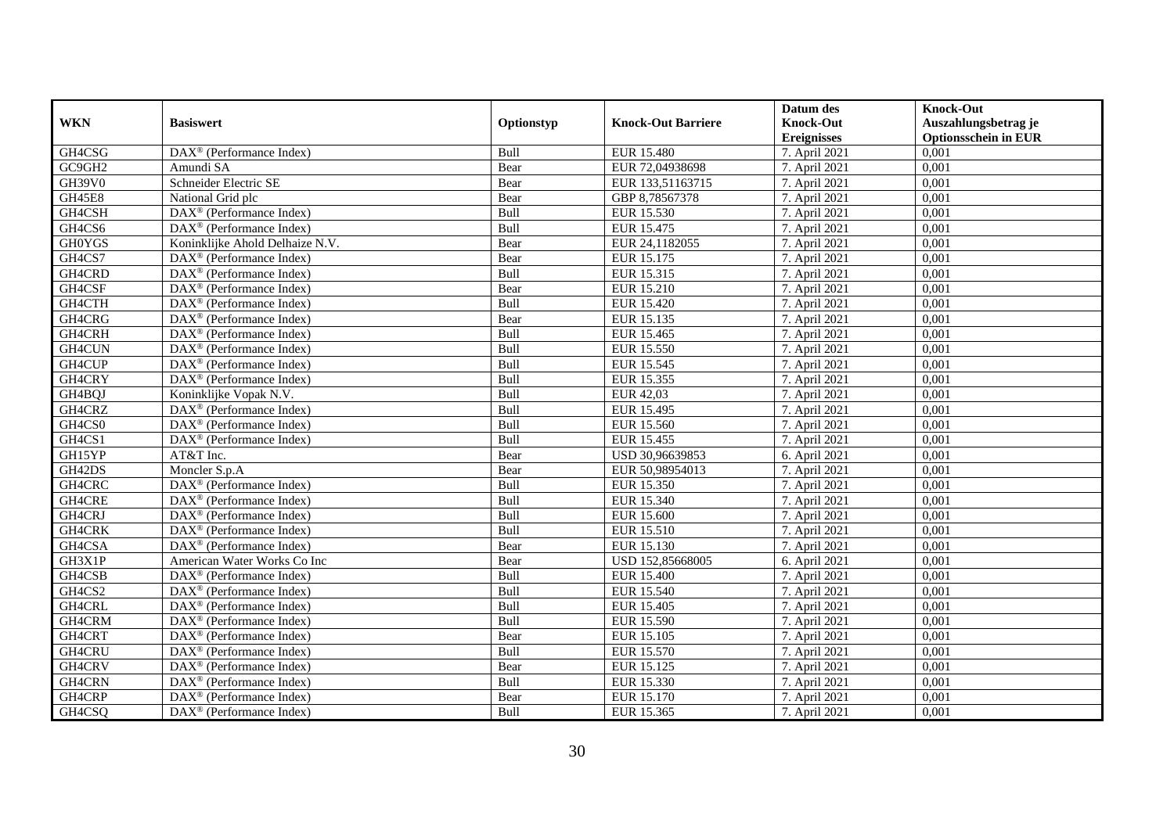|               |                                                              |             |                           | Datum des          | <b>Knock-Out</b>            |
|---------------|--------------------------------------------------------------|-------------|---------------------------|--------------------|-----------------------------|
| <b>WKN</b>    | <b>Basiswert</b>                                             | Optionstyp  | <b>Knock-Out Barriere</b> | <b>Knock-Out</b>   | Auszahlungsbetrag je        |
|               |                                                              |             |                           | <b>Ereignisses</b> | <b>Optionsschein in EUR</b> |
| GH4CSG        | $\overline{\text{DAX}}^{\textcircled{}}$ (Performance Index) | Bull        | <b>EUR 15.480</b>         | 7. April 2021      | 0,001                       |
| GC9GH2        | Amundi SA                                                    | Bear        | EUR 72,04938698           | 7. April 2021      | 0,001                       |
| <b>GH39V0</b> | Schneider Electric SE                                        | Bear        | EUR 133,51163715          | 7. April 2021      | 0,001                       |
| <b>GH45E8</b> | National Grid plc                                            | Bear        | GBP 8,78567378            | 7. April 2021      | 0,001                       |
| GH4CSH        | DAX <sup>®</sup> (Performance Index)                         | Bull        | EUR 15.530                | 7. April 2021      | 0,001                       |
| GH4CS6        | DAX <sup>®</sup> (Performance Index)                         | Bull        | EUR 15.475                | 7. April 2021      | 0,001                       |
| <b>GH0YGS</b> | Koninklijke Ahold Delhaize N.V.                              | Bear        | EUR 24,1182055            | 7. April 2021      | 0,001                       |
| GH4CS7        | $\text{DAX}^{\textcircled{n}}$ (Performance Index)           | Bear        | EUR 15.175                | 7. April 2021      | 0,001                       |
| GH4CRD        | DAX <sup>®</sup> (Performance Index)                         | Bull        | EUR 15.315                | 7. April 2021      | 0,001                       |
| GH4CSF        | DAX <sup>®</sup> (Performance Index)                         | Bear        | EUR 15.210                | 7. April 2021      | 0,001                       |
| GH4CTH        | $\overline{\text{DAX}^{\otimes}}$ (Performance Index)        | Bull        | <b>EUR 15.420</b>         | 7. April 2021      | 0,001                       |
| GH4CRG        | DAX <sup>®</sup> (Performance Index)                         | Bear        | EUR 15.135                | 7. April 2021      | 0,001                       |
| GH4CRH        | $\text{DAX}^{\textcircled{n}}$ (Performance Index)           | Bull        | EUR 15.465                | 7. April 2021      | 0,001                       |
| GH4CUN        | DAX <sup>®</sup> (Performance Index)                         | <b>Bull</b> | EUR 15.550                | 7. April 2021      | 0.001                       |
| GH4CUP        | $\overline{\text{DAX}^{\otimes}}$ (Performance Index)        | Bull        | EUR 15.545                | 7. April 2021      | 0,001                       |
| GH4CRY        | $\overline{\text{DAX}}^{\textcirc}$ (Performance Index)      | Bull        | EUR 15.355                | 7. April 2021      | 0,001                       |
| GH4BQJ        | Koninklijke Vopak N.V.                                       | Bull        | EUR 42,03                 | 7. April 2021      | 0,001                       |
| GH4CRZ        | DAX <sup>®</sup> (Performance Index)                         | Bull        | EUR 15.495                | 7. April 2021      | 0,001                       |
| GH4CS0        | DAX <sup>®</sup> (Performance Index)                         | Bull        | EUR 15.560                | 7. April 2021      | 0,001                       |
| GH4CS1        | DAX <sup>®</sup> (Performance Index)                         | Bull        | EUR 15.455                | 7. April 2021      | 0,001                       |
| GH15YP        | AT&T Inc.                                                    | Bear        | USD 30,96639853           | 6. April 2021      | 0,001                       |
| GH42DS        | Moncler S.p.A                                                | Bear        | EUR 50,98954013           | 7. April 2021      | 0,001                       |
| GH4CRC        | DAX <sup>®</sup> (Performance Index)                         | Bull        | EUR 15.350                | 7. April 2021      | 0,001                       |
| GH4CRE        | $\text{DAX}^{\textcircled{p}}$ (Performance Index)           | Bull        | EUR 15.340                | 7. April 2021      | 0,001                       |
| GH4CRJ        | $DAX^{\circledR}$ (Performance Index)                        | Bull        | <b>EUR 15.600</b>         | 7. April 2021      | 0,001                       |
| GH4CRK        | DAX <sup>®</sup> (Performance Index)                         | Bull        | EUR 15.510                | 7. April 2021      | 0,001                       |
| GH4CSA        | DAX <sup>®</sup> (Performance Index)                         | Bear        | EUR 15.130                | 7. April 2021      | 0,001                       |
| GH3X1P        | American Water Works Co Inc                                  | Bear        | USD 152,85668005          | 6. April 2021      | 0,001                       |
| GH4CSB        | $\text{DAX}^{\otimes}$ (Performance Index)                   | Bull        | <b>EUR 15.400</b>         | 7. April 2021      | 0,001                       |
| GH4CS2        | $\text{DAX}^{\textcircled{n}}$ (Performance Index)           | Bull        | EUR 15.540                | 7. April 2021      | 0,001                       |
| GH4CRL        | $DAX^{\otimes}$ (Performance Index)                          | Bull        | EUR 15.405                | 7. April 2021      | 0,001                       |
| GH4CRM        | DAX <sup>®</sup> (Performance Index)                         | Bull        | EUR 15.590                | 7. April 2021      | 0,001                       |
| GH4CRT        | $\overline{\text{DAX}^{\otimes}}$ (Performance Index)        | Bear        | EUR 15.105                | 7. April 2021      | 0,001                       |
| GH4CRU        | $\overline{\text{DAX}^{\otimes}}$ (Performance Index)        | Bull        | EUR 15.570                | 7. April 2021      | 0,001                       |
| GH4CRV        | $\text{DAX}^{\textcircled{n}}$ (Performance Index)           | Bear        | EUR 15.125                | 7. April 2021      | 0,001                       |
| GH4CRN        | $\text{DAX}^{\textcircled{n}}$ (Performance Index)           | Bull        | EUR 15.330                | 7. April 2021      | 0,001                       |
| GH4CRP        | $\text{DAX}^{\otimes}$ (Performance Index)                   | Bear        | EUR 15.170                | 7. April 2021      | 0,001                       |
| GH4CSQ        | $\overline{\text{DAX}}^{\textcirc}$ (Performance Index)      | Bull        | EUR 15.365                | 7. April 2021      | 0,001                       |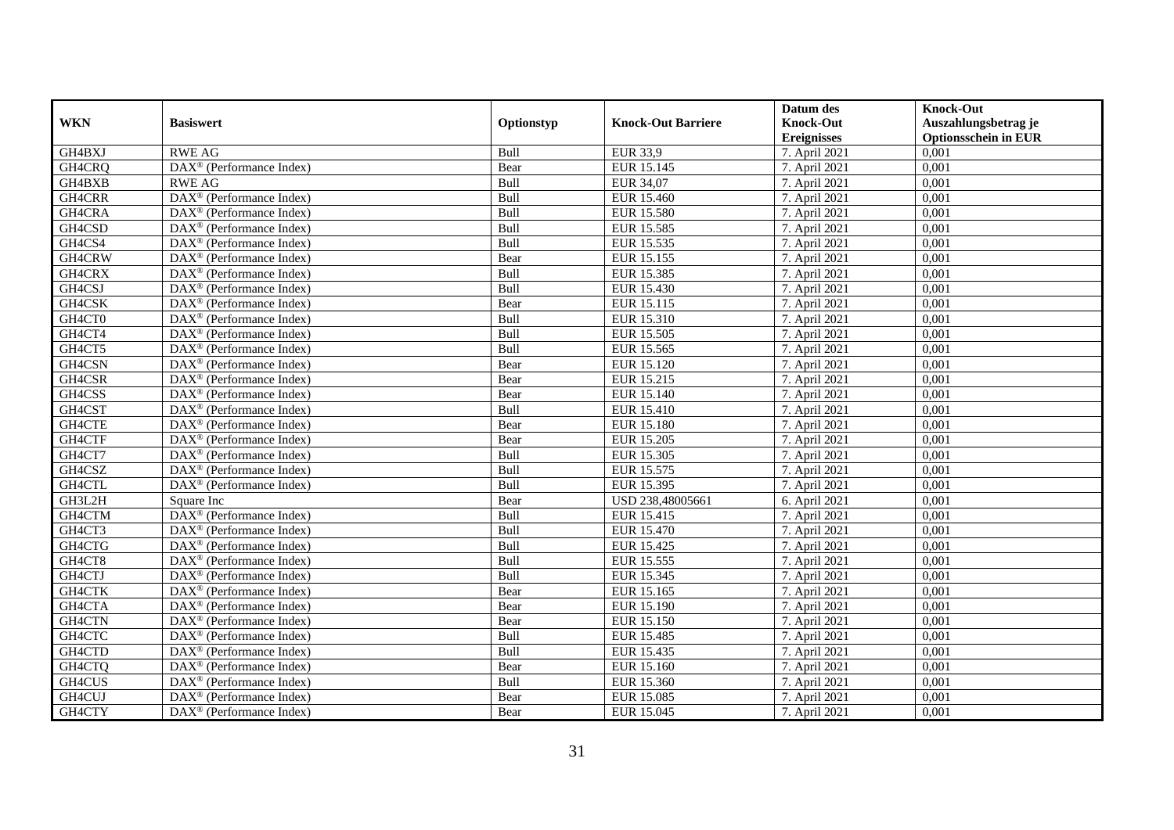|            |                                                              |             |                           | Datum des          | <b>Knock-Out</b>            |
|------------|--------------------------------------------------------------|-------------|---------------------------|--------------------|-----------------------------|
| <b>WKN</b> | <b>Basiswert</b>                                             | Optionstyp  | <b>Knock-Out Barriere</b> | <b>Knock-Out</b>   | Auszahlungsbetrag je        |
|            |                                                              |             |                           | <b>Ereignisses</b> | <b>Optionsschein in EUR</b> |
| GH4BXJ     | <b>RWE AG</b>                                                | Bull        | <b>EUR 33,9</b>           | 7. April 2021      | 0,001                       |
| GH4CRQ     | DAX <sup>®</sup> (Performance Index)                         | Bear        | EUR 15.145                | 7. April 2021      | 0,001                       |
| GH4BXB     | <b>RWE AG</b>                                                | Bull        | <b>EUR 34,07</b>          | 7. April 2021      | 0,001                       |
| GH4CRR     | DAX <sup>®</sup> (Performance Index)                         | Bull        | EUR 15.460                | 7. April 2021      | 0,001                       |
| GH4CRA     | $\overline{\text{DAX}}^{\textcircled{}}$ (Performance Index) | Bull        | <b>EUR 15.580</b>         | 7. April 2021      | 0,001                       |
| GH4CSD     | DAX <sup>®</sup> (Performance Index)                         | Bull        | EUR 15.585                | 7. April 2021      | 0,001                       |
| GH4CS4     | $DAX^{\otimes}$ (Performance Index)                          | Bull        | EUR 15.535                | 7. April 2021      | 0,001                       |
| GH4CRW     | $\overline{\text{DAX}}^{\textcirc}$ (Performance Index)      | Bear        | EUR 15.155                | 7. April 2021      | 0,001                       |
| GH4CRX     | DAX <sup>®</sup> (Performance Index)                         | Bull        | EUR 15.385                | 7. April 2021      | 0,001                       |
| GH4CSJ     | DAX <sup>®</sup> (Performance Index)                         | Bull        | EUR 15.430                | 7. April 2021      | 0,001                       |
| GH4CSK     | $\overline{\text{DAX}^{\otimes}}$ (Performance Index)        | Bear        | EUR 15.115                | 7. April 2021      | 0,001                       |
| GH4CT0     | DAX <sup>®</sup> (Performance Index)                         | Bull        | EUR 15.310                | 7. April 2021      | 0,001                       |
| GH4CT4     | $\text{DAX}^{\textcircled{n}}$ (Performance Index)           | Bull        | EUR 15.505                | 7. April 2021      | 0,001                       |
| GH4CT5     | DAX <sup>®</sup> (Performance Index)                         | <b>Bull</b> | EUR 15.565                | 7. April 2021      | 0.001                       |
| GH4CSN     | $\overline{\text{DAX}^{\otimes}}$ (Performance Index)        | Bear        | EUR 15.120                | 7. April 2021      | 0,001                       |
| GH4CSR     | DAX <sup>®</sup> (Performance Index)                         | Bear        | EUR 15.215                | 7. April 2021      | 0,001                       |
| GH4CSS     | DAX <sup>®</sup> (Performance Index)                         | Bear        | EUR 15.140                | 7. April 2021      | 0,001                       |
| GH4CST     | DAX <sup>®</sup> (Performance Index)                         | Bull        | <b>EUR 15.410</b>         | 7. April 2021      | 0,001                       |
| GH4CTE     | $\text{DAX}^{\otimes}$ (Performance Index)                   | Bear        | <b>EUR 15.180</b>         | 7. April 2021      | 0,001                       |
| GH4CTF     | $\text{DAX}^{\circledast}$ (Performance Index)               | Bear        | EUR 15.205                | 7. April 2021      | 0,001                       |
| GH4CT7     | DAX <sup>®</sup> (Performance Index)                         | Bull        | EUR 15.305                | 7. April 2021      | 0,001                       |
| GH4CSZ     | $DAX^{\circledR}$ (Performance Index)                        | Bull        | EUR 15.575                | 7. April 2021      | 0,001                       |
| GH4CTL     | DAX <sup>®</sup> (Performance Index)                         | Bull        | EUR 15.395                | 7. April 2021      | 0,001                       |
| GH3L2H     | Square Inc                                                   | Bear        | USD 238,48005661          | 6. April 2021      | 0,001                       |
| GH4CTM     | $\overline{\text{DAX}^{\otimes}}$ (Performance Index)        | Bull        | EUR 15.415                | 7. April 2021      | 0,001                       |
| GH4CT3     | DAX <sup>®</sup> (Performance Index)                         | Bull        | EUR 15.470                | 7. April 2021      | 0,001                       |
| GH4CTG     | $\overline{\text{DAX}^{\otimes}}$ (Performance Index)        | Bull        | EUR 15.425                | 7. April 2021      | 0,001                       |
| GH4CT8     | DAX <sup>®</sup> (Performance Index)                         | Bull        | EUR 15.555                | 7. April 2021      | 0,001                       |
| GH4CTJ     | $\text{DAX}^{\textcircled{n}}$ (Performance Index)           | Bull        | EUR 15.345                | 7. April 2021      | 0,001                       |
| GH4CTK     | $\text{DAX}^{\textcircled{n}}$ (Performance Index)           | Bear        | EUR 15.165                | 7. April 2021      | 0,001                       |
| GH4CTA     | $DAX^{\otimes}$ (Performance Index)                          | Bear        | EUR 15.190                | 7. April 2021      | 0,001                       |
| GH4CTN     | DAX <sup>®</sup> (Performance Index)                         | Bear        | <b>EUR 15.150</b>         | 7. April 2021      | 0,001                       |
| GH4CTC     | $\overline{\text{DAX}^{\otimes}}$ (Performance Index)        | Bull        | <b>EUR 15.485</b>         | 7. April 2021      | 0,001                       |
| GH4CTD     | $\overline{\text{DAX}^{\otimes}(\text{Performance Index})}$  | Bull        | EUR 15.435                | 7. April 2021      | 0,001                       |
| GH4CTQ     | $\text{DAX}^{\textcircled{n}}$ (Performance Index)           | Bear        | EUR 15.160                | 7. April 2021      | 0,001                       |
| GH4CUS     | DAX <sup>®</sup> (Performance Index)                         | Bull        | EUR 15.360                | 7. April 2021      | 0,001                       |
| GH4CUJ     | $\text{DAX}^{\otimes}$ (Performance Index)                   | Bear        | EUR 15.085                | 7. April 2021      | 0,001                       |
| GH4CTY     | $\overline{\text{DAX}}^{\textcirc}$ (Performance Index)      | Bear        | EUR 15.045                | 7. April 2021      | 0,001                       |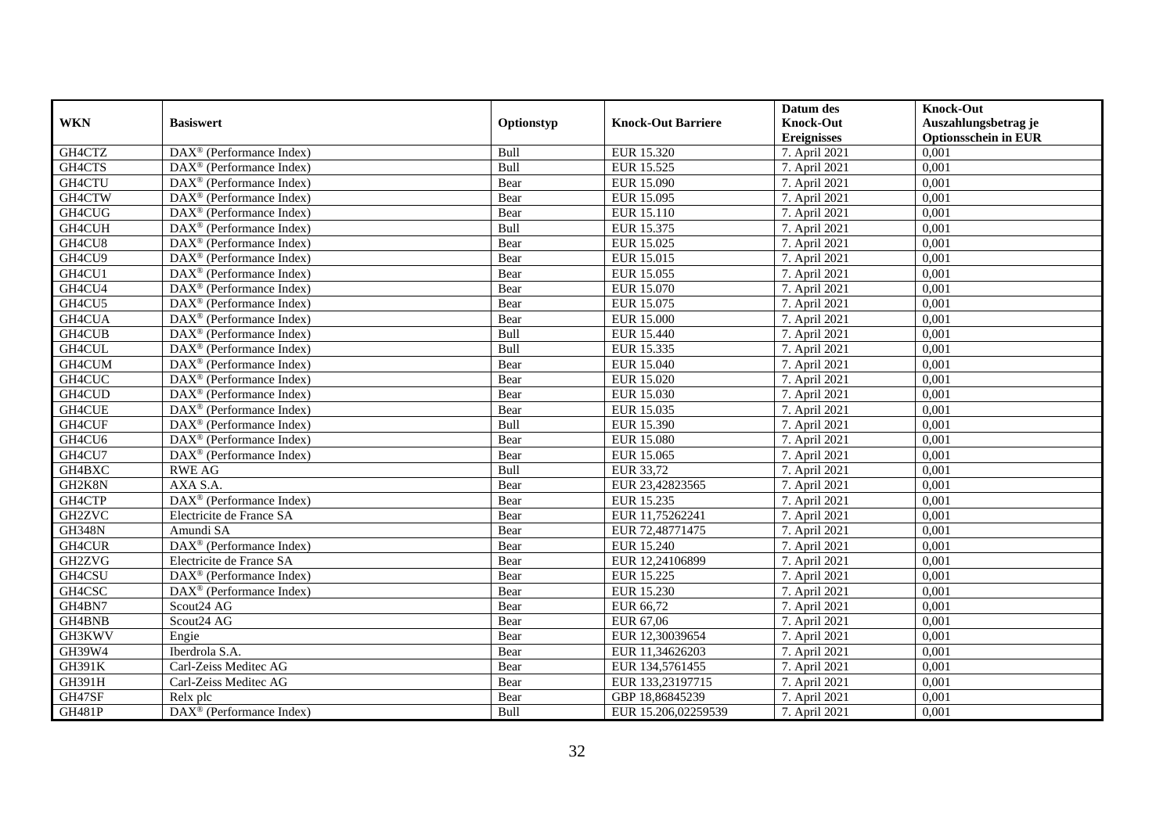|               |                                                              |            |                           | Datum des          | <b>Knock-Out</b>            |
|---------------|--------------------------------------------------------------|------------|---------------------------|--------------------|-----------------------------|
| <b>WKN</b>    | <b>Basiswert</b>                                             | Optionstyp | <b>Knock-Out Barriere</b> | <b>Knock-Out</b>   | Auszahlungsbetrag je        |
|               |                                                              |            |                           | <b>Ereignisses</b> | <b>Optionsschein in EUR</b> |
| GH4CTZ        | $\overline{\text{DAX}}^{\textcirc}$ (Performance Index)      | Bull       | EUR 15.320                | 7. April 2021      | 0,001                       |
| GH4CTS        | $\text{DAX}^{\textcircled{D}}$ (Performance Index)           | Bull       | EUR 15.525                | 7. April 2021      | 0,001                       |
| GH4CTU        | DAX <sup>®</sup> (Performance Index)                         | Bear       | EUR 15.090                | 7. April 2021      | 0,001                       |
| GH4CTW        | $\text{DAX}^{\circledast}$ (Performance Index)               | Bear       | EUR 15.095                | 7. April 2021      | 0,001                       |
| GH4CUG        | DAX <sup>®</sup> (Performance Index)                         | Bear       | EUR 15.110                | 7. April 2021      | 0,001                       |
| GH4CUH        | $\text{DAX}^{\textcircled{n}}$ (Performance Index)           | Bull       | EUR 15.375                | 7. April 2021      | 0,001                       |
| GH4CU8        | $\text{DAX}^{\textcircled{n}}$ (Performance Index)           | Bear       | EUR 15.025                | 7. April 2021      | 0,001                       |
| GH4CU9        | $\text{DAX}^{\textcircled{}}$ (Performance Index)            | Bear       | EUR 15.015                | 7. April 2021      | 0,001                       |
| GH4CU1        | $\text{DAX}^{\textcircled{D}}$ (Performance Index)           | Bear       | EUR 15.055                | 7. April 2021      | 0,001                       |
| GH4CU4        | $DAX^{\otimes}$ (Performance Index)                          | Bear       | EUR 15.070                | 7. April 2021      | 0,001                       |
| GH4CU5        | $\overline{\text{DAX}}^{\textcircled{}}$ (Performance Index) | Bear       | EUR 15.075                | 7. April 2021      | 0,001                       |
| GH4CUA        | $\overline{\text{DAX}^{\otimes}}$ (Performance Index)        | Bear       | <b>EUR 15.000</b>         | 7. April 2021      | 0,001                       |
| GH4CUB        | $\text{DAX}^{\textcircled{n}}$ (Performance Index)           | Bull       | EUR 15.440                | 7. April 2021      | 0,001                       |
| GH4CUL        | DAX <sup>®</sup> (Performance Index)                         | Bull       | EUR 15.335                | 7. April 2021      | 0,001                       |
| GH4CUM        | DAX <sup>®</sup> (Performance Index)                         | Bear       | EUR 15.040                | 7. April 2021      | 0,001                       |
| GH4CUC        | DAX <sup>®</sup> (Performance Index)                         | Bear       | EUR 15.020                | 7. April 2021      | 0,001                       |
| GH4CUD        | DAX <sup>®</sup> (Performance Index)                         | Bear       | EUR 15.030                | 7. April 2021      | 0,001                       |
| <b>GH4CUE</b> | $DAX^{\circledR}$ (Performance Index)                        | Bear       | EUR 15.035                | 7. April 2021      | 0,001                       |
| GH4CUF        | $\overline{\text{DAX}}^{\textcirc}$ (Performance Index)      | Bull       | EUR 15.390                | 7. April 2021      | 0,001                       |
| GH4CU6        | $\overline{\text{DAX}^{\otimes}}$ (Performance Index)        | Bear       | <b>EUR 15.080</b>         | 7. April 2021      | 0,001                       |
| GH4CU7        | DAX <sup>®</sup> (Performance Index)                         | Bear       | EUR 15.065                | 7. April 2021      | 0,001                       |
| GH4BXC        | <b>RWE AG</b>                                                | Bull       | EUR 33,72                 | 7. April 2021      | 0,001                       |
| GH2K8N        | AXA S.A.                                                     | Bear       | EUR 23,42823565           | 7. April 2021      | 0,001                       |
| GH4CTP        | DAX <sup>®</sup> (Performance Index)                         | Bear       | EUR 15.235                | 7. April 2021      | 0,001                       |
| <b>GH2ZVC</b> | Electricite de France SA                                     | Bear       | EUR 11,75262241           | 7. April 2021      | 0,001                       |
| <b>GH348N</b> | Amundi SA                                                    | Bear       | EUR 72,48771475           | 7. April 2021      | 0,001                       |
| GH4CUR        | DAX <sup>®</sup> (Performance Index)                         | Bear       | EUR 15.240                | 7. April 2021      | 0,001                       |
| GH2ZVG        | Electricite de France SA                                     | Bear       | EUR 12,24106899           | 7. April 2021      | 0,001                       |
| GH4CSU        | $\text{DAX}^{\textcircled{D}}$ (Performance Index)           | Bear       | EUR 15.225                | 7. April 2021      | 0,001                       |
| GH4CSC        | $\overline{\text{DAX}}^{\textcirc}$ (Performance Index)      | Bear       | EUR 15.230                | 7. April 2021      | 0,001                       |
| GH4BN7        | Scout24 AG                                                   | Bear       | EUR 66,72                 | 7. April 2021      | 0,001                       |
| GH4BNB        | Scout24 AG                                                   | Bear       | EUR 67,06                 | 7. April 2021      | 0,001                       |
| GH3KWV        | Engie                                                        | Bear       | EUR 12,30039654           | 7. April 2021      | 0,001                       |
| GH39W4        | Iberdrola S.A.                                               | Bear       | EUR 11,34626203           | 7. April 2021      | 0,001                       |
| GH391K        | Carl-Zeiss Meditec AG                                        | Bear       | EUR 134,5761455           | 7. April 2021      | 0,001                       |
| GH391H        | Carl-Zeiss Meditec AG                                        | Bear       | EUR 133,23197715          | 7. April 2021      | 0,001                       |
| GH47SF        | Relx plc                                                     | Bear       | GBP 18,86845239           | 7. April 2021      | 0,001                       |
| <b>GH481P</b> | DAX <sup>®</sup> (Performance Index)                         | Bull       | EUR 15.206,02259539       | 7. April 2021      | 0,001                       |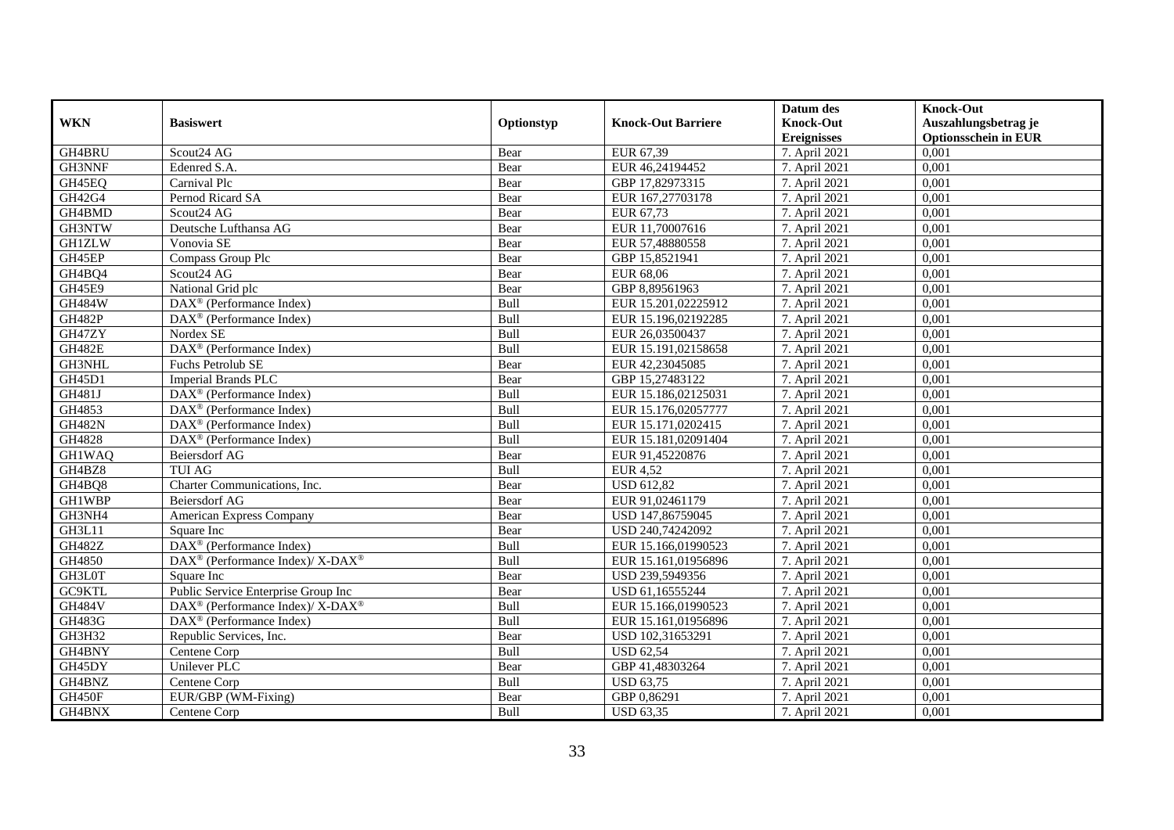|               |                                                                  |             |                           | Datum des          | <b>Knock-Out</b>            |
|---------------|------------------------------------------------------------------|-------------|---------------------------|--------------------|-----------------------------|
| <b>WKN</b>    | <b>Basiswert</b>                                                 | Optionstyp  | <b>Knock-Out Barriere</b> | <b>Knock-Out</b>   | Auszahlungsbetrag je        |
|               |                                                                  |             |                           | <b>Ereignisses</b> | <b>Optionsschein in EUR</b> |
| GH4BRU        | Scout24 AG                                                       | Bear        | EUR 67,39                 | 7. April 2021      | 0,001                       |
| GH3NNF        | Edenred S.A.                                                     | Bear        | EUR 46,24194452           | 7. April 2021      | 0,001                       |
| GH45EQ        | Carnival Plc                                                     | Bear        | GBP 17,82973315           | 7. April 2021      | 0,001                       |
| GH42G4        | Pernod Ricard SA                                                 | Bear        | EUR 167,27703178          | 7. April 2021      | 0,001                       |
| GH4BMD        | Scout24 AG                                                       | Bear        | EUR 67,73                 | 7. April 2021      | 0,001                       |
| GH3NTW        | Deutsche Lufthansa AG                                            | Bear        | EUR 11,70007616           | 7. April 2021      | 0,001                       |
| <b>GH1ZLW</b> | Vonovia SE                                                       | Bear        | EUR 57,48880558           | 7. April 2021      | 0,001                       |
| GH45EP        | Compass Group Plc                                                | Bear        | GBP 15,8521941            | 7. April 2021      | 0,001                       |
| GH4BQ4        | Scout24 AG                                                       | Bear        | <b>EUR 68,06</b>          | 7. April 2021      | 0,001                       |
| GH45E9        | National Grid plc                                                | Bear        | GBP 8,89561963            | 7. April 2021      | 0,001                       |
| <b>GH484W</b> | DAX <sup>®</sup> (Performance Index)                             | Bull        | EUR 15.201,02225912       | 7. April 2021      | 0,001                       |
| <b>GH482P</b> | DAX <sup>®</sup> (Performance Index)                             | Bull        | EUR 15.196,02192285       | 7. April 2021      | 0,001                       |
| GH47ZY        | Nordex SE                                                        | Bull        | EUR 26,03500437           | 7. April 2021      | 0,001                       |
| <b>GH482E</b> | DAX <sup>®</sup> (Performance Index)                             | Bull        | EUR 15.191,02158658       | 7. April 2021      | 0,001                       |
| GH3NHL        | Fuchs Petrolub SE                                                | Bear        | EUR 42,23045085           | 7. April 2021      | 0,001                       |
| GH45D1        | Imperial Brands PLC                                              | Bear        | GBP 15,27483122           | 7. April 2021      | 0,001                       |
| GH481J        | DAX <sup>®</sup> (Performance Index)                             | Bull        | EUR 15.186,02125031       | 7. April 2021      | 0,001                       |
| GH4853        | $DAX^{\circledR}$ (Performance Index)                            | <b>Bull</b> | EUR 15.176,02057777       | 7. April 2021      | 0,001                       |
| <b>GH482N</b> | $\overline{\text{DAX}}^{\textcirc}$ (Performance Index)          | Bull        | EUR 15.171,0202415        | 7. April 2021      | 0,001                       |
| GH4828        | $\overline{\text{DAX}^{\otimes}}$ (Performance Index)            | Bull        | EUR 15.181,02091404       | 7. April 2021      | 0,001                       |
| <b>GH1WAQ</b> | <b>Beiersdorf AG</b>                                             | Bear        | EUR 91,45220876           | 7. April 2021      | 0,001                       |
| GH4BZ8        | <b>TUI AG</b>                                                    | Bull        | <b>EUR 4,52</b>           | 7. April 2021      | 0,001                       |
| GH4BQ8        | Charter Communications, Inc.                                     | Bear        | <b>USD 612,82</b>         | 7. April 2021      | 0,001                       |
| <b>GH1WBP</b> | <b>Beiersdorf AG</b>                                             | Bear        | EUR 91,02461179           | 7. April 2021      | 0,001                       |
| GH3NH4        | American Express Company                                         | Bear        | USD 147,86759045          | 7. April 2021      | 0,001                       |
| GH3L11        | Square Inc                                                       | Bear        | USD 240,74242092          | 7. April 2021      | 0,001                       |
| <b>GH482Z</b> | DAX <sup>®</sup> (Performance Index)                             | Bull        | EUR 15.166,01990523       | 7. April 2021      | 0,001                       |
| GH4850        | $\text{DAX}^{\circledR}$ (Performance Index)/ X-DAX <sup>®</sup> | Bull        | EUR 15.161.01956896       | 7. April 2021      | 0,001                       |
| GH3L0T        | Square Inc                                                       | Bear        | USD 239,5949356           | 7. April 2021      | 0,001                       |
| GC9KTL        | Public Service Enterprise Group Inc                              | Bear        | USD 61,16555244           | 7. April 2021      | 0,001                       |
| <b>GH484V</b> | $DAX^{\circledcirc}$ (Performance Index)/ X-DAX <sup>®</sup>     | Bull        | EUR 15.166,01990523       | 7. April 2021      | 0,001                       |
| GH483G        | DAX <sup>®</sup> (Performance Index)                             | Bull        | EUR 15.161,01956896       | 7. April 2021      | 0,001                       |
| GH3H32        | Republic Services, Inc.                                          | Bear        | USD 102,31653291          | 7. April 2021      | 0,001                       |
| GH4BNY        | Centene Corp                                                     | Bull        | <b>USD 62,54</b>          | 7. April 2021      | 0,001                       |
| GH45DY        | Unilever PLC                                                     | Bear        | GBP 41,48303264           | 7. April 2021      | 0,001                       |
| GH4BNZ        | Centene Corp                                                     | Bull        | <b>USD 63,75</b>          | 7. April 2021      | 0,001                       |
| GH450F        | EUR/GBP (WM-Fixing)                                              | Bear        | GBP 0,86291               | 7. April 2021      | 0,001                       |
| GH4BNX        | Centene Corp                                                     | Bull        | <b>USD 63,35</b>          | 7. April 2021      | 0,001                       |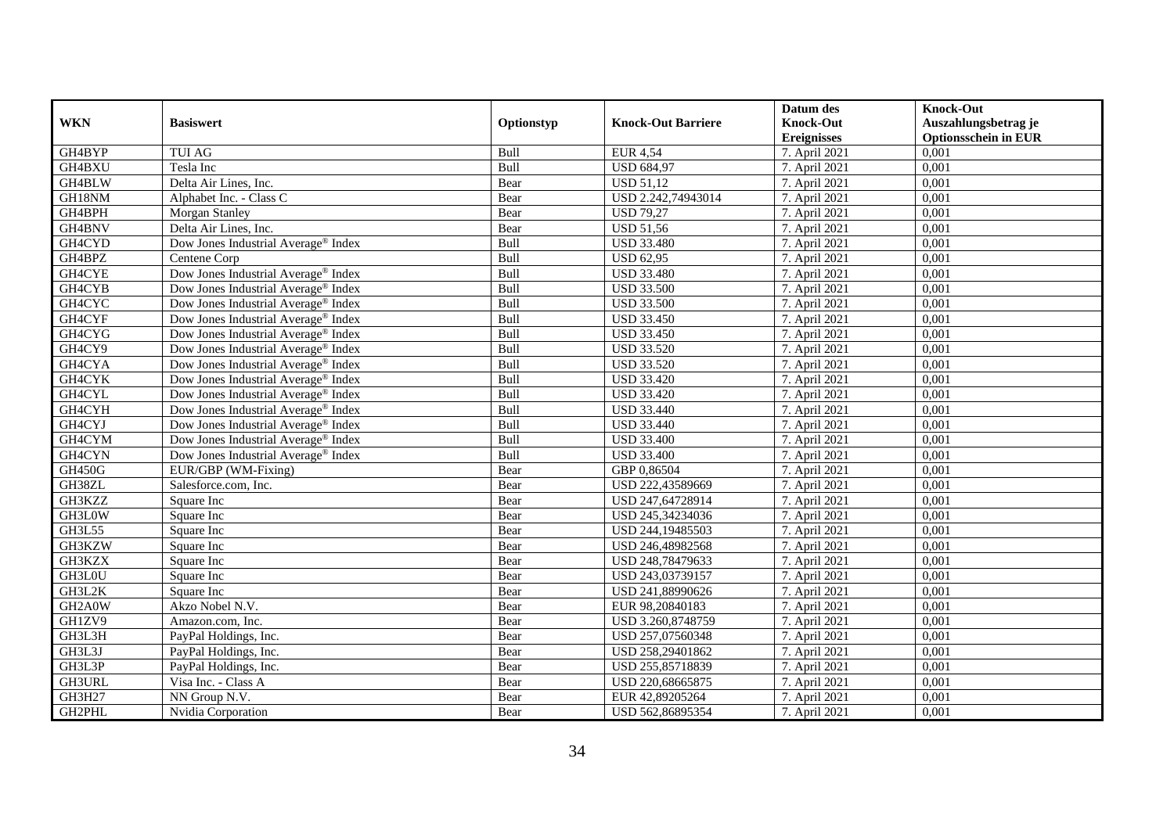|               |                                                 |             |                           | Datum des          | <b>Knock-Out</b>            |
|---------------|-------------------------------------------------|-------------|---------------------------|--------------------|-----------------------------|
| <b>WKN</b>    | <b>Basiswert</b>                                | Optionstyp  | <b>Knock-Out Barriere</b> | <b>Knock-Out</b>   | Auszahlungsbetrag je        |
|               |                                                 |             |                           | <b>Ereignisses</b> | <b>Optionsschein in EUR</b> |
| GH4BYP        | <b>TUI AG</b>                                   | Bull        | <b>EUR 4,54</b>           | 7. April 2021      | 0,001                       |
| GH4BXU        | Tesla Inc                                       | Bull        | <b>USD 684,97</b>         | 7. April 2021      | 0,001                       |
| GH4BLW        | Delta Air Lines, Inc.                           | Bear        | <b>USD 51,12</b>          | 7. April 2021      | 0,001                       |
| GH18NM        | Alphabet Inc. - Class C                         | Bear        | USD 2.242,74943014        | 7. April 2021      | 0,001                       |
| GH4BPH        | Morgan Stanley                                  | Bear        | <b>USD 79,27</b>          | 7. April 2021      | 0,001                       |
| GH4BNV        | Delta Air Lines, Inc.                           | Bear        | <b>USD 51,56</b>          | 7. April 2021      | 0,001                       |
| GH4CYD        | Dow Jones Industrial Average <sup>®</sup> Index | Bull        | <b>USD 33.480</b>         | 7. April 2021      | 0,001                       |
| GH4BPZ        | Centene Corp                                    | Bull        | <b>USD 62,95</b>          | 7. April 2021      | 0,001                       |
| GH4CYE        | Dow Jones Industrial Average® Index             | Bull        | <b>USD 33.480</b>         | 7. April 2021      | 0,001                       |
| GH4CYB        | Dow Jones Industrial Average® Index             | Bull        | <b>USD 33.500</b>         | 7. April 2021      | 0,001                       |
| GH4CYC        | Dow Jones Industrial Average <sup>®</sup> Index | Bull        | <b>USD 33.500</b>         | 7. April 2021      | 0,001                       |
| GH4CYF        | Dow Jones Industrial Average® Index             | Bull        | <b>USD 33.450</b>         | 7. April 2021      | 0,001                       |
| GH4CYG        | Dow Jones Industrial Average® Index             | Bull        | <b>USD 33.450</b>         | 7. April 2021      | 0,001                       |
| GH4CY9        | Dow Jones Industrial Average <sup>®</sup> Index | <b>Bull</b> | <b>USD 33.520</b>         | 7. April 2021      | 0,001                       |
| GH4CYA        | Dow Jones Industrial Average <sup>®</sup> Index | Bull        | <b>USD 33.520</b>         | 7. April 2021      | 0,001                       |
| GH4CYK        | Dow Jones Industrial Average® Index             | Bull        | <b>USD 33.420</b>         | 7. April 2021      | 0,001                       |
| GH4CYL        | Dow Jones Industrial Average <sup>®</sup> Index | Bull        | <b>USD 33.420</b>         | 7. April 2021      | 0,001                       |
| GH4CYH        | Dow Jones Industrial Average® Index             | Bull        | <b>USD 33.440</b>         | 7. April 2021      | 0,001                       |
| GH4CYJ        | Dow Jones Industrial Average® Index             | Bull        | <b>USD 33.440</b>         | 7. April 2021      | 0,001                       |
| GH4CYM        | Dow Jones Industrial Average® Index             | Bull        | <b>USD 33.400</b>         | 7. April 2021      | 0,001                       |
| GH4CYN        | Dow Jones Industrial Average® Index             | Bull        | <b>USD 33.400</b>         | 7. April 2021      | 0,001                       |
| <b>GH450G</b> | EUR/GBP (WM-Fixing)                             | Bear        | GBP 0.86504               | 7. April 2021      | 0,001                       |
| GH38ZL        | Salesforce.com, Inc.                            | Bear        | USD 222,43589669          | 7. April 2021      | 0,001                       |
| GH3KZZ        | Square Inc                                      | Bear        | USD 247,64728914          | 7. April 2021      | 0,001                       |
| GH3L0W        | Square Inc                                      | Bear        | USD 245,34234036          | 7. April 2021      | 0,001                       |
| GH3L55        | Square Inc                                      | Bear        | USD 244,19485503          | 7. April 2021      | 0,001                       |
| GH3KZW        | Square Inc                                      | Bear        | USD 246,48982568          | 7. April 2021      | 0,001                       |
| GH3KZX        | Square Inc                                      | Bear        | USD 248,78479633          | 7. April 2021      | 0,001                       |
| GH3L0U        | Square Inc                                      | Bear        | USD 243,03739157          | 7. April 2021      | 0,001                       |
| GH3L2K        | Square Inc                                      | Bear        | USD 241,88990626          | 7. April 2021      | 0,001                       |
| GH2A0W        | Akzo Nobel N.V.                                 | Bear        | EUR 98,20840183           | 7. April 2021      | 0,001                       |
| GH1ZV9        | Amazon.com, Inc.                                | Bear        | USD 3.260,8748759         | 7. April 2021      | 0,001                       |
| GH3L3H        | PayPal Holdings, Inc.                           | Bear        | USD 257,07560348          | 7. April 2021      | 0,001                       |
| GH3L3J        | PayPal Holdings, Inc.                           | Bear        | USD 258,29401862          | 7. April 2021      | 0,001                       |
| GH3L3P        | PayPal Holdings, Inc.                           | Bear        | USD 255,85718839          | 7. April 2021      | 0,001                       |
| GH3URL        | Visa Inc. - Class A                             | Bear        | USD 220,68665875          | 7. April 2021      | 0,001                       |
| GH3H27        | NN Group N.V.                                   | Bear        | EUR 42,89205264           | 7. April 2021      | 0,001                       |
| GH2PHL        | Nvidia Corporation                              | Bear        | USD 562,86895354          | 7. April 2021      | 0,001                       |